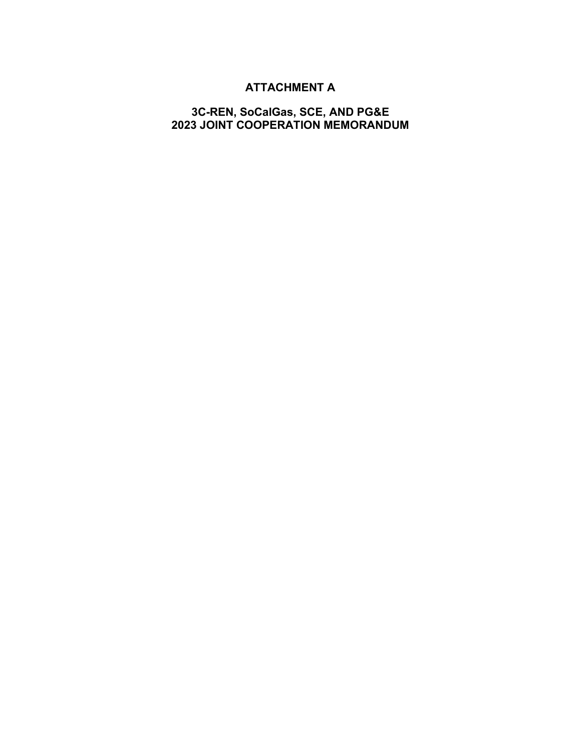## **ATTACHMENT A**

#### **3C-REN, SoCalGas, SCE, AND PG&E 2023 JOINT COOPERATION MEMORANDUM**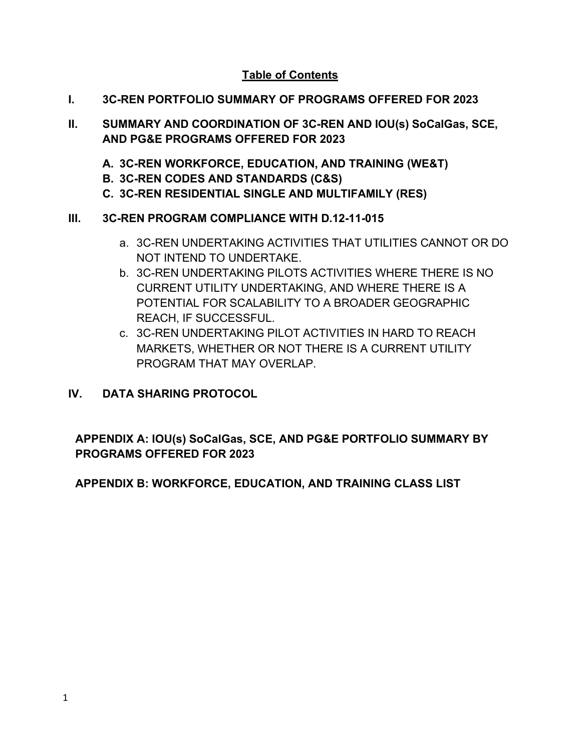## **Table of Contents**

- **I. 3C-REN PORTFOLIO SUMMARY OF PROGRAMS OFFERED FOR 2023**
- **II. SUMMARY AND COORDINATION OF 3C-REN AND IOU(s) SoCalGas, SCE, AND PG&E PROGRAMS OFFERED FOR 2023**
	- **A. 3C-REN WORKFORCE, EDUCATION, AND TRAINING (WE&T)**
	- **B. 3C-REN CODES AND STANDARDS (C&S)**
	- **C. 3C-REN RESIDENTIAL SINGLE AND MULTIFAMILY (RES)**

## **III. 3C-REN PROGRAM COMPLIANCE WITH D.12-11-015**

- a. 3C-REN UNDERTAKING ACTIVITIES THAT UTILITIES CANNOT OR DO NOT INTEND TO UNDERTAKE.
- b. 3C-REN UNDERTAKING PILOTS ACTIVITIES WHERE THERE IS NO CURRENT UTILITY UNDERTAKING, AND WHERE THERE IS A POTENTIAL FOR SCALABILITY TO A BROADER GEOGRAPHIC REACH, IF SUCCESSFUL.
- c. 3C-REN UNDERTAKING PILOT ACTIVITIES IN HARD TO REACH MARKETS, WHETHER OR NOT THERE IS A CURRENT UTILITY PROGRAM THAT MAY OVERLAP.
- **IV. DATA SHARING PROTOCOL**

**APPENDIX A: IOU(s) SoCalGas, SCE, AND PG&E PORTFOLIO SUMMARY BY PROGRAMS OFFERED FOR 2023**

**APPENDIX B: WORKFORCE, EDUCATION, AND TRAINING CLASS LIST**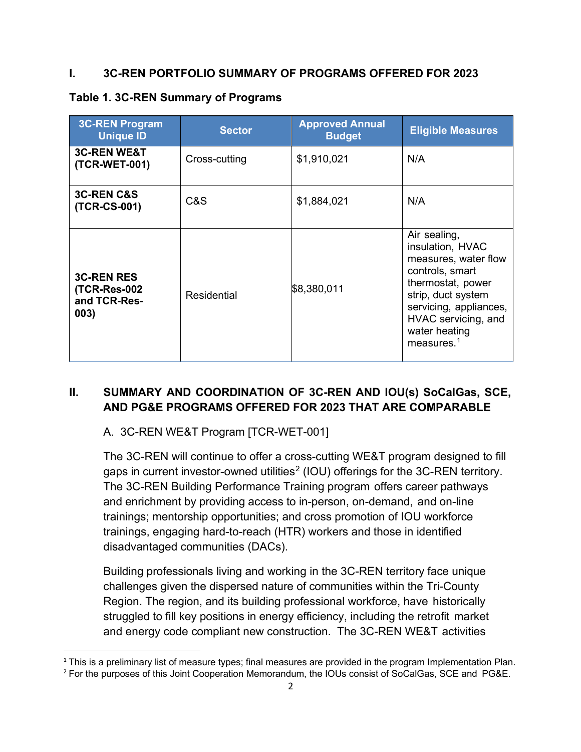#### **I. 3C-REN PORTFOLIO SUMMARY OF PROGRAMS OFFERED FOR 2023**

| <b>3C-REN Program</b><br><b>Unique ID</b>                         | <b>Sector</b>      | <b>Approved Annual</b><br><b>Budget</b> | <b>Eligible Measures</b>                                                                                                                                                                                  |
|-------------------------------------------------------------------|--------------------|-----------------------------------------|-----------------------------------------------------------------------------------------------------------------------------------------------------------------------------------------------------------|
| <b>3C-REN WE&amp;T</b><br>(TCR-WET-001)                           | Cross-cutting      | \$1,910,021                             | N/A                                                                                                                                                                                                       |
| <b>3C-REN C&amp;S</b><br>(TCR-CS-001)                             | C&S                | \$1,884,021                             | N/A                                                                                                                                                                                                       |
| <b>3C-REN RES</b><br><b>(TCR-Res-002)</b><br>and TCR-Res-<br>003) | <b>Residential</b> | \$8,380,011                             | Air sealing,<br>insulation, HVAC<br>measures, water flow<br>controls, smart<br>thermostat, power<br>strip, duct system<br>servicing, appliances,<br>HVAC servicing, and<br>water heating<br>measures. $1$ |

#### **Table 1. 3C-REN Summary of Programs**

## **II. SUMMARY AND COORDINATION OF 3C-REN AND IOU(s) SoCalGas, SCE, AND PG&E PROGRAMS OFFERED FOR 2023 THAT ARE COMPARABLE**

A. 3C-REN WE&T Program [TCR-WET-001]

The 3C-REN will continue to offer a cross-cutting WE&T program designed to fill gaps in current investor-owned utilities<sup>[2](#page-2-1)</sup> (IOU) offerings for the 3C-REN territory. The 3C-REN Building Performance Training program offers career pathways and enrichment by providing access to in-person, on-demand, and on-line trainings; mentorship opportunities; and cross promotion of IOU workforce trainings, engaging hard-to-reach (HTR) workers and those in identified disadvantaged communities (DACs).

Building professionals living and working in the 3C-REN territory face unique challenges given the dispersed nature of communities within the Tri-County Region. The region, and its building professional workforce, have historically struggled to fill key positions in energy efficiency, including the retrofit market and energy code compliant new construction. The 3C-REN WE&T activities

<span id="page-2-1"></span><span id="page-2-0"></span><sup>&</sup>lt;sup>1</sup> This is a preliminary list of measure types; final measures are provided in the program Implementation Plan. <sup>2</sup> For the purposes of this Joint Cooperation Memorandum, the IOUs consist of SoCalGas, SCE and PG&E.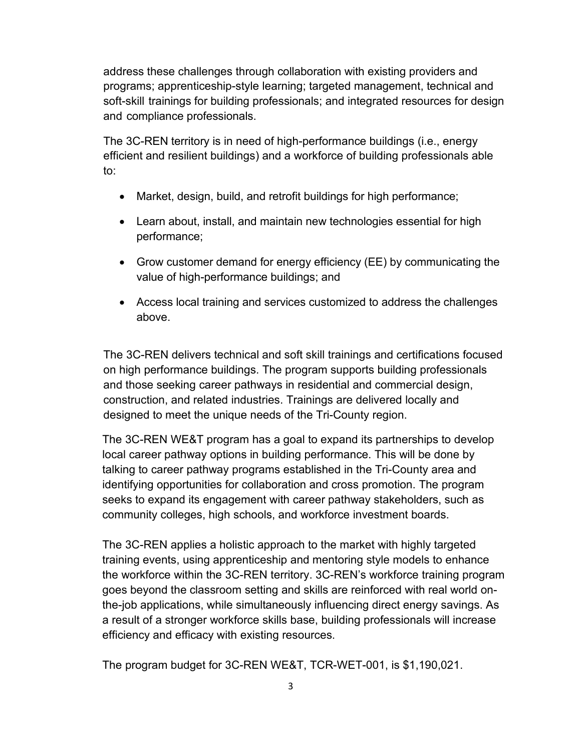address these challenges through collaboration with existing providers and programs; apprenticeship-style learning; targeted management, technical and soft-skill trainings for building professionals; and integrated resources for design and compliance professionals.

The 3C-REN territory is in need of high-performance buildings (i.e., energy efficient and resilient buildings) and a workforce of building professionals able to:

- Market, design, build, and retrofit buildings for high performance;
- Learn about, install, and maintain new technologies essential for high performance;
- Grow customer demand for energy efficiency (EE) by communicating the value of high-performance buildings; and
- Access local training and services customized to address the challenges above.

The 3C-REN delivers technical and soft skill trainings and certifications focused on high performance buildings. The program supports building professionals and those seeking career pathways in residential and commercial design, construction, and related industries. Trainings are delivered locally and designed to meet the unique needs of the Tri-County region.

The 3C-REN WE&T program has a goal to expand its partnerships to develop local career pathway options in building performance. This will be done by talking to career pathway programs established in the Tri-County area and identifying opportunities for collaboration and cross promotion. The program seeks to expand its engagement with career pathway stakeholders, such as community colleges, high schools, and workforce investment boards.

The 3C-REN applies a holistic approach to the market with highly targeted training events, using apprenticeship and mentoring style models to enhance the workforce within the 3C-REN territory. 3C-REN's workforce training program goes beyond the classroom setting and skills are reinforced with real world onthe-job applications, while simultaneously influencing direct energy savings. As a result of a stronger workforce skills base, building professionals will increase efficiency and efficacy with existing resources.

The program budget for 3C-REN WE&T, TCR-WET-001, is \$1,190,021.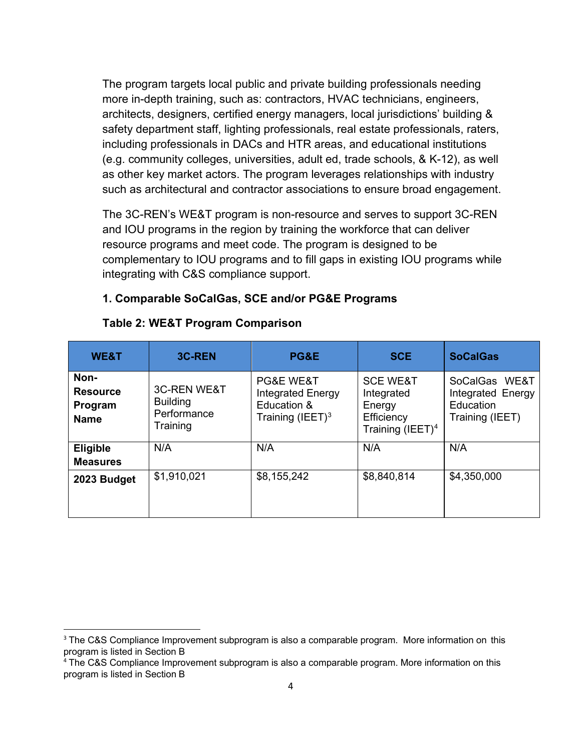The program targets local public and private building professionals needing more in-depth training, such as: contractors, HVAC technicians, engineers, architects, designers, certified energy managers, local jurisdictions' building & safety department staff, lighting professionals, real estate professionals, raters, including professionals in DACs and HTR areas, and educational institutions (e.g. community colleges, universities, adult ed, trade schools, & K-12), as well as other key market actors. The program leverages relationships with industry such as architectural and contractor associations to ensure broad engagement.

The 3C-REN's WE&T program is non-resource and serves to support 3C-REN and IOU programs in the region by training the workforce that can deliver resource programs and meet code. The program is designed to be complementary to IOU programs and to fill gaps in existing IOU programs while integrating with C&S compliance support.

#### **1. Comparable SoCalGas, SCE and/or PG&E Programs**

| <b>WE&amp;T</b>                                   | <b>3C-REN</b>                                                        | <b>PG&amp;E</b>                                                             | <b>SCE</b>                                                                                | <b>SoCalGas</b>                                                    |
|---------------------------------------------------|----------------------------------------------------------------------|-----------------------------------------------------------------------------|-------------------------------------------------------------------------------------------|--------------------------------------------------------------------|
| Non-<br><b>Resource</b><br>Program<br><b>Name</b> | <b>3C-REN WE&amp;T</b><br><b>Building</b><br>Performance<br>Training | PG&E WE&T<br><b>Integrated Energy</b><br>Education &<br>Training (IEET) $3$ | <b>SCE WE&amp;T</b><br>Integrated<br>Energy<br>Efficiency<br>Training (IEET) <sup>4</sup> | SoCalGas WE&T<br>Integrated Energy<br>Education<br>Training (IEET) |
| <b>Eligible</b><br><b>Measures</b>                | N/A                                                                  | N/A                                                                         | N/A                                                                                       | N/A                                                                |
| 2023 Budget                                       | \$1,910,021                                                          | \$8,155,242                                                                 | \$8,840,814                                                                               | \$4,350,000                                                        |

#### **Table 2: WE&T Program Comparison**

<span id="page-4-0"></span><sup>&</sup>lt;sup>3</sup> The C&S Compliance Improvement subprogram is also a comparable program. More information on this program is listed in Section B

<span id="page-4-1"></span><sup>4</sup> The C&S Compliance Improvement subprogram is also a comparable program. More information on this program is listed in Section B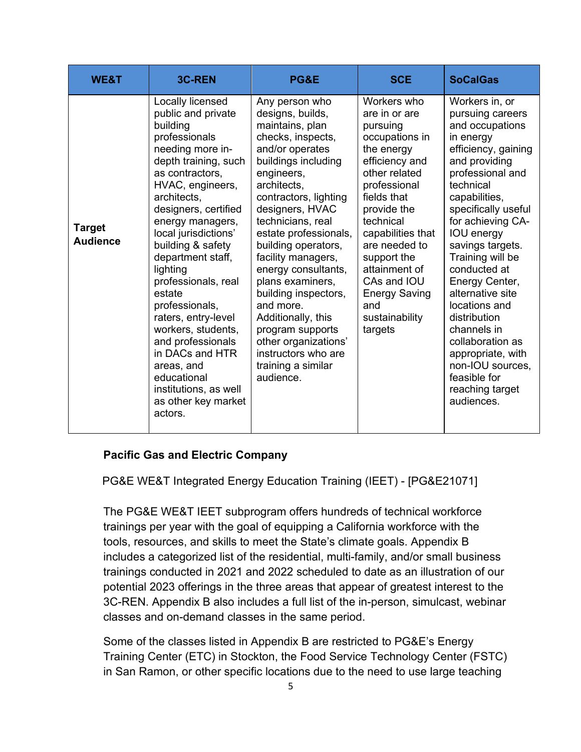| <b>WE&amp;T</b>                  | <b>3C-REN</b>                                                                                                                                                                                                                                                                                                                                                                                                                                                                                                                   | PG&E                                                                                                                                                                                                                                                                                                                                                                                                                                                                                                 | <b>SCE</b>                                                                                                                                                                                                                                                                                                              | <b>SoCalGas</b>                                                                                                                                                                                                                                                                                                                                                                                                                                                                           |
|----------------------------------|---------------------------------------------------------------------------------------------------------------------------------------------------------------------------------------------------------------------------------------------------------------------------------------------------------------------------------------------------------------------------------------------------------------------------------------------------------------------------------------------------------------------------------|------------------------------------------------------------------------------------------------------------------------------------------------------------------------------------------------------------------------------------------------------------------------------------------------------------------------------------------------------------------------------------------------------------------------------------------------------------------------------------------------------|-------------------------------------------------------------------------------------------------------------------------------------------------------------------------------------------------------------------------------------------------------------------------------------------------------------------------|-------------------------------------------------------------------------------------------------------------------------------------------------------------------------------------------------------------------------------------------------------------------------------------------------------------------------------------------------------------------------------------------------------------------------------------------------------------------------------------------|
| <b>Target</b><br><b>Audience</b> | Locally licensed<br>public and private<br>building<br>professionals<br>needing more in-<br>depth training, such<br>as contractors,<br>HVAC, engineers,<br>architects,<br>designers, certified<br>energy managers,<br>local jurisdictions'<br>building & safety<br>department staff,<br>lighting<br>professionals, real<br>estate<br>professionals,<br>raters, entry-level<br>workers, students,<br>and professionals<br>in DACs and HTR<br>areas, and<br>educational<br>institutions, as well<br>as other key market<br>actors. | Any person who<br>designs, builds,<br>maintains, plan<br>checks, inspects,<br>and/or operates<br>buildings including<br>engineers,<br>architects,<br>contractors, lighting<br>designers, HVAC<br>technicians, real<br>estate professionals,<br>building operators,<br>facility managers,<br>energy consultants,<br>plans examiners,<br>building inspectors,<br>and more.<br>Additionally, this<br>program supports<br>other organizations'<br>instructors who are<br>training a similar<br>audience. | Workers who<br>are in or are<br>pursuing<br>occupations in<br>the energy<br>efficiency and<br>other related<br>professional<br>fields that<br>provide the<br>technical<br>capabilities that<br>are needed to<br>support the<br>attainment of<br>CAs and IOU<br><b>Energy Saving</b><br>and<br>sustainability<br>targets | Workers in, or<br>pursuing careers<br>and occupations<br>in energy<br>efficiency, gaining<br>and providing<br>professional and<br>technical<br>capabilities,<br>specifically useful<br>for achieving CA-<br><b>IOU</b> energy<br>savings targets.<br>Training will be<br>conducted at<br>Energy Center,<br>alternative site<br>locations and<br>distribution<br>channels in<br>collaboration as<br>appropriate, with<br>non-IOU sources,<br>feasible for<br>reaching target<br>audiences. |

## **Pacific Gas and Electric Company**

PG&E WE&T Integrated Energy Education Training (IEET) - [PG&E21071]

The PG&E WE&T IEET subprogram offers hundreds of technical workforce trainings per year with the goal of equipping a California workforce with the tools, resources, and skills to meet the State's climate goals. Appendix B includes a categorized list of the residential, multi-family, and/or small business trainings conducted in 2021 and 2022 scheduled to date as an illustration of our potential 2023 offerings in the three areas that appear of greatest interest to the 3C-REN. Appendix B also includes a full list of the in-person, simulcast, webinar classes and on-demand classes in the same period.

Some of the classes listed in Appendix B are restricted to PG&E's Energy Training Center (ETC) in Stockton, the Food Service Technology Center (FSTC) in San Ramon, or other specific locations due to the need to use large teaching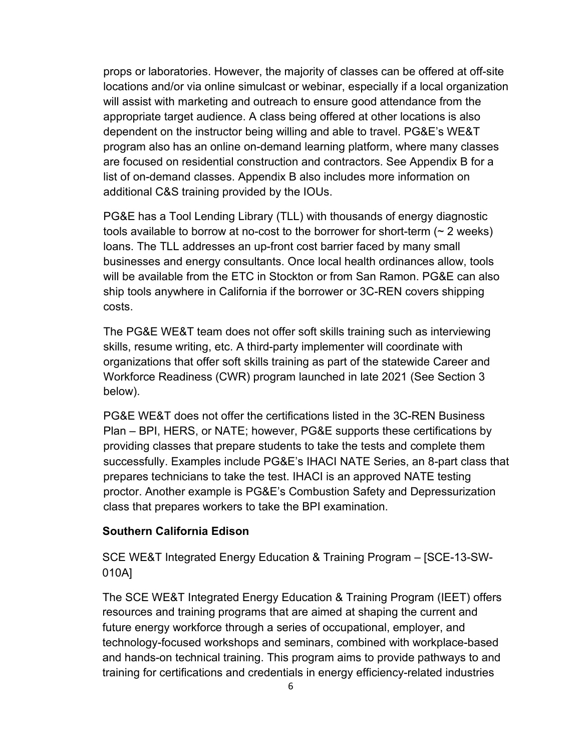props or laboratories. However, the majority of classes can be offered at off-site locations and/or via online simulcast or webinar, especially if a local organization will assist with marketing and outreach to ensure good attendance from the appropriate target audience. A class being offered at other locations is also dependent on the instructor being willing and able to travel. PG&E's WE&T program also has an online on-demand learning platform, where many classes are focused on residential construction and contractors. See Appendix B for a list of on-demand classes. Appendix B also includes more information on additional C&S training provided by the IOUs.

PG&E has a Tool Lending Library (TLL) with thousands of energy diagnostic tools available to borrow at no-cost to the borrower for short-term (~ 2 weeks) loans. The TLL addresses an up-front cost barrier faced by many small businesses and energy consultants. Once local health ordinances allow, tools will be available from the ETC in Stockton or from San Ramon. PG&E can also ship tools anywhere in California if the borrower or 3C-REN covers shipping costs.

The PG&E WE&T team does not offer soft skills training such as interviewing skills, resume writing, etc. A third-party implementer will coordinate with organizations that offer soft skills training as part of the statewide Career and Workforce Readiness (CWR) program launched in late 2021 (See Section 3 below).

PG&E WE&T does not offer the certifications listed in the 3C-REN Business Plan – BPI, HERS, or NATE; however, PG&E supports these certifications by providing classes that prepare students to take the tests and complete them successfully. Examples include PG&E's IHACI NATE Series, an 8-part class that prepares technicians to take the test. IHACI is an approved NATE testing proctor. Another example is PG&E's Combustion Safety and Depressurization class that prepares workers to take the BPI examination.

#### **Southern California Edison**

SCE WE&T Integrated Energy Education & Training Program – [SCE-13-SW-010A]

The SCE WE&T Integrated Energy Education & Training Program (IEET) offers resources and training programs that are aimed at shaping the current and future energy workforce through a series of occupational, employer, and technology-focused workshops and seminars, combined with workplace-based and hands-on technical training. This program aims to provide pathways to and training for certifications and credentials in energy efficiency-related industries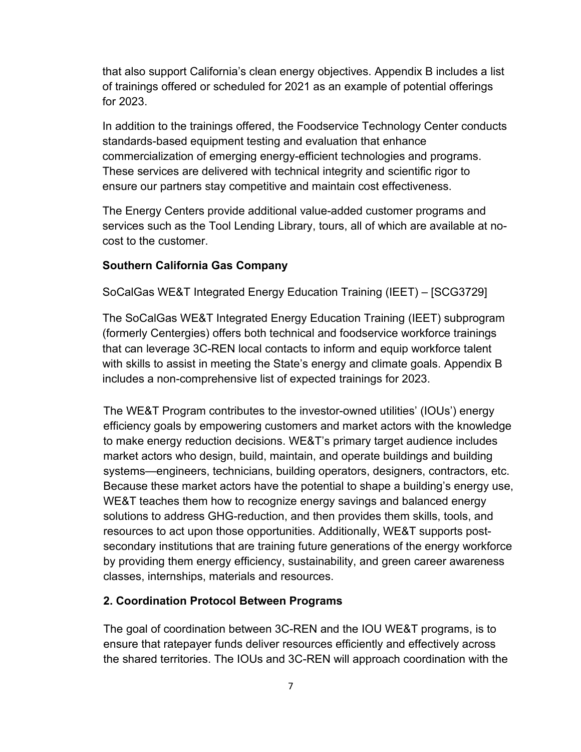that also support California's clean energy objectives. Appendix B includes a list of trainings offered or scheduled for 2021 as an example of potential offerings for 2023.

In addition to the trainings offered, the Foodservice Technology Center conducts standards-based equipment testing and evaluation that enhance commercialization of emerging energy-efficient technologies and programs. These services are delivered with technical integrity and scientific rigor to ensure our partners stay competitive and maintain cost effectiveness.

The Energy Centers provide additional value-added customer programs and services such as the Tool Lending Library, tours, all of which are available at nocost to the customer.

#### **Southern California Gas Company**

SoCalGas WE&T Integrated Energy Education Training (IEET) – [SCG3729]

The SoCalGas WE&T Integrated Energy Education Training (IEET) subprogram (formerly Centergies) offers both technical and foodservice workforce trainings that can leverage 3C-REN local contacts to inform and equip workforce talent with skills to assist in meeting the State's energy and climate goals. Appendix B includes a non-comprehensive list of expected trainings for 2023.

The WE&T Program contributes to the investor-owned utilities' (IOUs') energy efficiency goals by empowering customers and market actors with the knowledge to make energy reduction decisions. WE&T's primary target audience includes market actors who design, build, maintain, and operate buildings and building systems—engineers, technicians, building operators, designers, contractors, etc. Because these market actors have the potential to shape a building's energy use, WE&T teaches them how to recognize energy savings and balanced energy solutions to address GHG-reduction, and then provides them skills, tools, and resources to act upon those opportunities. Additionally, WE&T supports postsecondary institutions that are training future generations of the energy workforce by providing them energy efficiency, sustainability, and green career awareness classes, internships, materials and resources.

#### **2. Coordination Protocol Between Programs**

The goal of coordination between 3C-REN and the IOU WE&T programs, is to ensure that ratepayer funds deliver resources efficiently and effectively across the shared territories. The IOUs and 3C-REN will approach coordination with the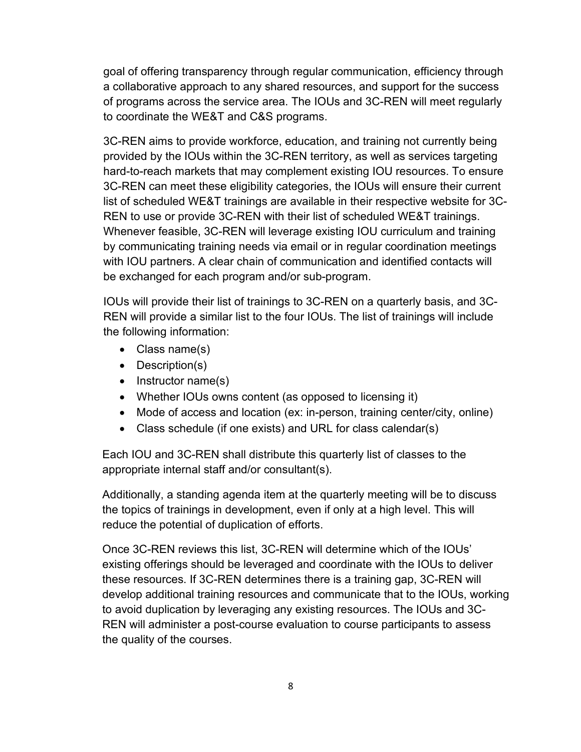goal of offering transparency through regular communication, efficiency through a collaborative approach to any shared resources, and support for the success of programs across the service area. The IOUs and 3C-REN will meet regularly to coordinate the WE&T and C&S programs.

3C-REN aims to provide workforce, education, and training not currently being provided by the IOUs within the 3C-REN territory, as well as services targeting hard-to-reach markets that may complement existing IOU resources. To ensure 3C-REN can meet these eligibility categories, the IOUs will ensure their current list of scheduled WE&T trainings are available in their respective website for 3C-REN to use or provide 3C-REN with their list of scheduled WE&T trainings. Whenever feasible, 3C-REN will leverage existing IOU curriculum and training by communicating training needs via email or in regular coordination meetings with IOU partners. A clear chain of communication and identified contacts will be exchanged for each program and/or sub-program.

IOUs will provide their list of trainings to 3C-REN on a quarterly basis, and 3C-REN will provide a similar list to the four IOUs. The list of trainings will include the following information:

- Class name(s)
- Description(s)
- Instructor name(s)
- Whether IOUs owns content (as opposed to licensing it)
- Mode of access and location (ex: in-person, training center/city, online)
- Class schedule (if one exists) and URL for class calendar(s)

Each IOU and 3C-REN shall distribute this quarterly list of classes to the appropriate internal staff and/or consultant(s).

Additionally, a standing agenda item at the quarterly meeting will be to discuss the topics of trainings in development, even if only at a high level. This will reduce the potential of duplication of efforts.

Once 3C-REN reviews this list, 3C-REN will determine which of the IOUs' existing offerings should be leveraged and coordinate with the IOUs to deliver these resources. If 3C-REN determines there is a training gap, 3C-REN will develop additional training resources and communicate that to the IOUs, working to avoid duplication by leveraging any existing resources. The IOUs and 3C-REN will administer a post-course evaluation to course participants to assess the quality of the courses.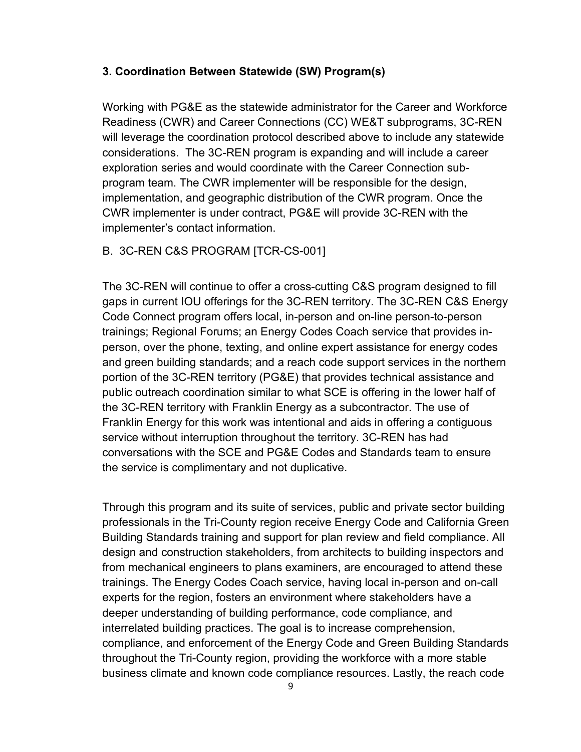#### **3. Coordination Between Statewide (SW) Program(s)**

Working with PG&E as the statewide administrator for the Career and Workforce Readiness (CWR) and Career Connections (CC) WE&T subprograms, 3C-REN will leverage the coordination protocol described above to include any statewide considerations. The 3C-REN program is expanding and will include a career exploration series and would coordinate with the Career Connection subprogram team. The CWR implementer will be responsible for the design, implementation, and geographic distribution of the CWR program. Once the CWR implementer is under contract, PG&E will provide 3C-REN with the implementer's contact information.

#### B. 3C-REN C&S PROGRAM [TCR-CS-001]

The 3C-REN will continue to offer a cross-cutting C&S program designed to fill gaps in current IOU offerings for the 3C-REN territory. The 3C-REN C&S Energy Code Connect program offers local, in-person and on-line person-to-person trainings; Regional Forums; an Energy Codes Coach service that provides inperson, over the phone, texting, and online expert assistance for energy codes and green building standards; and a reach code support services in the northern portion of the 3C-REN territory (PG&E) that provides technical assistance and public outreach coordination similar to what SCE is offering in the lower half of the 3C-REN territory with Franklin Energy as a subcontractor. The use of Franklin Energy for this work was intentional and aids in offering a contiguous service without interruption throughout the territory. 3C-REN has had conversations with the SCE and PG&E Codes and Standards team to ensure the service is complimentary and not duplicative.

Through this program and its suite of services, public and private sector building professionals in the Tri-County region receive Energy Code and California Green Building Standards training and support for plan review and field compliance. All design and construction stakeholders, from architects to building inspectors and from mechanical engineers to plans examiners, are encouraged to attend these trainings. The Energy Codes Coach service, having local in-person and on-call experts for the region, fosters an environment where stakeholders have a deeper understanding of building performance, code compliance, and interrelated building practices. The goal is to increase comprehension, compliance, and enforcement of the Energy Code and Green Building Standards throughout the Tri-County region, providing the workforce with a more stable business climate and known code compliance resources. Lastly, the reach code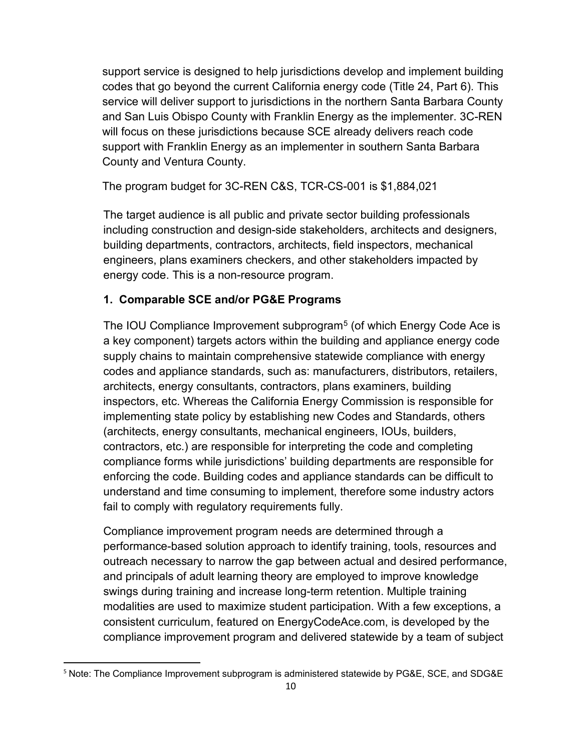support service is designed to help jurisdictions develop and implement building codes that go beyond the current California energy code (Title 24, Part 6). This service will deliver support to jurisdictions in the northern Santa Barbara County and San Luis Obispo County with Franklin Energy as the implementer. 3C-REN will focus on these jurisdictions because SCE already delivers reach code support with Franklin Energy as an implementer in southern Santa Barbara County and Ventura County.

The program budget for 3C-REN C&S, TCR-CS-001 is \$1,884,021

The target audience is all public and private sector building professionals including construction and design-side stakeholders, architects and designers, building departments, contractors, architects, field inspectors, mechanical engineers, plans examiners checkers, and other stakeholders impacted by energy code. This is a non-resource program.

#### **1. Comparable SCE and/or PG&E Programs**

The IOU Compliance Improvement subprogram<sup>[5](#page-10-0)</sup> (of which Energy Code Ace is a key component) targets actors within the building and appliance energy code supply chains to maintain comprehensive statewide compliance with energy codes and appliance standards, such as: manufacturers, distributors, retailers, architects, energy consultants, contractors, plans examiners, building inspectors, etc. Whereas the California Energy Commission is responsible for implementing state policy by establishing new Codes and Standards, others (architects, energy consultants, mechanical engineers, IOUs, builders, contractors, etc.) are responsible for interpreting the code and completing compliance forms while jurisdictions' building departments are responsible for enforcing the code. Building codes and appliance standards can be difficult to understand and time consuming to implement, therefore some industry actors fail to comply with regulatory requirements fully.

Compliance improvement program needs are determined through a performance-based solution approach to identify training, tools, resources and outreach necessary to narrow the gap between actual and desired performance, and principals of adult learning theory are employed to improve knowledge swings during training and increase long-term retention. Multiple training modalities are used to maximize student participation. With a few exceptions, a consistent curriculum, featured on EnergyCodeAce.com, is developed by the compliance improvement program and delivered statewide by a team of subject

<span id="page-10-0"></span><sup>5</sup> Note: The Compliance Improvement subprogram is administered statewide by PG&E, SCE, and SDG&E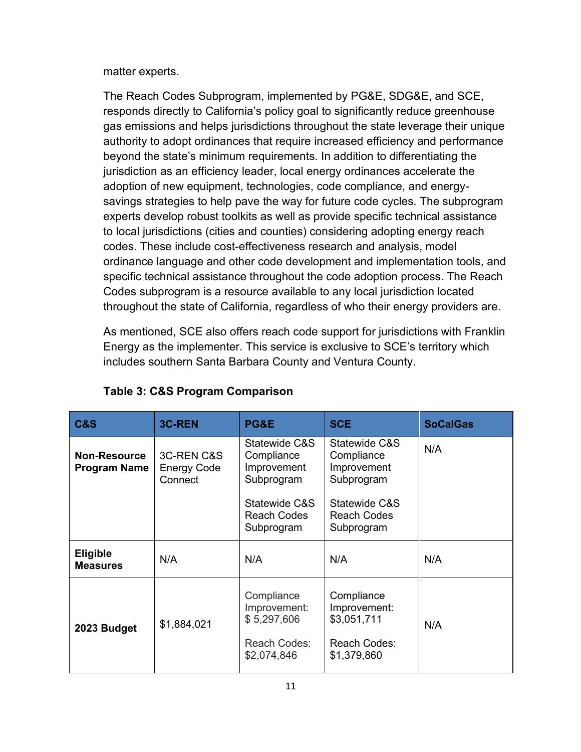matter experts.

The Reach Codes Subprogram, implemented by PG&E, SDG&E, and SCE, responds directly to California's policy goal to significantly reduce greenhouse gas emissions and helps jurisdictions throughout the state leverage their unique authority to adopt ordinances that require increased efficiency and performance beyond the state's minimum requirements. In addition to differentiating the jurisdiction as an efficiency leader, local energy ordinances accelerate the adoption of new equipment, technologies, code compliance, and energysavings strategies to help pave the way for future code cycles. The subprogram experts develop robust toolkits as well as provide specific technical assistance to local jurisdictions (cities and counties) considering adopting energy reach codes. These include cost-effectiveness research and analysis, model ordinance language and other code development and implementation tools, and specific technical assistance throughout the code adoption process. The Reach Codes subprogram is a resource available to any local jurisdiction located throughout the state of California, regardless of who their energy providers are.

As mentioned, SCE also offers reach code support for jurisdictions with Franklin Energy as the implementer. This service is exclusive to SCE's territory which includes southern Santa Barbara County and Ventura County.

| <b>C&amp;S</b>                             | <b>3C-REN</b>                                          | <b>PG&amp;E</b>                                                          | <b>SCE</b>                                                               | <b>SoCalGas</b> |
|--------------------------------------------|--------------------------------------------------------|--------------------------------------------------------------------------|--------------------------------------------------------------------------|-----------------|
| <b>Non-Resource</b><br><b>Program Name</b> | <b>3C-REN C&amp;S</b><br><b>Energy Code</b><br>Connect | Statewide C&S<br>Compliance<br>Improvement<br>Subprogram                 | Statewide C&S<br>Compliance<br>Improvement<br>Subprogram                 | N/A             |
|                                            |                                                        | Statewide C&S<br><b>Reach Codes</b><br>Subprogram                        | Statewide C&S<br><b>Reach Codes</b><br>Subprogram                        |                 |
| <b>Eligible</b><br><b>Measures</b>         | N/A                                                    | N/A                                                                      | N/A                                                                      | N/A             |
| 2023 Budget                                | \$1,884,021                                            | Compliance<br>Improvement:<br>\$5,297,606<br>Reach Codes:<br>\$2,074,846 | Compliance<br>Improvement:<br>\$3,051,711<br>Reach Codes:<br>\$1,379,860 | N/A             |

## **Table 3: C&S Program Comparison**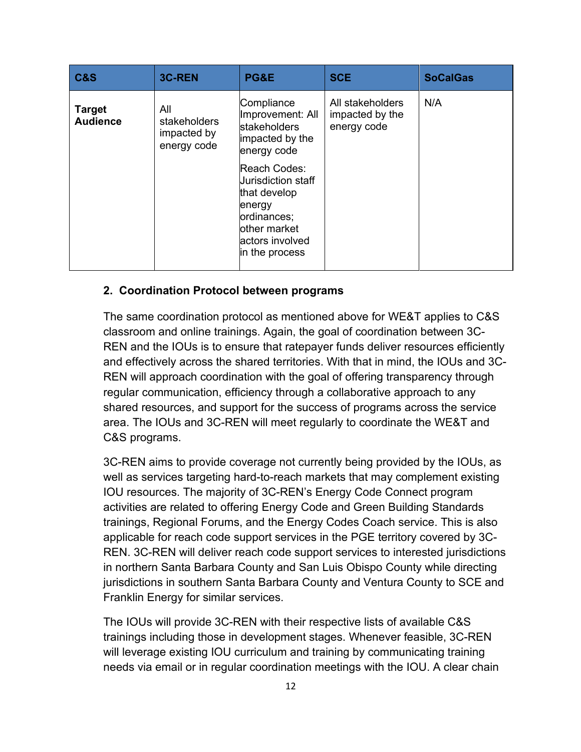| <b>C&amp;S</b>                   | <b>3C-REN</b>                                     | PG&E                                                                                                                              | <b>SCE</b>                                         | <b>SoCalGas</b> |
|----------------------------------|---------------------------------------------------|-----------------------------------------------------------------------------------------------------------------------------------|----------------------------------------------------|-----------------|
| <b>Target</b><br><b>Audience</b> | All<br>stakeholders<br>impacted by<br>energy code | Compliance<br>Improvement: All<br><b>stakeholders</b><br>impacted by the<br>energy code                                           | All stakeholders<br>impacted by the<br>energy code | N/A             |
|                                  |                                                   | Reach Codes:<br>Jurisdiction staff<br>that develop<br>energy<br>ordinances;<br>other market<br>lactors involved<br>in the process |                                                    |                 |

#### **2. Coordination Protocol between programs**

The same coordination protocol as mentioned above for WE&T applies to C&S classroom and online trainings. Again, the goal of coordination between 3C-REN and the IOUs is to ensure that ratepayer funds deliver resources efficiently and effectively across the shared territories. With that in mind, the IOUs and 3C-REN will approach coordination with the goal of offering transparency through regular communication, efficiency through a collaborative approach to any shared resources, and support for the success of programs across the service area. The IOUs and 3C-REN will meet regularly to coordinate the WE&T and C&S programs.

3C-REN aims to provide coverage not currently being provided by the IOUs, as well as services targeting hard-to-reach markets that may complement existing IOU resources. The majority of 3C-REN's Energy Code Connect program activities are related to offering Energy Code and Green Building Standards trainings, Regional Forums, and the Energy Codes Coach service. This is also applicable for reach code support services in the PGE territory covered by 3C-REN. 3C-REN will deliver reach code support services to interested jurisdictions in northern Santa Barbara County and San Luis Obispo County while directing jurisdictions in southern Santa Barbara County and Ventura County to SCE and Franklin Energy for similar services.

The IOUs will provide 3C-REN with their respective lists of available C&S trainings including those in development stages. Whenever feasible, 3C-REN will leverage existing IOU curriculum and training by communicating training needs via email or in regular coordination meetings with the IOU. A clear chain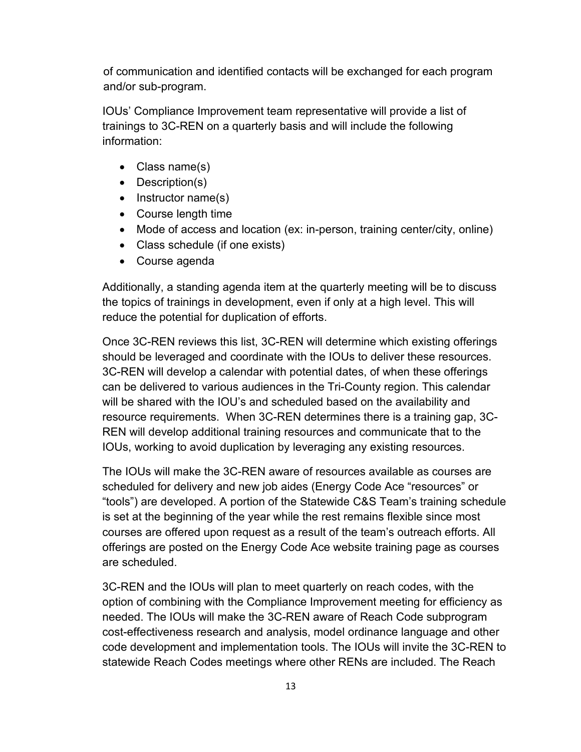of communication and identified contacts will be exchanged for each program and/or sub-program.

IOUs' Compliance Improvement team representative will provide a list of trainings to 3C-REN on a quarterly basis and will include the following information:

- Class name(s)
- Description(s)
- Instructor name(s)
- Course length time
- Mode of access and location (ex: in-person, training center/city, online)
- Class schedule (if one exists)
- Course agenda

Additionally, a standing agenda item at the quarterly meeting will be to discuss the topics of trainings in development, even if only at a high level. This will reduce the potential for duplication of efforts.

Once 3C-REN reviews this list, 3C-REN will determine which existing offerings should be leveraged and coordinate with the IOUs to deliver these resources. 3C-REN will develop a calendar with potential dates, of when these offerings can be delivered to various audiences in the Tri-County region. This calendar will be shared with the IOU's and scheduled based on the availability and resource requirements. When 3C-REN determines there is a training gap, 3C-REN will develop additional training resources and communicate that to the IOUs, working to avoid duplication by leveraging any existing resources.

The IOUs will make the 3C-REN aware of resources available as courses are scheduled for delivery and new job aides (Energy Code Ace "resources" or "tools") are developed. A portion of the Statewide C&S Team's training schedule is set at the beginning of the year while the rest remains flexible since most courses are offered upon request as a result of the team's outreach efforts. All offerings are posted on the Energy Code Ace website training page as courses are scheduled.

3C-REN and the IOUs will plan to meet quarterly on reach codes, with the option of combining with the Compliance Improvement meeting for efficiency as needed. The IOUs will make the 3C-REN aware of Reach Code subprogram cost-effectiveness research and analysis, model ordinance language and other code development and implementation tools. The IOUs will invite the 3C-REN to statewide Reach Codes meetings where other RENs are included. The Reach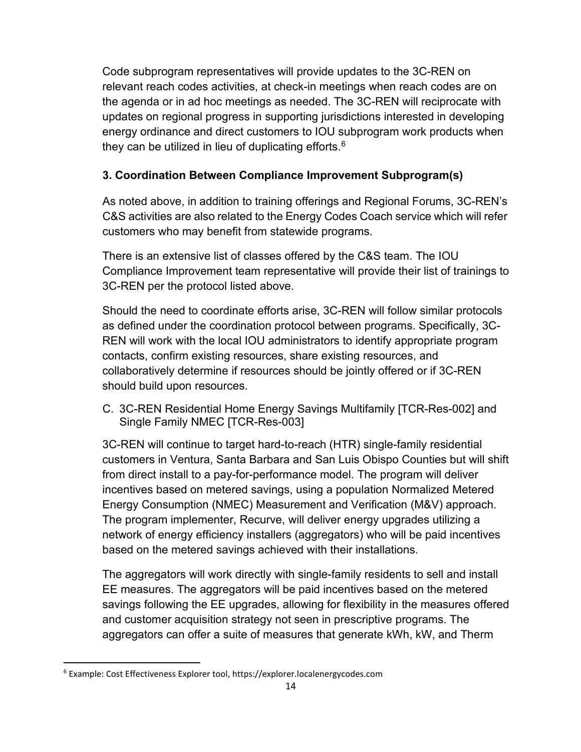Code subprogram representatives will provide updates to the 3C-REN on relevant reach codes activities, at check-in meetings when reach codes are on the agenda or in ad hoc meetings as needed. The 3C-REN will reciprocate with updates on regional progress in supporting jurisdictions interested in developing energy ordinance and direct customers to IOU subprogram work products when they can be utilized in lieu of duplicating efforts. $6$ 

## **3. Coordination Between Compliance Improvement Subprogram(s)**

As noted above, in addition to training offerings and Regional Forums, 3C-REN's C&S activities are also related to the Energy Codes Coach service which will refer customers who may benefit from statewide programs.

There is an extensive list of classes offered by the C&S team. The IOU Compliance Improvement team representative will provide their list of trainings to 3C-REN per the protocol listed above.

Should the need to coordinate efforts arise, 3C-REN will follow similar protocols as defined under the coordination protocol between programs. Specifically, 3C-REN will work with the local IOU administrators to identify appropriate program contacts, confirm existing resources, share existing resources, and collaboratively determine if resources should be jointly offered or if 3C-REN should build upon resources.

C. 3C-REN Residential Home Energy Savings Multifamily [TCR-Res-002] and Single Family NMEC [TCR-Res-003]

3C-REN will continue to target hard-to-reach (HTR) single-family residential customers in Ventura, Santa Barbara and San Luis Obispo Counties but will shift from direct install to a pay-for-performance model. The program will deliver incentives based on metered savings, using a population Normalized Metered Energy Consumption (NMEC) Measurement and Verification (M&V) approach. The program implementer, Recurve, will deliver energy upgrades utilizing a network of energy efficiency installers (aggregators) who will be paid incentives based on the metered savings achieved with their installations.

The aggregators will work directly with single-family residents to sell and install EE measures. The aggregators will be paid incentives based on the metered savings following the EE upgrades, allowing for flexibility in the measures offered and customer acquisition strategy not seen in prescriptive programs. The aggregators can offer a suite of measures that generate kWh, kW, and Therm

<span id="page-14-0"></span><sup>6</sup> Example: Cost Effectiveness Explorer tool, https://explorer.localenergycodes.com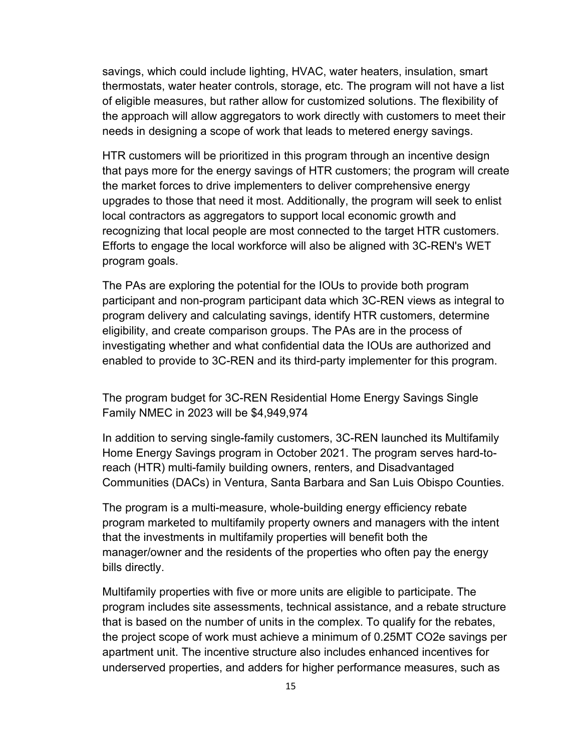savings, which could include lighting, HVAC, water heaters, insulation, smart thermostats, water heater controls, storage, etc. The program will not have a list of eligible measures, but rather allow for customized solutions. The flexibility of the approach will allow aggregators to work directly with customers to meet their needs in designing a scope of work that leads to metered energy savings.

HTR customers will be prioritized in this program through an incentive design that pays more for the energy savings of HTR customers; the program will create the market forces to drive implementers to deliver comprehensive energy upgrades to those that need it most. Additionally, the program will seek to enlist local contractors as aggregators to support local economic growth and recognizing that local people are most connected to the target HTR customers. Efforts to engage the local workforce will also be aligned with 3C-REN's WET program goals.

The PAs are exploring the potential for the IOUs to provide both program participant and non-program participant data which 3C-REN views as integral to program delivery and calculating savings, identify HTR customers, determine eligibility, and create comparison groups. The PAs are in the process of investigating whether and what confidential data the IOUs are authorized and enabled to provide to 3C-REN and its third-party implementer for this program.

The program budget for 3C-REN Residential Home Energy Savings Single Family NMEC in 2023 will be \$4,949,974

In addition to serving single-family customers, 3C-REN launched its Multifamily Home Energy Savings program in October 2021. The program serves hard-toreach (HTR) multi-family building owners, renters, and Disadvantaged Communities (DACs) in Ventura, Santa Barbara and San Luis Obispo Counties.

The program is a multi-measure, whole-building energy efficiency rebate program marketed to multifamily property owners and managers with the intent that the investments in multifamily properties will benefit both the manager/owner and the residents of the properties who often pay the energy bills directly.

Multifamily properties with five or more units are eligible to participate. The program includes site assessments, technical assistance, and a rebate structure that is based on the number of units in the complex. To qualify for the rebates, the project scope of work must achieve a minimum of 0.25MT CO2e savings per apartment unit. The incentive structure also includes enhanced incentives for underserved properties, and adders for higher performance measures, such as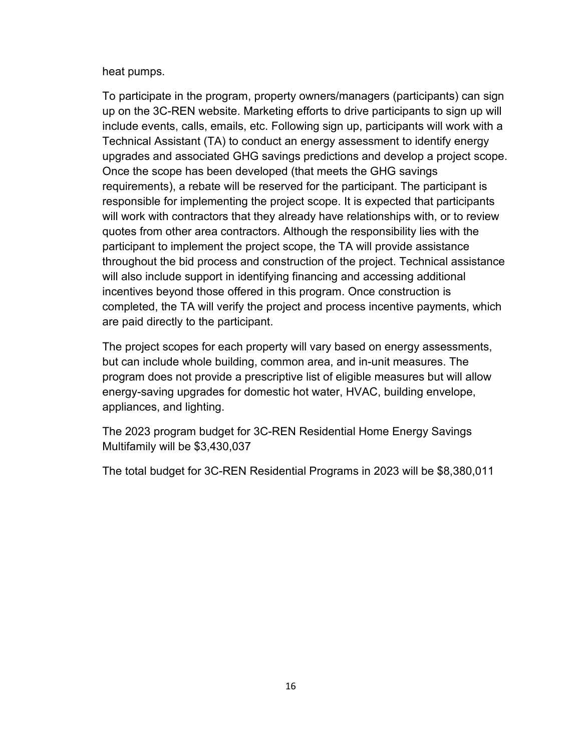heat pumps.

To participate in the program, property owners/managers (participants) can sign up on the 3C-REN website. Marketing efforts to drive participants to sign up will include events, calls, emails, etc. Following sign up, participants will work with a Technical Assistant (TA) to conduct an energy assessment to identify energy upgrades and associated GHG savings predictions and develop a project scope. Once the scope has been developed (that meets the GHG savings requirements), a rebate will be reserved for the participant. The participant is responsible for implementing the project scope. It is expected that participants will work with contractors that they already have relationships with, or to review quotes from other area contractors. Although the responsibility lies with the participant to implement the project scope, the TA will provide assistance throughout the bid process and construction of the project. Technical assistance will also include support in identifying financing and accessing additional incentives beyond those offered in this program. Once construction is completed, the TA will verify the project and process incentive payments, which are paid directly to the participant.

The project scopes for each property will vary based on energy assessments, but can include whole building, common area, and in-unit measures. The program does not provide a prescriptive list of eligible measures but will allow energy-saving upgrades for domestic hot water, HVAC, building envelope, appliances, and lighting.

The 2023 program budget for 3C-REN Residential Home Energy Savings Multifamily will be \$3,430,037

The total budget for 3C-REN Residential Programs in 2023 will be \$8,380,011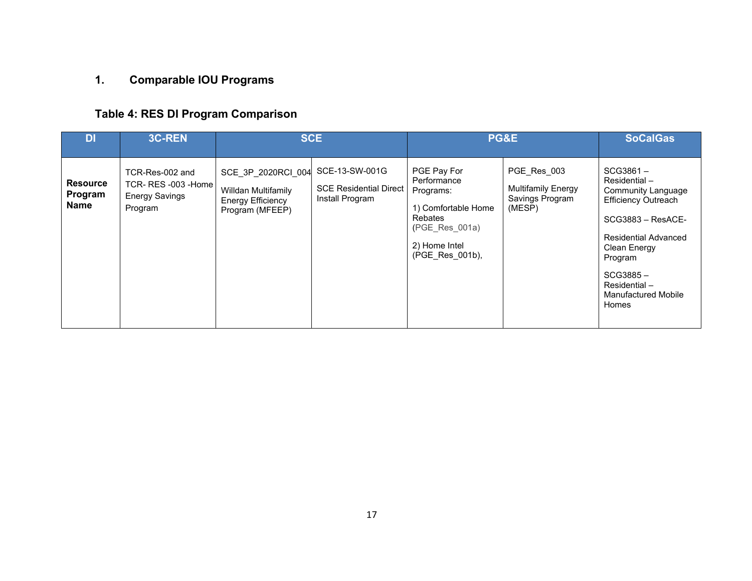# **1. Comparable IOU Programs**

# **Table 4: RES DI Program Comparison**

| DI                                        | 3C-REN                                                                  |                                                                                          | <b>SCE</b>                                                         |                                                                                                                                        | PG&E                                                                  | <b>SoCalGas</b>                                                                                                                                                                                                                       |
|-------------------------------------------|-------------------------------------------------------------------------|------------------------------------------------------------------------------------------|--------------------------------------------------------------------|----------------------------------------------------------------------------------------------------------------------------------------|-----------------------------------------------------------------------|---------------------------------------------------------------------------------------------------------------------------------------------------------------------------------------------------------------------------------------|
| <b>Resource</b><br>Program<br><b>Name</b> | TCR-Res-002 and<br>TCR-RES-003-Home<br><b>Energy Savings</b><br>Program | SCE 3P 2020RCI 004<br>Willdan Multifamily<br><b>Energy Efficiency</b><br>Program (MFEEP) | SCE-13-SW-001G<br><b>SCE Residential Direct</b><br>Install Program | PGE Pay For<br>Performance<br>Programs:<br>1) Comfortable Home<br><b>Rebates</b><br>(PGE_Res_001a)<br>2) Home Intel<br>(PGE Res 001b), | PGE Res 003<br><b>Multifamily Energy</b><br>Savings Program<br>(MESP) | SCG3861-<br>Residential-<br><b>Community Language</b><br><b>Efficiency Outreach</b><br>SCG3883 - ResACE-<br><b>Residential Advanced</b><br>Clean Energy<br>Program<br>SCG3885-<br>Residential-<br><b>Manufactured Mobile</b><br>Homes |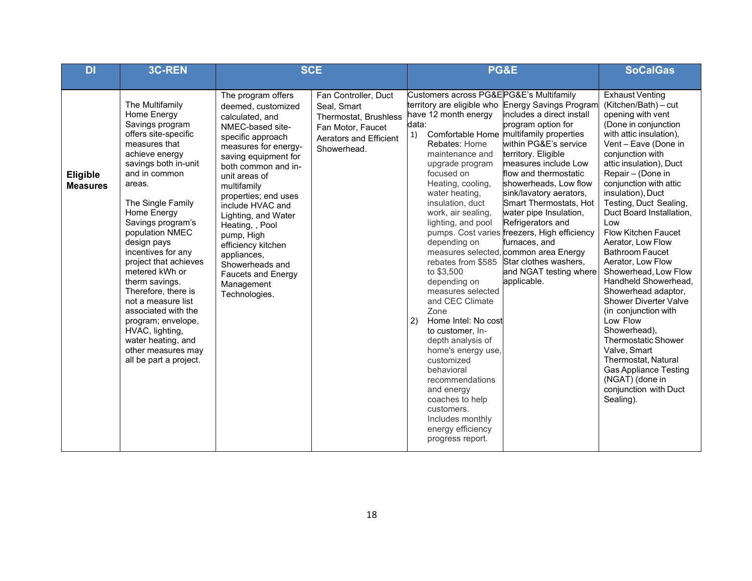| DI                                 | <b>3C-REN</b>                                                                                                                                                                                                                                                                                                                                                                                                                                                                                                                    | <b>SCE</b>                                                                                                                                                                                                                                                                                                                                                                                                                          |                                                                                                                            | PG&E              |                                                                                                                                                                                                                                                                                                                                                                                                                                                                                                                                                                                                                                                 | <b>SoCalGas</b>                                                                                                                                                                                                                                                                                                                                                                                                                                                                                                                       |                                                                                                                                                                                                                                                                                                                                                                                                                                                                                                                                                                                                                                                                                                                                                           |
|------------------------------------|----------------------------------------------------------------------------------------------------------------------------------------------------------------------------------------------------------------------------------------------------------------------------------------------------------------------------------------------------------------------------------------------------------------------------------------------------------------------------------------------------------------------------------|-------------------------------------------------------------------------------------------------------------------------------------------------------------------------------------------------------------------------------------------------------------------------------------------------------------------------------------------------------------------------------------------------------------------------------------|----------------------------------------------------------------------------------------------------------------------------|-------------------|-------------------------------------------------------------------------------------------------------------------------------------------------------------------------------------------------------------------------------------------------------------------------------------------------------------------------------------------------------------------------------------------------------------------------------------------------------------------------------------------------------------------------------------------------------------------------------------------------------------------------------------------------|---------------------------------------------------------------------------------------------------------------------------------------------------------------------------------------------------------------------------------------------------------------------------------------------------------------------------------------------------------------------------------------------------------------------------------------------------------------------------------------------------------------------------------------|-----------------------------------------------------------------------------------------------------------------------------------------------------------------------------------------------------------------------------------------------------------------------------------------------------------------------------------------------------------------------------------------------------------------------------------------------------------------------------------------------------------------------------------------------------------------------------------------------------------------------------------------------------------------------------------------------------------------------------------------------------------|
|                                    |                                                                                                                                                                                                                                                                                                                                                                                                                                                                                                                                  |                                                                                                                                                                                                                                                                                                                                                                                                                                     |                                                                                                                            |                   |                                                                                                                                                                                                                                                                                                                                                                                                                                                                                                                                                                                                                                                 |                                                                                                                                                                                                                                                                                                                                                                                                                                                                                                                                       |                                                                                                                                                                                                                                                                                                                                                                                                                                                                                                                                                                                                                                                                                                                                                           |
| <b>Eligible</b><br><b>Measures</b> | The Multifamily<br>Home Energy<br>Savings program<br>offers site-specific<br>measures that<br>achieve energy<br>savings both in-unit<br>and in common<br>areas.<br>The Single Family<br>Home Energy<br>Savings program's<br>population NMEC<br>design pays<br>incentives for any<br>project that achieves<br>metered kWh or<br>therm savings.<br>Therefore, there is<br>not a measure list<br>associated with the<br>program; envelope,<br>HVAC, lighting,<br>water heating, and<br>other measures may<br>all be part a project. | The program offers<br>deemed, customized<br>calculated, and<br>NMEC-based site-<br>specific approach<br>measures for energy-<br>saving equipment for<br>both common and in-<br>unit areas of<br>multifamily<br>properties; end uses<br>include HVAC and<br>Lighting, and Water<br>Heating, , Pool<br>pump, High<br>efficiency kitchen<br>appliances,<br>Showerheads and<br><b>Faucets and Energy</b><br>Management<br>Technologies. | Fan Controller, Duct<br>Seal, Smart<br>Thermostat, Brushless<br>Fan Motor, Faucet<br>Aerators and Efficient<br>Showerhead. | data:<br>1)<br>2) | Customers across PG&E PG&E's Multifamily<br>territory are eligible who<br>have 12 month energy<br>Rebates: Home<br>maintenance and<br>upgrade program<br>focused on<br>Heating, cooling,<br>water heating,<br>insulation, duct<br>work, air sealing,<br>lighting, and pool<br>depending on<br>rebates from \$585<br>to \$3,500<br>depending on<br>measures selected<br>and CEC Climate<br>Zone<br>Home Intel: No cost<br>to customer, In-<br>depth analysis of<br>home's energy use,<br>customized<br>behavioral<br>recommendations<br>and energy<br>coaches to help<br>customers.<br>Includes monthly<br>energy efficiency<br>progress report. | <b>Energy Savings Program</b><br>includes a direct install<br>program option for<br>Comfortable Home multifamily properties<br>within PG&E's service<br>territory. Eligible<br>measures include Low<br>flow and thermostatic<br>showerheads, Low flow<br>sink/lavatory aerators,<br>Smart Thermostats, Hot<br>water pipe Insulation,<br>Refrigerators and<br>pumps. Cost varies freezers, High efficiency<br>furnaces, and<br>measures selected, common area Energy<br>Star clothes washers,<br>and NGAT testing where<br>applicable. | <b>Exhaust Venting</b><br>(Kitchen/Bath) - cut<br>opening with vent<br>(Done in conjunction<br>with attic insulation),<br>Vent - Eave (Done in<br>conjunction with<br>attic insulation), Duct<br>Repair - (Done in<br>conjunction with attic<br>insulation), Duct<br>Testing, Duct Sealing,<br>Duct Board Installation,<br>Low<br><b>Flow Kitchen Faucet</b><br>Aerator, Low Flow<br><b>Bathroom Faucet</b><br>Aerator, Low Flow<br>Showerhead, Low Flow<br>Handheld Showerhead,<br>Showerhead adaptor,<br><b>Shower Diverter Valve</b><br>(in conjunction with<br>Low Flow<br>Showerhead),<br><b>Thermostatic Shower</b><br>Valve, Smart<br>Thermostat, Natural<br><b>Gas Appliance Testing</b><br>(NGAT) (done in<br>conjunction with Duct<br>Sealing). |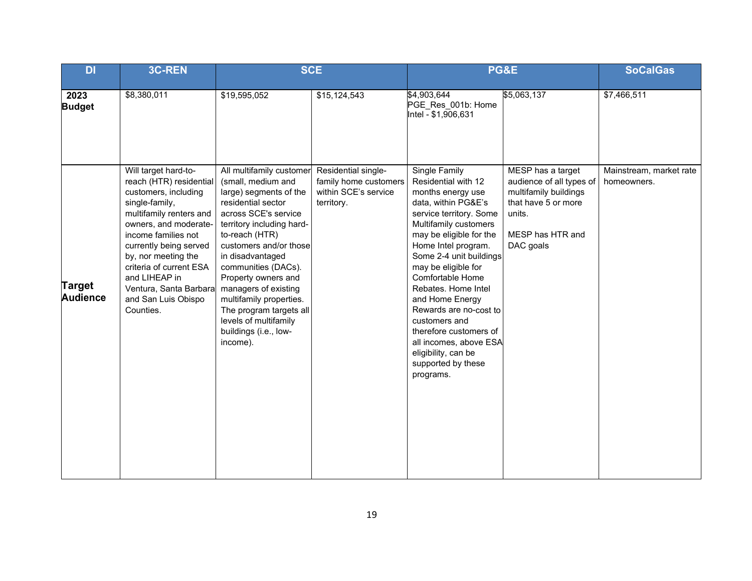| DI                               | <b>3C-REN</b>                                                                                                                                                                                                                                                                                                                   |                                                                                                                                                                                                                                                                                                                                                                                                               | <b>SCE</b>                                                                         |                                                                                                                                                                                                                                                                                                                                                                                                                                                                 | PG&E                                                                                                                                     | <b>SoCalGas</b>                        |
|----------------------------------|---------------------------------------------------------------------------------------------------------------------------------------------------------------------------------------------------------------------------------------------------------------------------------------------------------------------------------|---------------------------------------------------------------------------------------------------------------------------------------------------------------------------------------------------------------------------------------------------------------------------------------------------------------------------------------------------------------------------------------------------------------|------------------------------------------------------------------------------------|-----------------------------------------------------------------------------------------------------------------------------------------------------------------------------------------------------------------------------------------------------------------------------------------------------------------------------------------------------------------------------------------------------------------------------------------------------------------|------------------------------------------------------------------------------------------------------------------------------------------|----------------------------------------|
| 2023<br><b>Budget</b>            | \$8,380,011                                                                                                                                                                                                                                                                                                                     | \$19,595,052                                                                                                                                                                                                                                                                                                                                                                                                  | \$15,124,543                                                                       | \$4,903,644<br>PGE Res 001b: Home<br>Intel - \$1,906,631                                                                                                                                                                                                                                                                                                                                                                                                        | \$5,063,137                                                                                                                              | \$7,466,511                            |
| <b>Target</b><br><b>Audience</b> | Will target hard-to-<br>reach (HTR) residential<br>customers, including<br>single-family,<br>multifamily renters and<br>owners, and moderate-<br>income families not<br>currently being served<br>by, nor meeting the<br>criteria of current ESA<br>and LIHEAP in<br>Ventura, Santa Barbara<br>and San Luis Obispo<br>Counties. | All multifamily customer<br>(small, medium and<br>large) segments of the<br>residential sector<br>across SCE's service<br>territory including hard-<br>to-reach (HTR)<br>customers and/or those<br>in disadvantaged<br>communities (DACs).<br>Property owners and<br>managers of existing<br>multifamily properties.<br>The program targets all<br>levels of multifamily<br>buildings (i.e., low-<br>income). | Residential single-<br>family home customers<br>within SCE's service<br>territory. | Single Family<br>Residential with 12<br>months energy use<br>data, within PG&E's<br>service territory. Some<br>Multifamily customers<br>may be eligible for the<br>Home Intel program.<br>Some 2-4 unit buildings<br>may be eligible for<br>Comfortable Home<br>Rebates. Home Intel<br>and Home Energy<br>Rewards are no-cost to<br>customers and<br>therefore customers of<br>all incomes, above ESA<br>eligibility, can be<br>supported by these<br>programs. | MESP has a target<br>audience of all types of<br>multifamily buildings<br>that have 5 or more<br>units.<br>MESP has HTR and<br>DAC goals | Mainstream, market rate<br>homeowners. |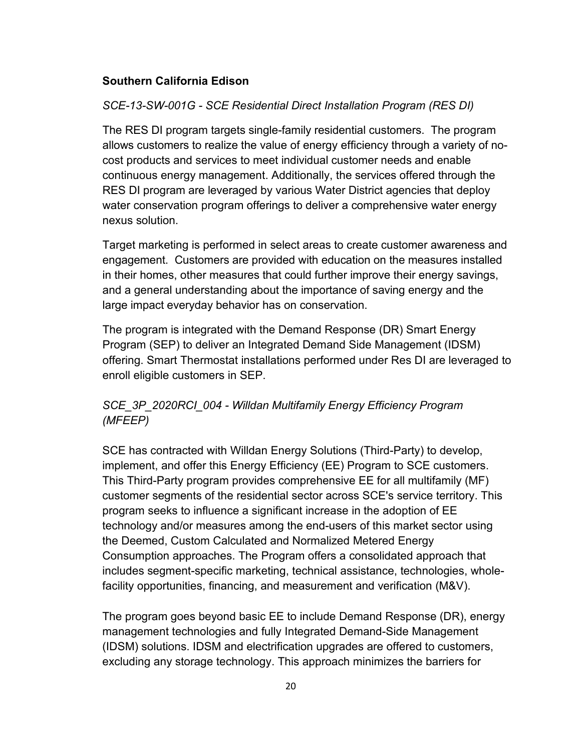#### **Southern California Edison**

#### *SCE-13-SW-001G - SCE Residential Direct Installation Program (RES DI)*

The RES DI program targets single-family residential customers. The program allows customers to realize the value of energy efficiency through a variety of nocost products and services to meet individual customer needs and enable continuous energy management. Additionally, the services offered through the RES DI program are leveraged by various Water District agencies that deploy water conservation program offerings to deliver a comprehensive water energy nexus solution.

Target marketing is performed in select areas to create customer awareness and engagement. Customers are provided with education on the measures installed in their homes, other measures that could further improve their energy savings, and a general understanding about the importance of saving energy and the large impact everyday behavior has on conservation.

The program is integrated with the Demand Response (DR) Smart Energy Program (SEP) to deliver an Integrated Demand Side Management (IDSM) offering. Smart Thermostat installations performed under Res DI are leveraged to enroll eligible customers in SEP.

## *SCE\_3P\_2020RCI\_004 - Willdan Multifamily Energy Efficiency Program (MFEEP)*

SCE has contracted with Willdan Energy Solutions (Third-Party) to develop, implement, and offer this Energy Efficiency (EE) Program to SCE customers. This Third-Party program provides comprehensive EE for all multifamily (MF) customer segments of the residential sector across SCE's service territory. This program seeks to influence a significant increase in the adoption of EE technology and/or measures among the end-users of this market sector using the Deemed, Custom Calculated and Normalized Metered Energy Consumption approaches. The Program offers a consolidated approach that includes segment-specific marketing, technical assistance, technologies, wholefacility opportunities, financing, and measurement and verification (M&V).

The program goes beyond basic EE to include Demand Response (DR), energy management technologies and fully Integrated Demand-Side Management (IDSM) solutions. IDSM and electrification upgrades are offered to customers, excluding any storage technology. This approach minimizes the barriers for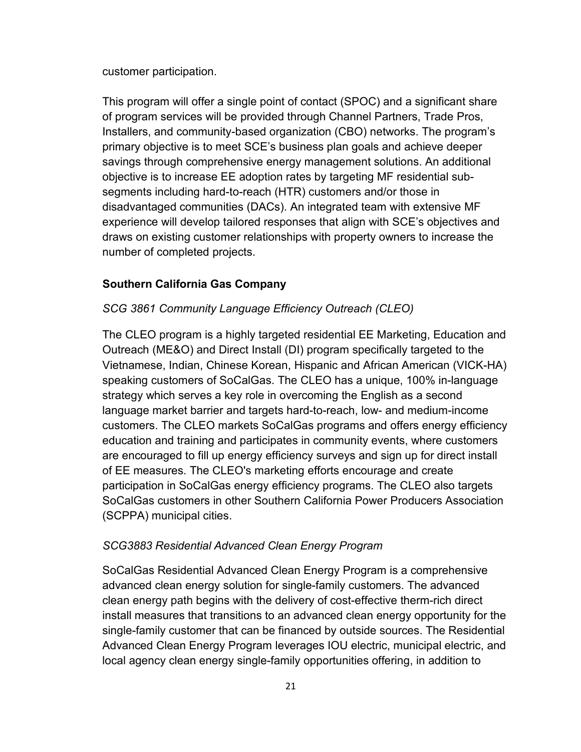customer participation.

This program will offer a single point of contact (SPOC) and a significant share of program services will be provided through Channel Partners, Trade Pros, Installers, and community-based organization (CBO) networks. The program's primary objective is to meet SCE's business plan goals and achieve deeper savings through comprehensive energy management solutions. An additional objective is to increase EE adoption rates by targeting MF residential subsegments including hard-to-reach (HTR) customers and/or those in disadvantaged communities (DACs). An integrated team with extensive MF experience will develop tailored responses that align with SCE's objectives and draws on existing customer relationships with property owners to increase the number of completed projects.

#### **Southern California Gas Company**

#### *SCG 3861 Community Language Efficiency Outreach (CLEO)*

The CLEO program is a highly targeted residential EE Marketing, Education and Outreach (ME&O) and Direct Install (DI) program specifically targeted to the Vietnamese, Indian, Chinese Korean, Hispanic and African American (VICK-HA) speaking customers of SoCalGas. The CLEO has a unique, 100% in-language strategy which serves a key role in overcoming the English as a second language market barrier and targets hard-to-reach, low- and medium-income customers. The CLEO markets SoCalGas programs and offers energy efficiency education and training and participates in community events, where customers are encouraged to fill up energy efficiency surveys and sign up for direct install of EE measures. The CLEO's marketing efforts encourage and create participation in SoCalGas energy efficiency programs. The CLEO also targets SoCalGas customers in other Southern California Power Producers Association (SCPPA) municipal cities.

#### *SCG3883 Residential Advanced Clean Energy Program*

SoCalGas Residential Advanced Clean Energy Program is a comprehensive advanced clean energy solution for single-family customers. The advanced clean energy path begins with the delivery of cost-effective therm-rich direct install measures that transitions to an advanced clean energy opportunity for the single-family customer that can be financed by outside sources. The Residential Advanced Clean Energy Program leverages IOU electric, municipal electric, and local agency clean energy single-family opportunities offering, in addition to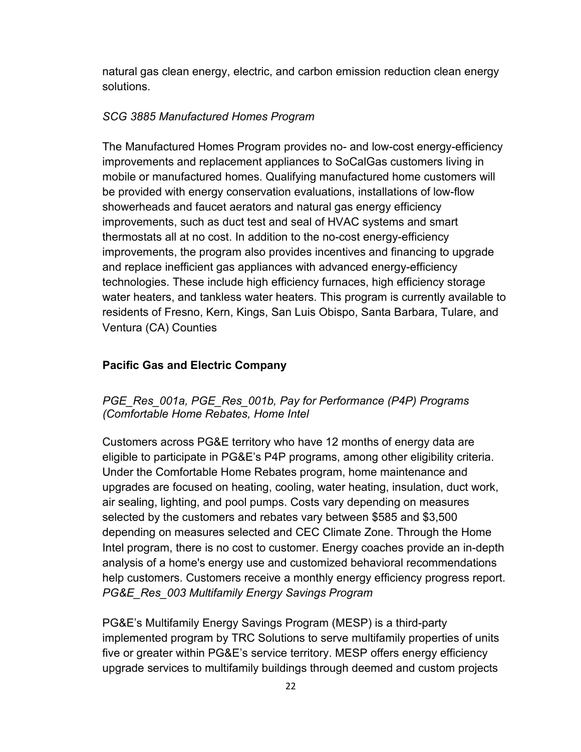natural gas clean energy, electric, and carbon emission reduction clean energy solutions.

#### *SCG 3885 Manufactured Homes Program*

The Manufactured Homes Program provides no- and low-cost energy-efficiency improvements and replacement appliances to SoCalGas customers living in mobile or manufactured homes. Qualifying manufactured home customers will be provided with energy conservation evaluations, installations of low-flow showerheads and faucet aerators and natural gas energy efficiency improvements, such as duct test and seal of HVAC systems and smart thermostats all at no cost. In addition to the no-cost energy-efficiency improvements, the program also provides incentives and financing to upgrade and replace inefficient gas appliances with advanced energy-efficiency technologies. These include high efficiency furnaces, high efficiency storage water heaters, and tankless water heaters. This program is currently available to residents of Fresno, Kern, Kings, San Luis Obispo, Santa Barbara, Tulare, and Ventura (CA) Counties

#### **Pacific Gas and Electric Company**

#### *PGE\_Res\_001a, PGE\_Res\_001b, Pay for Performance (P4P) Programs (Comfortable Home Rebates, Home Intel*

Customers across PG&E territory who have 12 months of energy data are eligible to participate in PG&E's P4P programs, among other eligibility criteria. Under the Comfortable Home Rebates program, home maintenance and upgrades are focused on heating, cooling, water heating, insulation, duct work, air sealing, lighting, and pool pumps. Costs vary depending on measures selected by the customers and rebates vary between \$585 and \$3,500 depending on measures selected and CEC Climate Zone. Through the Home Intel program, there is no cost to customer. Energy coaches provide an in-depth analysis of a home's energy use and customized behavioral recommendations help customers. Customers receive a monthly energy efficiency progress report. *PG&E\_Res\_003 Multifamily Energy Savings Program*

PG&E's Multifamily Energy Savings Program (MESP) is a third-party implemented program by TRC Solutions to serve multifamily properties of units five or greater within PG&E's service territory. MESP offers energy efficiency upgrade services to multifamily buildings through deemed and custom projects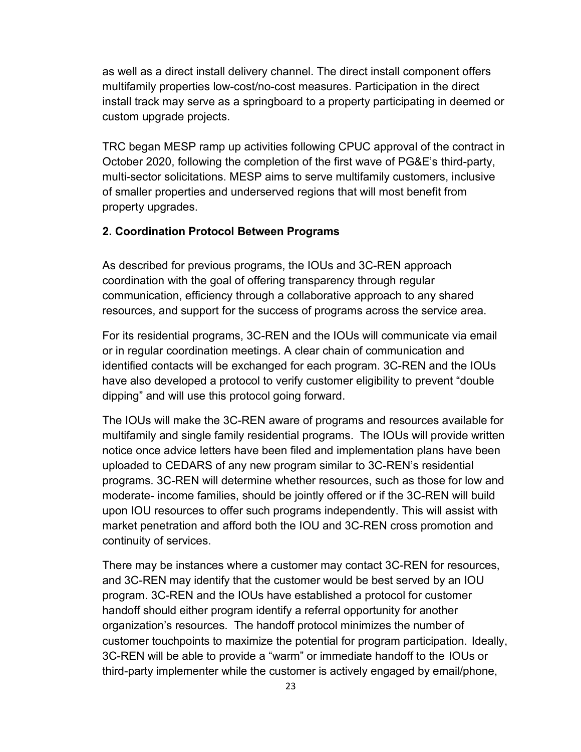as well as a direct install delivery channel. The direct install component offers multifamily properties low-cost/no-cost measures. Participation in the direct install track may serve as a springboard to a property participating in deemed or custom upgrade projects.

TRC began MESP ramp up activities following CPUC approval of the contract in October 2020, following the completion of the first wave of PG&E's third-party, multi-sector solicitations. MESP aims to serve multifamily customers, inclusive of smaller properties and underserved regions that will most benefit from property upgrades.

#### **2. Coordination Protocol Between Programs**

As described for previous programs, the IOUs and 3C-REN approach coordination with the goal of offering transparency through regular communication, efficiency through a collaborative approach to any shared resources, and support for the success of programs across the service area.

For its residential programs, 3C-REN and the IOUs will communicate via email or in regular coordination meetings. A clear chain of communication and identified contacts will be exchanged for each program. 3C-REN and the IOUs have also developed a protocol to verify customer eligibility to prevent "double dipping" and will use this protocol going forward.

The IOUs will make the 3C-REN aware of programs and resources available for multifamily and single family residential programs. The IOUs will provide written notice once advice letters have been filed and implementation plans have been uploaded to CEDARS of any new program similar to 3C-REN's residential programs. 3C-REN will determine whether resources, such as those for low and moderate- income families, should be jointly offered or if the 3C-REN will build upon IOU resources to offer such programs independently. This will assist with market penetration and afford both the IOU and 3C-REN cross promotion and continuity of services.

There may be instances where a customer may contact 3C-REN for resources, and 3C-REN may identify that the customer would be best served by an IOU program. 3C-REN and the IOUs have established a protocol for customer handoff should either program identify a referral opportunity for another organization's resources. The handoff protocol minimizes the number of customer touchpoints to maximize the potential for program participation. Ideally, 3C-REN will be able to provide a "warm" or immediate handoff to the IOUs or third-party implementer while the customer is actively engaged by email/phone,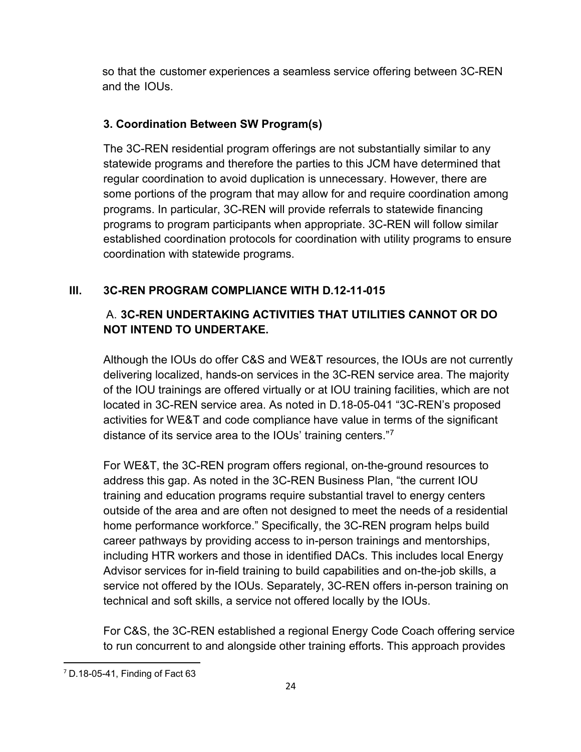so that the customer experiences a seamless service offering between 3C-REN and the IOUs.

## **3. Coordination Between SW Program(s)**

The 3C-REN residential program offerings are not substantially similar to any statewide programs and therefore the parties to this JCM have determined that regular coordination to avoid duplication is unnecessary. However, there are some portions of the program that may allow for and require coordination among programs. In particular, 3C-REN will provide referrals to statewide financing programs to program participants when appropriate. 3C-REN will follow similar established coordination protocols for coordination with utility programs to ensure coordination with statewide programs.

## **III. 3C-REN PROGRAM COMPLIANCE WITH D.12-11-015**

## A. **3C-REN UNDERTAKING ACTIVITIES THAT UTILITIES CANNOT OR DO NOT INTEND TO UNDERTAKE.**

Although the IOUs do offer C&S and WE&T resources, the IOUs are not currently delivering localized, hands-on services in the 3C-REN service area. The majority of the IOU trainings are offered virtually or at IOU training facilities, which are not located in 3C-REN service area. As noted in D.18-05-041 "3C-REN's proposed activities for WE&T and code compliance have value in terms of the significant distance of its service area to the IOUs' training centers."[7](#page-24-0)

For WE&T, the 3C-REN program offers regional, on-the-ground resources to address this gap. As noted in the 3C-REN Business Plan, "the current IOU training and education programs require substantial travel to energy centers outside of the area and are often not designed to meet the needs of a residential home performance workforce." Specifically, the 3C-REN program helps build career pathways by providing access to in-person trainings and mentorships, including HTR workers and those in identified DACs. This includes local Energy Advisor services for in-field training to build capabilities and on-the-job skills, a service not offered by the IOUs. Separately, 3C-REN offers in-person training on technical and soft skills, a service not offered locally by the IOUs.

For C&S, the 3C-REN established a regional Energy Code Coach offering service to run concurrent to and alongside other training efforts. This approach provides

<span id="page-24-0"></span><sup>7</sup> D.18-05-41, Finding of Fact 63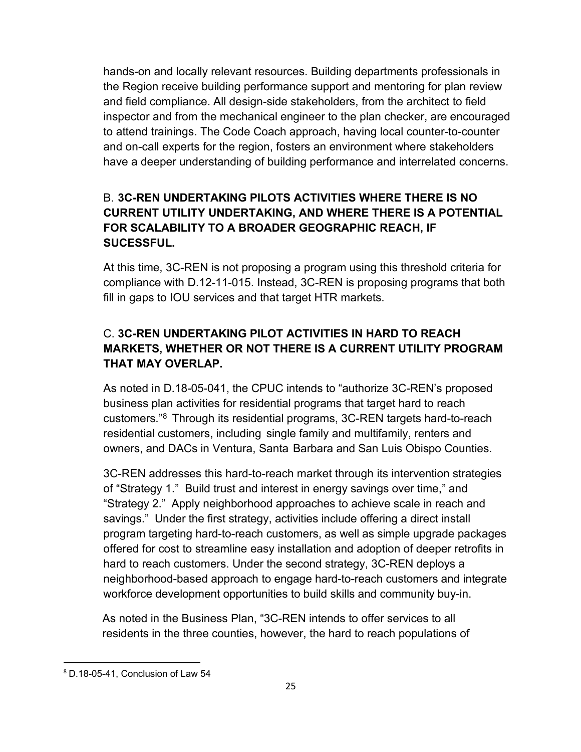hands-on and locally relevant resources. Building departments professionals in the Region receive building performance support and mentoring for plan review and field compliance. All design-side stakeholders, from the architect to field inspector and from the mechanical engineer to the plan checker, are encouraged to attend trainings. The Code Coach approach, having local counter-to-counter and on-call experts for the region, fosters an environment where stakeholders have a deeper understanding of building performance and interrelated concerns.

## B. **3C-REN UNDERTAKING PILOTS ACTIVITIES WHERE THERE IS NO CURRENT UTILITY UNDERTAKING, AND WHERE THERE IS A POTENTIAL FOR SCALABILITY TO A BROADER GEOGRAPHIC REACH, IF SUCESSFUL.**

At this time, 3C-REN is not proposing a program using this threshold criteria for compliance with D.12-11-015. Instead, 3C-REN is proposing programs that both fill in gaps to IOU services and that target HTR markets.

## C. **3C-REN UNDERTAKING PILOT ACTIVITIES IN HARD TO REACH MARKETS, WHETHER OR NOT THERE IS A CURRENT UTILITY PROGRAM THAT MAY OVERLAP.**

As noted in D.18-05-041, the CPUC intends to "authorize 3C-REN's proposed business plan activities for residential programs that target hard to reach customers."[8](#page-25-0) Through its residential programs, 3C-REN targets hard-to-reach residential customers, including single family and multifamily, renters and owners, and DACs in Ventura, Santa Barbara and San Luis Obispo Counties.

3C-REN addresses this hard-to-reach market through its intervention strategies of "Strategy 1." Build trust and interest in energy savings over time," and "Strategy 2." Apply neighborhood approaches to achieve scale in reach and savings." Under the first strategy, activities include offering a direct install program targeting hard-to-reach customers, as well as simple upgrade packages offered for cost to streamline easy installation and adoption of deeper retrofits in hard to reach customers. Under the second strategy, 3C-REN deploys a neighborhood-based approach to engage hard-to-reach customers and integrate workforce development opportunities to build skills and community buy-in.

As noted in the Business Plan, "3C-REN intends to offer services to all residents in the three counties, however, the hard to reach populations of

<span id="page-25-0"></span><sup>8</sup> D.18-05-41, Conclusion of Law 54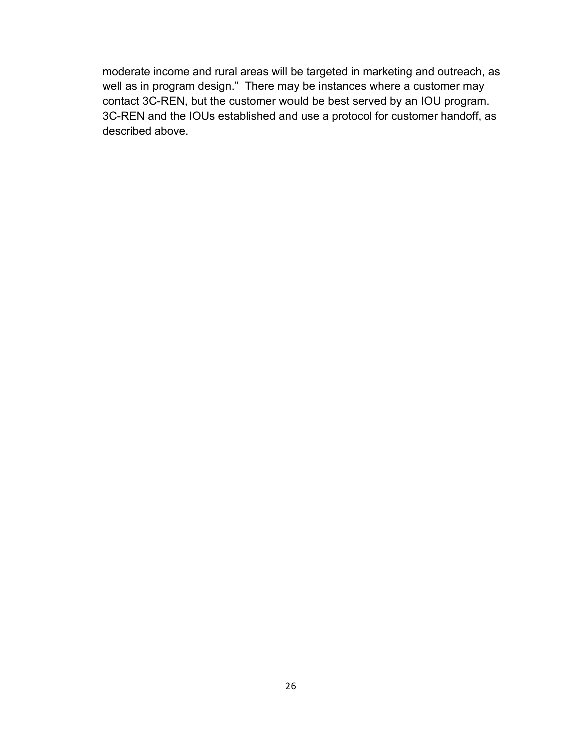moderate income and rural areas will be targeted in marketing and outreach, as well as in program design." There may be instances where a customer may contact 3C-REN, but the customer would be best served by an IOU program. 3C-REN and the IOUs established and use a protocol for customer handoff, as described above.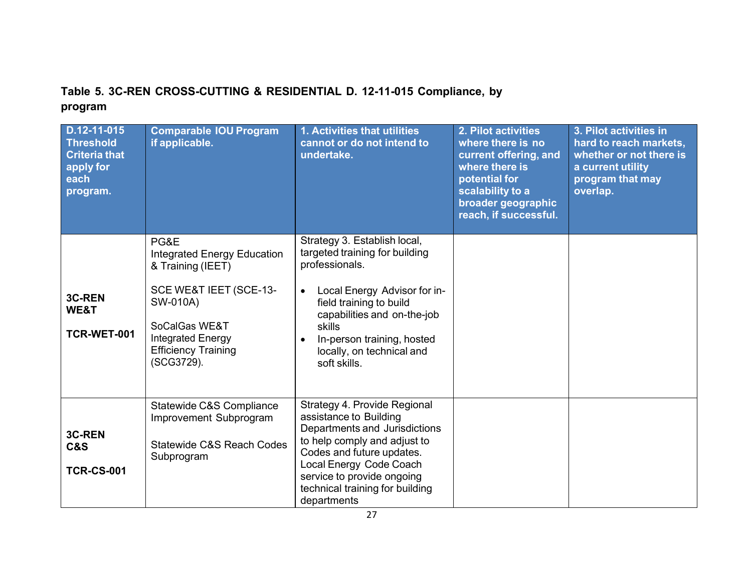## **Table 5. 3C-REN CROSS-CUTTING & RESIDENTIAL D. 12-11-015 Compliance, by program**

| $D.12 - 11 - 015$<br><b>Threshold</b><br><b>Criteria that</b><br>apply for<br>each<br>program. | <b>Comparable IOU Program</b><br>if applicable.                                                                                                                                                | 1. Activities that utilities<br>cannot or do not intend to<br>undertake.                                                                                                                                                                                                                  | 2. Pilot activities<br>where there is no<br>current offering, and<br>where there is<br>potential for<br>scalability to a<br>broader geographic<br>reach, if successful. | 3. Pilot activities in<br>hard to reach markets,<br>whether or not there is<br>a current utility<br>program that may<br>overlap. |
|------------------------------------------------------------------------------------------------|------------------------------------------------------------------------------------------------------------------------------------------------------------------------------------------------|-------------------------------------------------------------------------------------------------------------------------------------------------------------------------------------------------------------------------------------------------------------------------------------------|-------------------------------------------------------------------------------------------------------------------------------------------------------------------------|----------------------------------------------------------------------------------------------------------------------------------|
| 3C-REN<br>WE&T<br><b>TCR-WET-001</b>                                                           | PG&E<br><b>Integrated Energy Education</b><br>& Training (IEET)<br>SCE WE&T IEET (SCE-13-<br>SW-010A)<br>SoCalGas WE&T<br><b>Integrated Energy</b><br><b>Efficiency Training</b><br>(SCG3729). | Strategy 3. Establish local,<br>targeted training for building<br>professionals.<br>Local Energy Advisor for in-<br>$\bullet$<br>field training to build<br>capabilities and on-the-job<br>skills<br>In-person training, hosted<br>$\bullet$<br>locally, on technical and<br>soft skills. |                                                                                                                                                                         |                                                                                                                                  |
| 3C-REN<br><b>C&amp;S</b><br><b>TCR-CS-001</b>                                                  | Statewide C&S Compliance<br>Improvement Subprogram<br><b>Statewide C&amp;S Reach Codes</b><br>Subprogram                                                                                       | Strategy 4. Provide Regional<br>assistance to Building<br>Departments and Jurisdictions<br>to help comply and adjust to<br>Codes and future updates.<br>Local Energy Code Coach<br>service to provide ongoing<br>technical training for building<br>departments                           |                                                                                                                                                                         |                                                                                                                                  |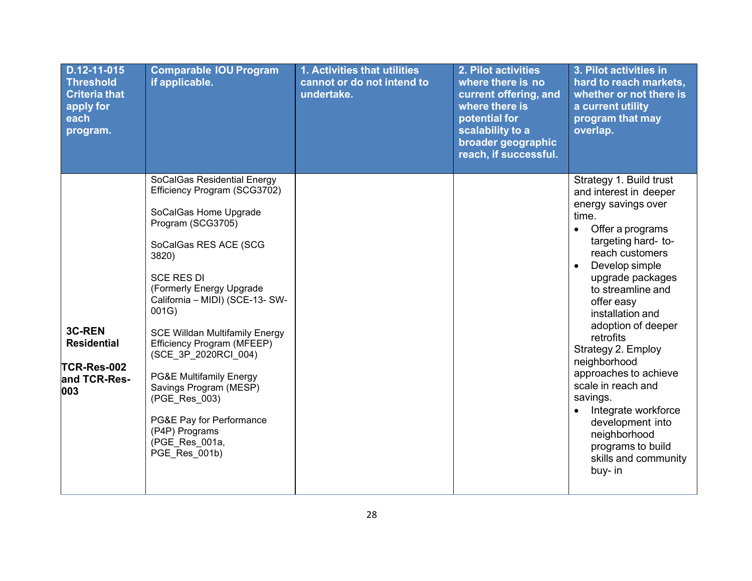| D.12-11-015<br><b>Threshold</b><br><b>Criteria that</b><br>apply for<br>each<br>program. | <b>Comparable IOU Program</b><br>if applicable.                                                                                                                                                                                                                                                                                                                                                                                                                                                          | 1. Activities that utilities<br>cannot or do not intend to<br>undertake. | 2. Pilot activities<br>where there is no<br>current offering, and<br>where there is<br>potential for<br>scalability to a<br>broader geographic<br>reach, if successful. | 3. Pilot activities in<br>hard to reach markets,<br>whether or not there is<br>a current utility<br>program that may<br>overlap.                                                                                                                                                                                                                                                                                                                                                                                |
|------------------------------------------------------------------------------------------|----------------------------------------------------------------------------------------------------------------------------------------------------------------------------------------------------------------------------------------------------------------------------------------------------------------------------------------------------------------------------------------------------------------------------------------------------------------------------------------------------------|--------------------------------------------------------------------------|-------------------------------------------------------------------------------------------------------------------------------------------------------------------------|-----------------------------------------------------------------------------------------------------------------------------------------------------------------------------------------------------------------------------------------------------------------------------------------------------------------------------------------------------------------------------------------------------------------------------------------------------------------------------------------------------------------|
| <b>3C-REN</b><br><b>Residential</b><br>TCR-Res-002<br>and TCR-Res-<br>003                | SoCalGas Residential Energy<br>Efficiency Program (SCG3702)<br>SoCalGas Home Upgrade<br>Program (SCG3705)<br>SoCalGas RES ACE (SCG<br>3820)<br><b>SCE RES DI</b><br>(Formerly Energy Upgrade<br>California - MIDI) (SCE-13- SW-<br>001G<br><b>SCE Willdan Multifamily Energy</b><br>Efficiency Program (MFEEP)<br>(SCE 3P_2020RCI 004)<br><b>PG&amp;E Multifamily Energy</b><br>Savings Program (MESP)<br>(PGE_Res_003)<br>PG&E Pay for Performance<br>(P4P) Programs<br>(PGE_Res_001a,<br>PGE_Res_001b) |                                                                          |                                                                                                                                                                         | Strategy 1. Build trust<br>and interest in deeper<br>energy savings over<br>time.<br>Offer a programs<br>targeting hard-to-<br>reach customers<br>Develop simple<br>$\bullet$<br>upgrade packages<br>to streamline and<br>offer easy<br>installation and<br>adoption of deeper<br>retrofits<br>Strategy 2. Employ<br>neighborhood<br>approaches to achieve<br>scale in reach and<br>savings.<br>Integrate workforce<br>development into<br>neighborhood<br>programs to build<br>skills and community<br>buy- in |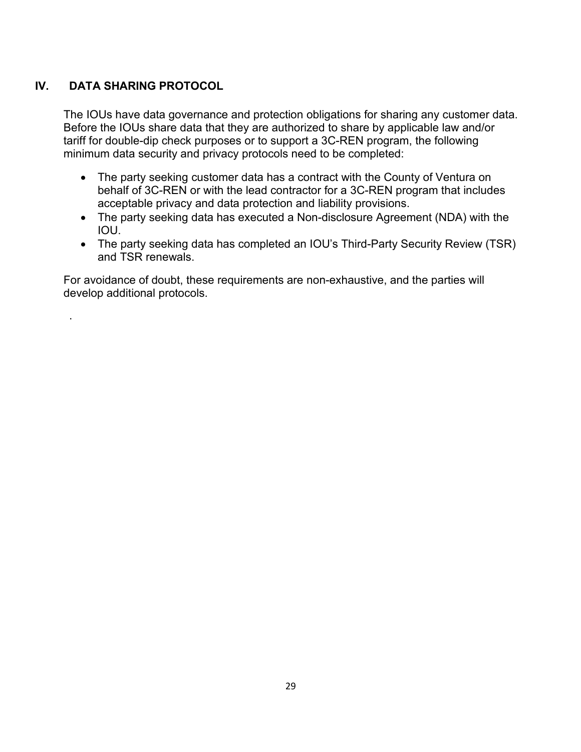## **IV. DATA SHARING PROTOCOL**

.

The IOUs have data governance and protection obligations for sharing any customer data. Before the IOUs share data that they are authorized to share by applicable law and/or tariff for double-dip check purposes or to support a 3C-REN program, the following minimum data security and privacy protocols need to be completed:

- The party seeking customer data has a contract with the County of Ventura on behalf of 3C-REN or with the lead contractor for a 3C-REN program that includes acceptable privacy and data protection and liability provisions.
- The party seeking data has executed a Non-disclosure Agreement (NDA) with the IOU.
- The party seeking data has completed an IOU's Third-Party Security Review (TSR) and TSR renewals.

For avoidance of doubt, these requirements are non-exhaustive, and the parties will develop additional protocols.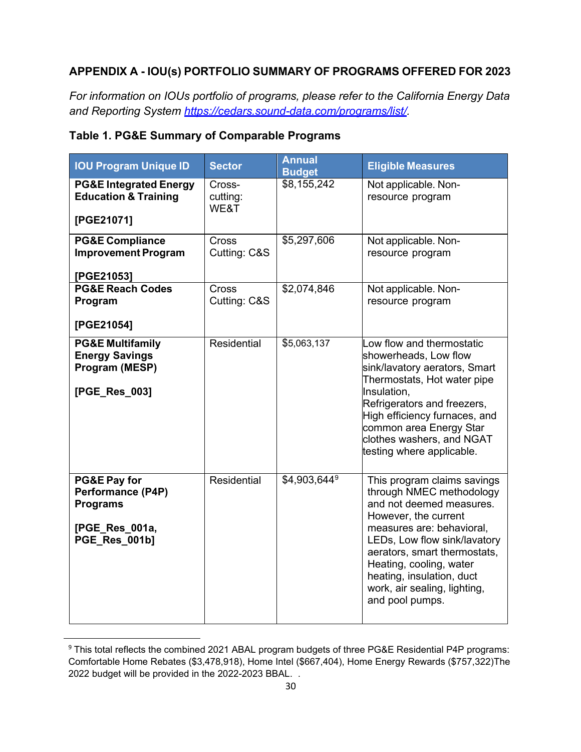## **APPENDIX A - IOU(s) PORTFOLIO SUMMARY OF PROGRAMS OFFERED FOR 2023**

*For information on IOUs portfolio of programs, please refer to the California Energy Data and Reporting System https://cedars.sound-data.com/programs/list/.*

| <b>IOU Program Unique ID</b>                                                                              | <b>Sector</b>                | <b>Annual</b><br><b>Budget</b> | <b>Eligible Measures</b>                                                                                                                                                                                                                                                                                            |
|-----------------------------------------------------------------------------------------------------------|------------------------------|--------------------------------|---------------------------------------------------------------------------------------------------------------------------------------------------------------------------------------------------------------------------------------------------------------------------------------------------------------------|
| <b>PG&amp;E Integrated Energy</b><br><b>Education &amp; Training</b><br>[PGE21071]                        | Cross-<br>cutting:<br>WE&T   | \$8,155,242                    | Not applicable. Non-<br>resource program                                                                                                                                                                                                                                                                            |
| <b>PG&amp;E Compliance</b><br><b>Improvement Program</b><br>[PGE21053]                                    | <b>Cross</b><br>Cutting: C&S | \$5,297,606                    | Not applicable. Non-<br>resource program                                                                                                                                                                                                                                                                            |
| <b>PG&amp;E Reach Codes</b><br>Program<br>[PGE21054]                                                      | <b>Cross</b><br>Cutting: C&S | \$2,074,846                    | Not applicable. Non-<br>resource program                                                                                                                                                                                                                                                                            |
| <b>PG&amp;E Multifamily</b><br><b>Energy Savings</b><br>Program (MESP)<br>[PGE_Res_003]                   | <b>Residential</b>           | \$5,063,137                    | Low flow and thermostatic<br>showerheads, Low flow<br>sink/lavatory aerators, Smart<br>Thermostats, Hot water pipe<br>Insulation,<br>Refrigerators and freezers,<br>High efficiency furnaces, and<br>common area Energy Star<br>clothes washers, and NGAT<br>testing where applicable.                              |
| <b>PG&amp;E Pay for</b><br><b>Performance (P4P)</b><br><b>Programs</b><br>[PGE_Res_001a,<br>PGE Res 001b] | Residential                  | \$4,903,6449                   | This program claims savings<br>through NMEC methodology<br>and not deemed measures.<br>However, the current<br>measures are: behavioral,<br>LEDs, Low flow sink/lavatory<br>aerators, smart thermostats,<br>Heating, cooling, water<br>heating, insulation, duct<br>work, air sealing, lighting,<br>and pool pumps. |

#### **Table 1. PG&E Summary of Comparable Programs**

<span id="page-30-0"></span><sup>&</sup>lt;sup>9</sup> This total reflects the combined 2021 ABAL program budgets of three PG&E Residential P4P programs: Comfortable Home Rebates (\$3,478,918), Home Intel (\$667,404), Home Energy Rewards (\$757,322)The 2022 budget will be provided in the 2022-2023 BBAL. .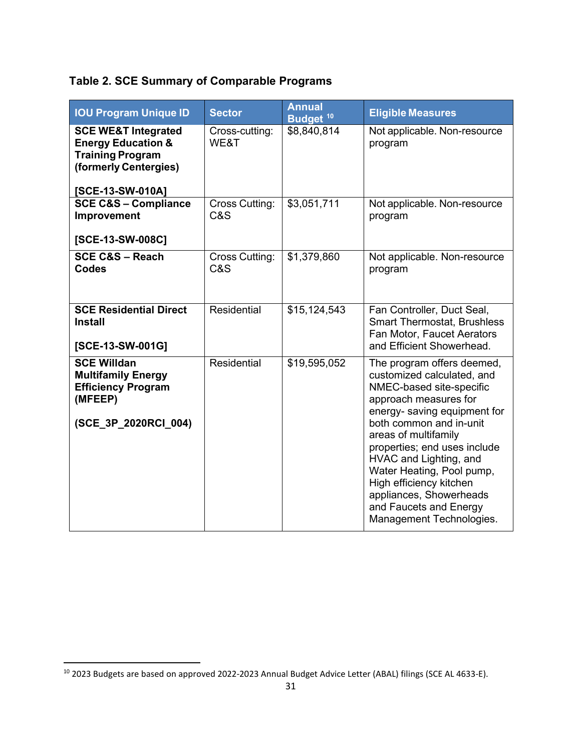# **Table 2. SCE Summary of Comparable Programs**

| <b>IOU Program Unique ID</b>                                                                                                            | <b>Sector</b>                | <b>Annual</b><br>Budget <sup>10</sup> | <b>Eligible Measures</b>                                                                                                                                                                                                                                                                                                                                                                            |
|-----------------------------------------------------------------------------------------------------------------------------------------|------------------------------|---------------------------------------|-----------------------------------------------------------------------------------------------------------------------------------------------------------------------------------------------------------------------------------------------------------------------------------------------------------------------------------------------------------------------------------------------------|
| <b>SCE WE&amp;T Integrated</b><br><b>Energy Education &amp;</b><br><b>Training Program</b><br>(formerly Centergies)<br>[SCE-13-SW-010A] | Cross-cutting:<br>WE&T       | \$8,840,814                           | Not applicable. Non-resource<br>program                                                                                                                                                                                                                                                                                                                                                             |
| <b>SCE C&amp;S - Compliance</b><br>Improvement<br>[SCE-13-SW-008C]                                                                      | <b>Cross Cutting:</b><br>C&S | \$3,051,711                           | Not applicable. Non-resource<br>program                                                                                                                                                                                                                                                                                                                                                             |
| <b>SCE C&amp;S - Reach</b><br><b>Codes</b>                                                                                              | <b>Cross Cutting:</b><br>C&S | \$1,379,860                           | Not applicable. Non-resource<br>program                                                                                                                                                                                                                                                                                                                                                             |
| <b>SCE Residential Direct</b><br><b>Install</b><br>[SCE-13-SW-001G]                                                                     | Residential                  | \$15,124,543                          | Fan Controller, Duct Seal,<br><b>Smart Thermostat, Brushless</b><br>Fan Motor, Faucet Aerators<br>and Efficient Showerhead.                                                                                                                                                                                                                                                                         |
| <b>SCE Willdan</b><br><b>Multifamily Energy</b><br><b>Efficiency Program</b><br>(MFEEP)<br>(SCE 3P 2020RCI 004)                         | Residential                  | \$19,595,052                          | The program offers deemed,<br>customized calculated, and<br>NMEC-based site-specific<br>approach measures for<br>energy- saving equipment for<br>both common and in-unit<br>areas of multifamily<br>properties; end uses include<br>HVAC and Lighting, and<br>Water Heating, Pool pump,<br>High efficiency kitchen<br>appliances, Showerheads<br>and Faucets and Energy<br>Management Technologies. |

<span id="page-31-0"></span><sup>10</sup> 2023 Budgets are based on approved 2022-2023 Annual Budget Advice Letter (ABAL) filings (SCE AL 4633-E).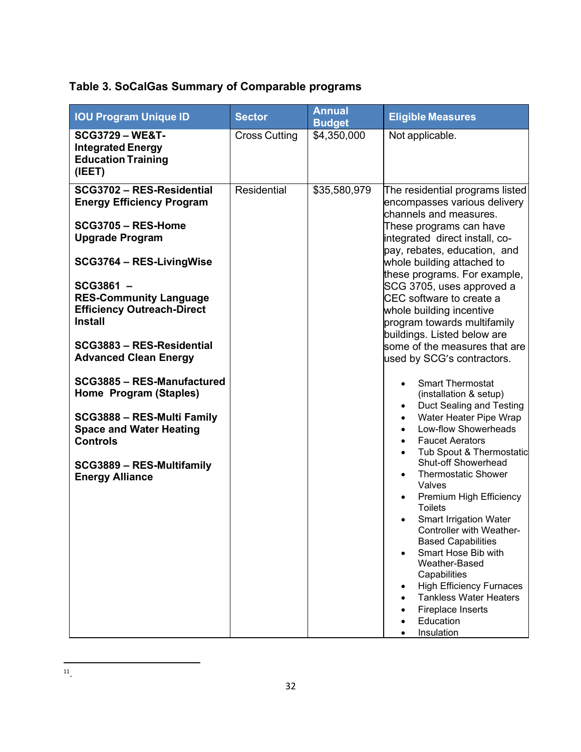# **Table 3. SoCalGas Summary of Comparable programs**

| <b>IOU Program Unique ID</b>                                                                                                                                                                                                                                                                                                                                                                                                                                                                                  | <b>Sector</b>        | <b>Annual</b><br><b>Budget</b> | <b>Eligible Measures</b>                                                                                                                                                                                                                                                                                                                                                                                                                                                                                                                                                                                                                                                                                                                                                                                                                                                                                                                                                                                       |
|---------------------------------------------------------------------------------------------------------------------------------------------------------------------------------------------------------------------------------------------------------------------------------------------------------------------------------------------------------------------------------------------------------------------------------------------------------------------------------------------------------------|----------------------|--------------------------------|----------------------------------------------------------------------------------------------------------------------------------------------------------------------------------------------------------------------------------------------------------------------------------------------------------------------------------------------------------------------------------------------------------------------------------------------------------------------------------------------------------------------------------------------------------------------------------------------------------------------------------------------------------------------------------------------------------------------------------------------------------------------------------------------------------------------------------------------------------------------------------------------------------------------------------------------------------------------------------------------------------------|
| <b>SCG3729 - WE&amp;T-</b><br><b>Integrated Energy</b><br><b>Education Training</b><br>(IEET)                                                                                                                                                                                                                                                                                                                                                                                                                 | <b>Cross Cutting</b> | \$4,350,000                    | Not applicable.                                                                                                                                                                                                                                                                                                                                                                                                                                                                                                                                                                                                                                                                                                                                                                                                                                                                                                                                                                                                |
| SCG3702 - RES-Residential<br><b>Energy Efficiency Program</b><br>SCG3705 - RES-Home<br><b>Upgrade Program</b><br>SCG3764 - RES-LivingWise<br>SCG3861 -<br><b>RES-Community Language</b><br><b>Efficiency Outreach-Direct</b><br><b>Install</b><br>SCG3883 - RES-Residential<br><b>Advanced Clean Energy</b><br>SCG3885 - RES-Manufactured<br>Home Program (Staples)<br>SCG3888 - RES-Multi Family<br><b>Space and Water Heating</b><br><b>Controls</b><br>SCG3889 - RES-Multifamily<br><b>Energy Alliance</b> | <b>Residential</b>   | \$35,580,979                   | The residential programs listed<br>encompasses various delivery<br>channels and measures.<br>These programs can have<br>integrated direct install, co-<br>pay, rebates, education, and<br>whole building attached to<br>these programs. For example,<br>SCG 3705, uses approved a<br>CEC software to create a<br>whole building incentive<br>program towards multifamily<br>buildings. Listed below are<br>some of the measures that are<br>used by SCG's contractors.<br><b>Smart Thermostat</b><br>(installation & setup)<br>Duct Sealing and Testing<br>$\bullet$<br>Water Heater Pipe Wrap<br>Low-flow Showerheads<br><b>Faucet Aerators</b><br>Tub Spout & Thermostatic<br>Shut-off Showerhead<br><b>Thermostatic Shower</b><br>Valves<br>Premium High Efficiency<br><b>Toilets</b><br><b>Smart Irrigation Water</b><br>Controller with Weather-<br><b>Based Capabilities</b><br>Smart Hose Bib with<br>Weather-Based<br>Capabilities<br><b>High Efficiency Furnaces</b><br><b>Tankless Water Heaters</b> |
|                                                                                                                                                                                                                                                                                                                                                                                                                                                                                                               |                      |                                | Fireplace Inserts<br>Education<br>Insulation                                                                                                                                                                                                                                                                                                                                                                                                                                                                                                                                                                                                                                                                                                                                                                                                                                                                                                                                                                   |

11.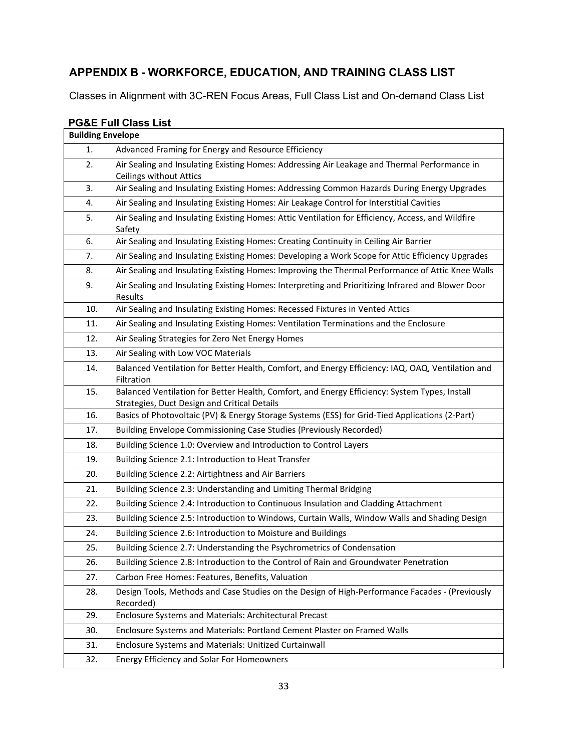## **APPENDIX B - WORKFORCE, EDUCATION, AND TRAINING CLASS LIST**

Classes in Alignment with 3C-REN Focus Areas, Full Class List and On-demand Class List

## **PG&E Full Class List**

| <b>Building Envelope</b> |                                                                                                                                               |
|--------------------------|-----------------------------------------------------------------------------------------------------------------------------------------------|
| 1.                       | Advanced Framing for Energy and Resource Efficiency                                                                                           |
| 2.                       | Air Sealing and Insulating Existing Homes: Addressing Air Leakage and Thermal Performance in<br>Ceilings without Attics                       |
| 3.                       | Air Sealing and Insulating Existing Homes: Addressing Common Hazards During Energy Upgrades                                                   |
| 4.                       | Air Sealing and Insulating Existing Homes: Air Leakage Control for Interstitial Cavities                                                      |
| 5.                       | Air Sealing and Insulating Existing Homes: Attic Ventilation for Efficiency, Access, and Wildfire<br>Safety                                   |
| 6.                       | Air Sealing and Insulating Existing Homes: Creating Continuity in Ceiling Air Barrier                                                         |
| 7.                       | Air Sealing and Insulating Existing Homes: Developing a Work Scope for Attic Efficiency Upgrades                                              |
| 8.                       | Air Sealing and Insulating Existing Homes: Improving the Thermal Performance of Attic Knee Walls                                              |
| 9.                       | Air Sealing and Insulating Existing Homes: Interpreting and Prioritizing Infrared and Blower Door<br>Results                                  |
| 10.                      | Air Sealing and Insulating Existing Homes: Recessed Fixtures in Vented Attics                                                                 |
| 11.                      | Air Sealing and Insulating Existing Homes: Ventilation Terminations and the Enclosure                                                         |
| 12.                      | Air Sealing Strategies for Zero Net Energy Homes                                                                                              |
| 13.                      | Air Sealing with Low VOC Materials                                                                                                            |
| 14.                      | Balanced Ventilation for Better Health, Comfort, and Energy Efficiency: IAQ, OAQ, Ventilation and<br>Filtration                               |
| 15.                      | Balanced Ventilation for Better Health, Comfort, and Energy Efficiency: System Types, Install<br>Strategies, Duct Design and Critical Details |
| 16.                      | Basics of Photovoltaic (PV) & Energy Storage Systems (ESS) for Grid-Tied Applications (2-Part)                                                |
| 17.                      | Building Envelope Commissioning Case Studies (Previously Recorded)                                                                            |
| 18.                      | Building Science 1.0: Overview and Introduction to Control Layers                                                                             |
| 19.                      | Building Science 2.1: Introduction to Heat Transfer                                                                                           |
| 20.                      | Building Science 2.2: Airtightness and Air Barriers                                                                                           |
| 21.                      | Building Science 2.3: Understanding and Limiting Thermal Bridging                                                                             |
| 22.                      | Building Science 2.4: Introduction to Continuous Insulation and Cladding Attachment                                                           |
| 23.                      | Building Science 2.5: Introduction to Windows, Curtain Walls, Window Walls and Shading Design                                                 |
| 24.                      | Building Science 2.6: Introduction to Moisture and Buildings                                                                                  |
| 25.                      | Building Science 2.7: Understanding the Psychrometrics of Condensation                                                                        |
| 26.                      | Building Science 2.8: Introduction to the Control of Rain and Groundwater Penetration                                                         |
| 27.                      | Carbon Free Homes: Features, Benefits, Valuation                                                                                              |
| 28.                      | Design Tools, Methods and Case Studies on the Design of High-Performance Facades - (Previously<br>Recorded)                                   |
| 29.                      | Enclosure Systems and Materials: Architectural Precast                                                                                        |
| 30.                      | Enclosure Systems and Materials: Portland Cement Plaster on Framed Walls                                                                      |
| 31.                      | Enclosure Systems and Materials: Unitized Curtainwall                                                                                         |
| 32.                      | Energy Efficiency and Solar For Homeowners                                                                                                    |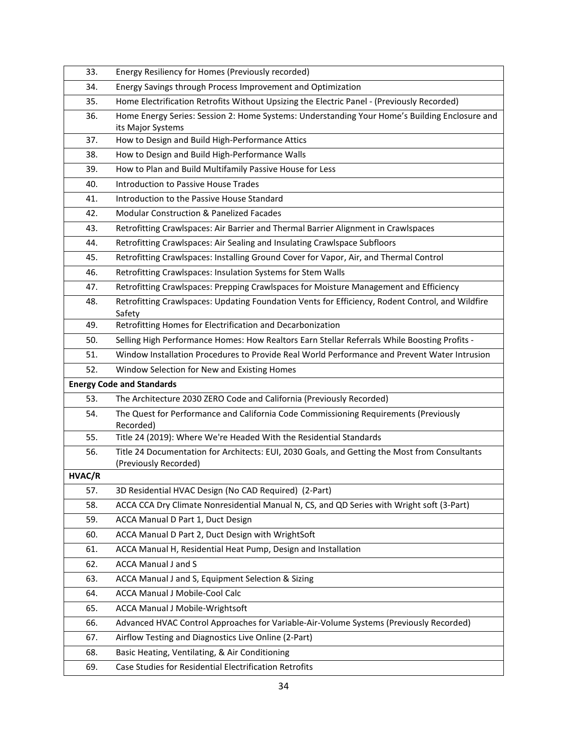| 33.    | Energy Resiliency for Homes (Previously recorded)                                                                      |
|--------|------------------------------------------------------------------------------------------------------------------------|
| 34.    | Energy Savings through Process Improvement and Optimization                                                            |
| 35.    | Home Electrification Retrofits Without Upsizing the Electric Panel - (Previously Recorded)                             |
| 36.    | Home Energy Series: Session 2: Home Systems: Understanding Your Home's Building Enclosure and<br>its Major Systems     |
| 37.    | How to Design and Build High-Performance Attics                                                                        |
| 38.    | How to Design and Build High-Performance Walls                                                                         |
| 39.    | How to Plan and Build Multifamily Passive House for Less                                                               |
| 40.    | <b>Introduction to Passive House Trades</b>                                                                            |
| 41.    | Introduction to the Passive House Standard                                                                             |
| 42.    | <b>Modular Construction &amp; Panelized Facades</b>                                                                    |
| 43.    | Retrofitting Crawlspaces: Air Barrier and Thermal Barrier Alignment in Crawlspaces                                     |
| 44.    | Retrofitting Crawlspaces: Air Sealing and Insulating Crawlspace Subfloors                                              |
| 45.    | Retrofitting Crawlspaces: Installing Ground Cover for Vapor, Air, and Thermal Control                                  |
| 46.    | Retrofitting Crawlspaces: Insulation Systems for Stem Walls                                                            |
| 47.    | Retrofitting Crawlspaces: Prepping Crawlspaces for Moisture Management and Efficiency                                  |
| 48.    | Retrofitting Crawlspaces: Updating Foundation Vents for Efficiency, Rodent Control, and Wildfire<br>Safety             |
| 49.    | Retrofitting Homes for Electrification and Decarbonization                                                             |
| 50.    | Selling High Performance Homes: How Realtors Earn Stellar Referrals While Boosting Profits -                           |
| 51.    | Window Installation Procedures to Provide Real World Performance and Prevent Water Intrusion                           |
| 52.    |                                                                                                                        |
|        | Window Selection for New and Existing Homes                                                                            |
|        | <b>Energy Code and Standards</b>                                                                                       |
| 53.    | The Architecture 2030 ZERO Code and California (Previously Recorded)                                                   |
| 54.    | The Quest for Performance and California Code Commissioning Requirements (Previously<br>Recorded)                      |
| 55.    | Title 24 (2019): Where We're Headed With the Residential Standards                                                     |
| 56.    | Title 24 Documentation for Architects: EUI, 2030 Goals, and Getting the Most from Consultants<br>(Previously Recorded) |
| HVAC/R |                                                                                                                        |
| 57.    | 3D Residential HVAC Design (No CAD Required) (2-Part)                                                                  |
| 58.    | ACCA CCA Dry Climate Nonresidential Manual N, CS, and QD Series with Wright soft (3-Part)                              |
| 59.    | ACCA Manual D Part 1, Duct Design                                                                                      |
| 60.    | ACCA Manual D Part 2, Duct Design with WrightSoft                                                                      |
| 61.    | ACCA Manual H, Residential Heat Pump, Design and Installation                                                          |
| 62.    | <b>ACCA Manual J and S</b>                                                                                             |
| 63.    | ACCA Manual J and S, Equipment Selection & Sizing                                                                      |
| 64.    | <b>ACCA Manual J Mobile-Cool Calc</b>                                                                                  |
| 65.    | <b>ACCA Manual J Mobile-Wrightsoft</b>                                                                                 |
| 66.    | Advanced HVAC Control Approaches for Variable-Air-Volume Systems (Previously Recorded)                                 |
| 67.    | Airflow Testing and Diagnostics Live Online (2-Part)                                                                   |
| 68.    | Basic Heating, Ventilating, & Air Conditioning                                                                         |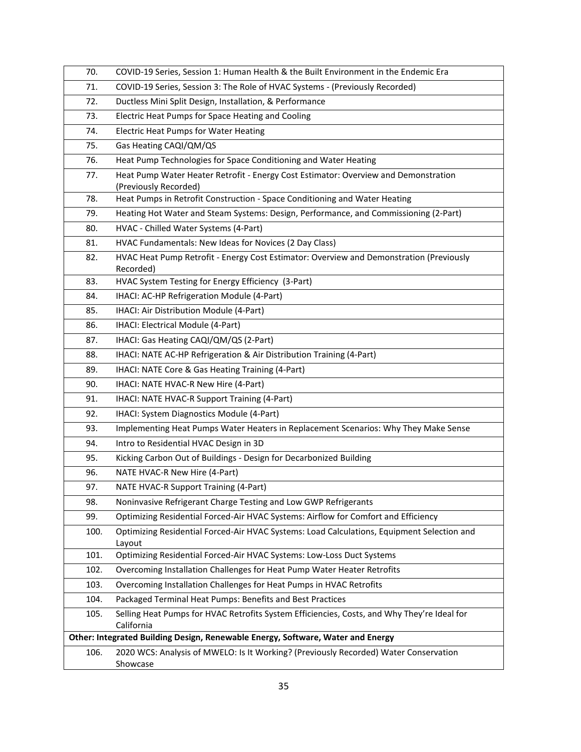| 70.  | COVID-19 Series, Session 1: Human Health & the Built Environment in the Endemic Era                          |
|------|--------------------------------------------------------------------------------------------------------------|
| 71.  | COVID-19 Series, Session 3: The Role of HVAC Systems - (Previously Recorded)                                 |
| 72.  | Ductless Mini Split Design, Installation, & Performance                                                      |
| 73.  | Electric Heat Pumps for Space Heating and Cooling                                                            |
| 74.  | <b>Electric Heat Pumps for Water Heating</b>                                                                 |
| 75.  | Gas Heating CAQI/QM/QS                                                                                       |
| 76.  | Heat Pump Technologies for Space Conditioning and Water Heating                                              |
| 77.  | Heat Pump Water Heater Retrofit - Energy Cost Estimator: Overview and Demonstration<br>(Previously Recorded) |
| 78.  | Heat Pumps in Retrofit Construction - Space Conditioning and Water Heating                                   |
| 79.  | Heating Hot Water and Steam Systems: Design, Performance, and Commissioning (2-Part)                         |
| 80.  | HVAC - Chilled Water Systems (4-Part)                                                                        |
| 81.  | HVAC Fundamentals: New Ideas for Novices (2 Day Class)                                                       |
| 82.  | HVAC Heat Pump Retrofit - Energy Cost Estimator: Overview and Demonstration (Previously<br>Recorded)         |
| 83.  | HVAC System Testing for Energy Efficiency (3-Part)                                                           |
| 84.  | IHACI: AC-HP Refrigeration Module (4-Part)                                                                   |
| 85.  | IHACI: Air Distribution Module (4-Part)                                                                      |
| 86.  | IHACI: Electrical Module (4-Part)                                                                            |
| 87.  | IHACI: Gas Heating CAQI/QM/QS (2-Part)                                                                       |
| 88.  | IHACI: NATE AC-HP Refrigeration & Air Distribution Training (4-Part)                                         |
| 89.  | IHACI: NATE Core & Gas Heating Training (4-Part)                                                             |
| 90.  | IHACI: NATE HVAC-R New Hire (4-Part)                                                                         |
| 91.  | IHACI: NATE HVAC-R Support Training (4-Part)                                                                 |
| 92.  | IHACI: System Diagnostics Module (4-Part)                                                                    |
| 93.  | Implementing Heat Pumps Water Heaters in Replacement Scenarios: Why They Make Sense                          |
| 94.  | Intro to Residential HVAC Design in 3D                                                                       |
| 95.  | Kicking Carbon Out of Buildings - Design for Decarbonized Building                                           |
| 96.  | NATE HVAC-R New Hire (4-Part)                                                                                |
| 97.  | NATE HVAC-R Support Training (4-Part)                                                                        |
| 98.  | Noninvasive Refrigerant Charge Testing and Low GWP Refrigerants                                              |
| 99.  | Optimizing Residential Forced-Air HVAC Systems: Airflow for Comfort and Efficiency                           |
| 100. | Optimizing Residential Forced-Air HVAC Systems: Load Calculations, Equipment Selection and<br>Layout         |
| 101. | Optimizing Residential Forced-Air HVAC Systems: Low-Loss Duct Systems                                        |
| 102. | Overcoming Installation Challenges for Heat Pump Water Heater Retrofits                                      |
| 103. | Overcoming Installation Challenges for Heat Pumps in HVAC Retrofits                                          |
| 104. | Packaged Terminal Heat Pumps: Benefits and Best Practices                                                    |
| 105. | Selling Heat Pumps for HVAC Retrofits System Efficiencies, Costs, and Why They're Ideal for<br>California    |
|      | Other: Integrated Building Design, Renewable Energy, Software, Water and Energy                              |
| 106. | 2020 WCS: Analysis of MWELO: Is It Working? (Previously Recorded) Water Conservation<br>Showcase             |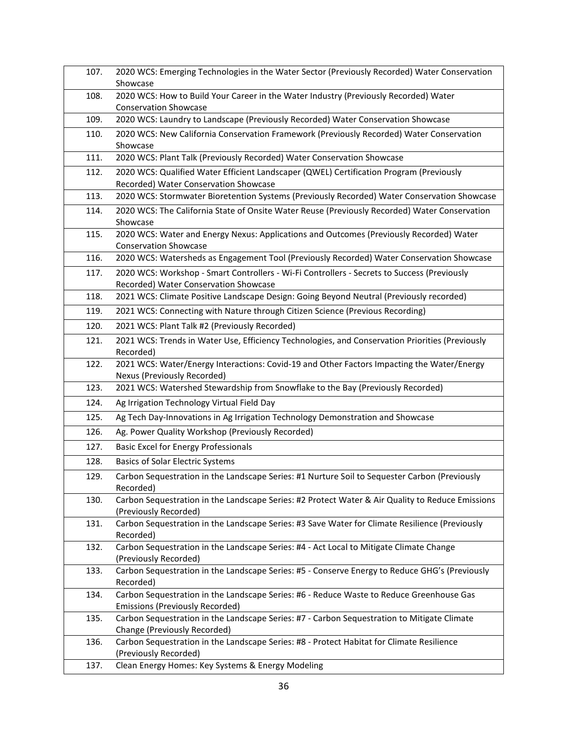| 107. | 2020 WCS: Emerging Technologies in the Water Sector (Previously Recorded) Water Conservation<br>Showcase                         |
|------|----------------------------------------------------------------------------------------------------------------------------------|
| 108. | 2020 WCS: How to Build Your Career in the Water Industry (Previously Recorded) Water                                             |
|      | <b>Conservation Showcase</b>                                                                                                     |
| 109. | 2020 WCS: Laundry to Landscape (Previously Recorded) Water Conservation Showcase                                                 |
| 110. | 2020 WCS: New California Conservation Framework (Previously Recorded) Water Conservation<br>Showcase                             |
| 111. | 2020 WCS: Plant Talk (Previously Recorded) Water Conservation Showcase                                                           |
| 112. | 2020 WCS: Qualified Water Efficient Landscaper (QWEL) Certification Program (Previously                                          |
|      | Recorded) Water Conservation Showcase                                                                                            |
| 113. | 2020 WCS: Stormwater Bioretention Systems (Previously Recorded) Water Conservation Showcase                                      |
| 114. | 2020 WCS: The California State of Onsite Water Reuse (Previously Recorded) Water Conservation                                    |
|      | Showcase                                                                                                                         |
| 115. | 2020 WCS: Water and Energy Nexus: Applications and Outcomes (Previously Recorded) Water                                          |
|      | <b>Conservation Showcase</b>                                                                                                     |
| 116. | 2020 WCS: Watersheds as Engagement Tool (Previously Recorded) Water Conservation Showcase                                        |
| 117. | 2020 WCS: Workshop - Smart Controllers - Wi-Fi Controllers - Secrets to Success (Previously                                      |
| 118. | Recorded) Water Conservation Showcase<br>2021 WCS: Climate Positive Landscape Design: Going Beyond Neutral (Previously recorded) |
|      |                                                                                                                                  |
| 119. | 2021 WCS: Connecting with Nature through Citizen Science (Previous Recording)                                                    |
| 120. | 2021 WCS: Plant Talk #2 (Previously Recorded)                                                                                    |
| 121. | 2021 WCS: Trends in Water Use, Efficiency Technologies, and Conservation Priorities (Previously                                  |
|      | Recorded)                                                                                                                        |
| 122. | 2021 WCS: Water/Energy Interactions: Covid-19 and Other Factors Impacting the Water/Energy<br>Nexus (Previously Recorded)        |
| 123. | 2021 WCS: Watershed Stewardship from Snowflake to the Bay (Previously Recorded)                                                  |
| 124. | Ag Irrigation Technology Virtual Field Day                                                                                       |
| 125. | Ag Tech Day-Innovations in Ag Irrigation Technology Demonstration and Showcase                                                   |
| 126. | Ag. Power Quality Workshop (Previously Recorded)                                                                                 |
| 127. | <b>Basic Excel for Energy Professionals</b>                                                                                      |
| 128. | <b>Basics of Solar Electric Systems</b>                                                                                          |
| 129. | Carbon Sequestration in the Landscape Series: #1 Nurture Soil to Sequester Carbon (Previously                                    |
|      | Recorded)                                                                                                                        |
| 130. | Carbon Sequestration in the Landscape Series: #2 Protect Water & Air Quality to Reduce Emissions                                 |
|      | (Previously Recorded)                                                                                                            |
| 131. | Carbon Sequestration in the Landscape Series: #3 Save Water for Climate Resilience (Previously                                   |
|      | Recorded)                                                                                                                        |
| 132. | Carbon Sequestration in the Landscape Series: #4 - Act Local to Mitigate Climate Change<br>(Previously Recorded)                 |
| 133. | Carbon Sequestration in the Landscape Series: #5 - Conserve Energy to Reduce GHG's (Previously                                   |
|      | Recorded)                                                                                                                        |
| 134. | Carbon Sequestration in the Landscape Series: #6 - Reduce Waste to Reduce Greenhouse Gas                                         |
|      | <b>Emissions (Previously Recorded)</b>                                                                                           |
| 135. | Carbon Sequestration in the Landscape Series: #7 - Carbon Sequestration to Mitigate Climate                                      |
|      | Change (Previously Recorded)                                                                                                     |
| 136. | Carbon Sequestration in the Landscape Series: #8 - Protect Habitat for Climate Resilience<br>(Previously Recorded)               |
| 137. | Clean Energy Homes: Key Systems & Energy Modeling                                                                                |
|      |                                                                                                                                  |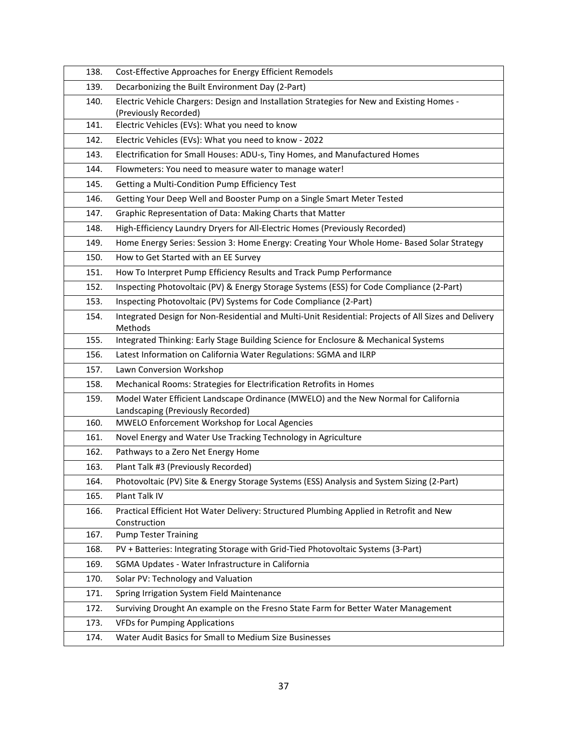| 138. | Cost-Effective Approaches for Energy Efficient Remodels                                                             |
|------|---------------------------------------------------------------------------------------------------------------------|
| 139. | Decarbonizing the Built Environment Day (2-Part)                                                                    |
| 140. | Electric Vehicle Chargers: Design and Installation Strategies for New and Existing Homes -<br>(Previously Recorded) |
| 141. | Electric Vehicles (EVs): What you need to know                                                                      |
| 142. | Electric Vehicles (EVs): What you need to know - 2022                                                               |
| 143. | Electrification for Small Houses: ADU-s, Tiny Homes, and Manufactured Homes                                         |
| 144. | Flowmeters: You need to measure water to manage water!                                                              |
| 145. | Getting a Multi-Condition Pump Efficiency Test                                                                      |
| 146. | Getting Your Deep Well and Booster Pump on a Single Smart Meter Tested                                              |
| 147. | Graphic Representation of Data: Making Charts that Matter                                                           |
| 148. | High-Efficiency Laundry Dryers for All-Electric Homes (Previously Recorded)                                         |
| 149. | Home Energy Series: Session 3: Home Energy: Creating Your Whole Home- Based Solar Strategy                          |
| 150. | How to Get Started with an EE Survey                                                                                |
| 151. | How To Interpret Pump Efficiency Results and Track Pump Performance                                                 |
| 152. | Inspecting Photovoltaic (PV) & Energy Storage Systems (ESS) for Code Compliance (2-Part)                            |
| 153. | Inspecting Photovoltaic (PV) Systems for Code Compliance (2-Part)                                                   |
| 154. | Integrated Design for Non-Residential and Multi-Unit Residential: Projects of All Sizes and Delivery<br>Methods     |
| 155. | Integrated Thinking: Early Stage Building Science for Enclosure & Mechanical Systems                                |
| 156. | Latest Information on California Water Regulations: SGMA and ILRP                                                   |
| 157. | Lawn Conversion Workshop                                                                                            |
| 158. | Mechanical Rooms: Strategies for Electrification Retrofits in Homes                                                 |
| 159. | Model Water Efficient Landscape Ordinance (MWELO) and the New Normal for California                                 |
|      | Landscaping (Previously Recorded)                                                                                   |
| 160. | MWELO Enforcement Workshop for Local Agencies                                                                       |
| 161. | Novel Energy and Water Use Tracking Technology in Agriculture                                                       |
| 162. | Pathways to a Zero Net Energy Home                                                                                  |
| 163. | Plant Talk #3 (Previously Recorded)                                                                                 |
| 164. | Photovoltaic (PV) Site & Energy Storage Systems (ESS) Analysis and System Sizing (2-Part)                           |
| 165. | Plant Talk IV                                                                                                       |
| 166. | Practical Efficient Hot Water Delivery: Structured Plumbing Applied in Retrofit and New<br>Construction             |
| 167. | <b>Pump Tester Training</b>                                                                                         |
| 168. | PV + Batteries: Integrating Storage with Grid-Tied Photovoltaic Systems (3-Part)                                    |
| 169. | SGMA Updates - Water Infrastructure in California                                                                   |
| 170. | Solar PV: Technology and Valuation                                                                                  |
| 171. | Spring Irrigation System Field Maintenance                                                                          |
| 172. | Surviving Drought An example on the Fresno State Farm for Better Water Management                                   |
| 173. | <b>VFDs for Pumping Applications</b>                                                                                |
| 174. | Water Audit Basics for Small to Medium Size Businesses                                                              |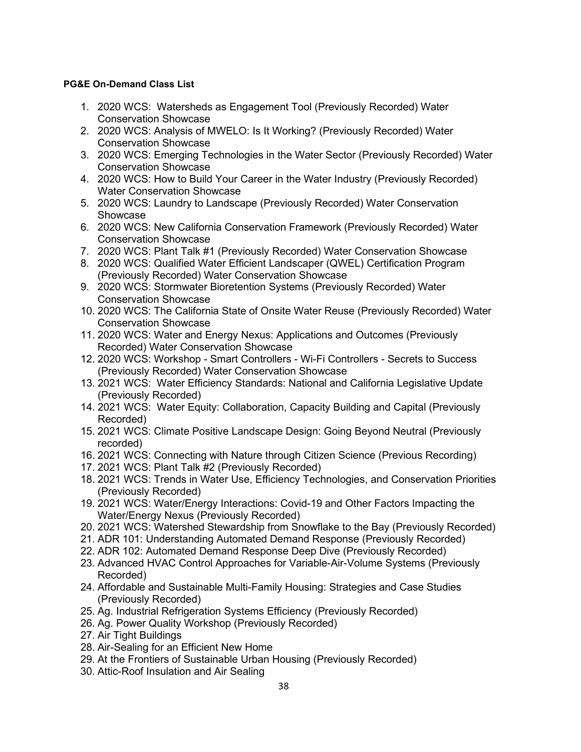#### **PG&E On-Demand Class List**

- 1. 2020 WCS: Watersheds as Engagement Tool (Previously Recorded) Water Conservation Showcase
- 2. 2020 WCS: Analysis of MWELO: Is It Working? (Previously Recorded) Water Conservation Showcase
- 3. 2020 WCS: Emerging Technologies in the Water Sector (Previously Recorded) Water Conservation Showcase
- 4. 2020 WCS: How to Build Your Career in the Water Industry (Previously Recorded) Water Conservation Showcase
- 5. 2020 WCS: Laundry to Landscape (Previously Recorded) Water Conservation Showcase
- 6. 2020 WCS: New California Conservation Framework (Previously Recorded) Water Conservation Showcase
- 7. 2020 WCS: Plant Talk #1 (Previously Recorded) Water Conservation Showcase
- 8. 2020 WCS: Qualified Water Efficient Landscaper (QWEL) Certification Program (Previously Recorded) Water Conservation Showcase
- 9. 2020 WCS: Stormwater Bioretention Systems (Previously Recorded) Water Conservation Showcase
- 10. 2020 WCS: The California State of Onsite Water Reuse (Previously Recorded) Water Conservation Showcase
- 11. 2020 WCS: Water and Energy Nexus: Applications and Outcomes (Previously Recorded) Water Conservation Showcase
- 12. 2020 WCS: Workshop Smart Controllers Wi-Fi Controllers Secrets to Success (Previously Recorded) Water Conservation Showcase
- 13. 2021 WCS: Water Efficiency Standards: National and California Legislative Update (Previously Recorded)
- 14. 2021 WCS: Water Equity: Collaboration, Capacity Building and Capital (Previously Recorded)
- 15. 2021 WCS: Climate Positive Landscape Design: Going Beyond Neutral (Previously recorded)
- 16. 2021 WCS: Connecting with Nature through Citizen Science (Previous Recording)
- 17. 2021 WCS: Plant Talk #2 (Previously Recorded)
- 18. 2021 WCS: Trends in Water Use, Efficiency Technologies, and Conservation Priorities (Previously Recorded)
- 19. 2021 WCS: Water/Energy Interactions: Covid-19 and Other Factors Impacting the Water/Energy Nexus (Previously Recorded)
- 20. 2021 WCS: Watershed Stewardship from Snowflake to the Bay (Previously Recorded)
- 21. ADR 101: Understanding Automated Demand Response (Previously Recorded)
- 22. ADR 102: Automated Demand Response Deep Dive (Previously Recorded)
- 23. Advanced HVAC Control Approaches for Variable-Air-Volume Systems (Previously Recorded)
- 24. Affordable and Sustainable Multi-Family Housing: Strategies and Case Studies (Previously Recorded)
- 25. Ag. Industrial Refrigeration Systems Efficiency (Previously Recorded)
- 26. Ag. Power Quality Workshop (Previously Recorded)
- 27. Air Tight Buildings
- 28. Air-Sealing for an Efficient New Home
- 29. At the Frontiers of Sustainable Urban Housing (Previously Recorded)
- 30. Attic-Roof Insulation and Air Sealing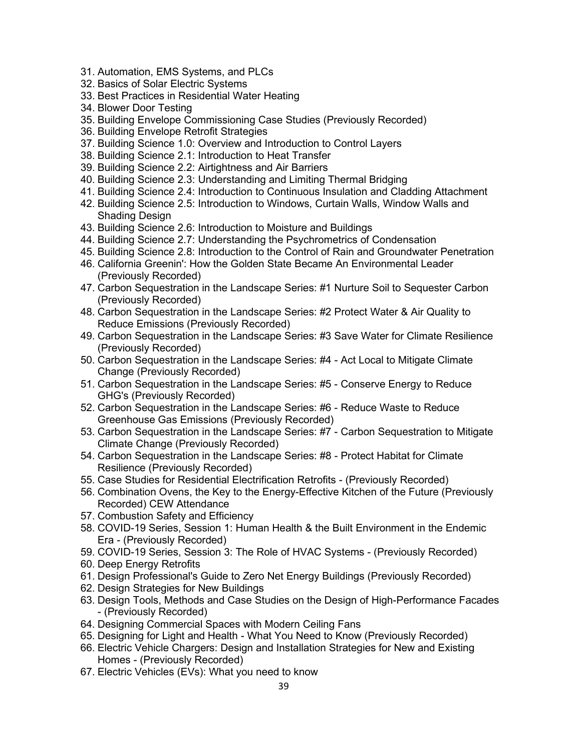- 31. Automation, EMS Systems, and PLCs
- 32. Basics of Solar Electric Systems
- 33. Best Practices in Residential Water Heating
- 34. Blower Door Testing
- 35. Building Envelope Commissioning Case Studies (Previously Recorded)
- 36. Building Envelope Retrofit Strategies
- 37. Building Science 1.0: Overview and Introduction to Control Layers
- 38. Building Science 2.1: Introduction to Heat Transfer
- 39. Building Science 2.2: Airtightness and Air Barriers
- 40. Building Science 2.3: Understanding and Limiting Thermal Bridging
- 41. Building Science 2.4: Introduction to Continuous Insulation and Cladding Attachment
- 42. Building Science 2.5: Introduction to Windows, Curtain Walls, Window Walls and Shading Design
- 43. Building Science 2.6: Introduction to Moisture and Buildings
- 44. Building Science 2.7: Understanding the Psychrometrics of Condensation
- 45. Building Science 2.8: Introduction to the Control of Rain and Groundwater Penetration
- 46. California Greenin': How the Golden State Became An Environmental Leader (Previously Recorded)
- 47. Carbon Sequestration in the Landscape Series: #1 Nurture Soil to Sequester Carbon (Previously Recorded)
- 48. Carbon Sequestration in the Landscape Series: #2 Protect Water & Air Quality to Reduce Emissions (Previously Recorded)
- 49. Carbon Sequestration in the Landscape Series: #3 Save Water for Climate Resilience (Previously Recorded)
- 50. Carbon Sequestration in the Landscape Series: #4 Act Local to Mitigate Climate Change (Previously Recorded)
- 51. Carbon Sequestration in the Landscape Series: #5 Conserve Energy to Reduce GHG's (Previously Recorded)
- 52. Carbon Sequestration in the Landscape Series: #6 Reduce Waste to Reduce Greenhouse Gas Emissions (Previously Recorded)
- 53. Carbon Sequestration in the Landscape Series: #7 Carbon Sequestration to Mitigate Climate Change (Previously Recorded)
- 54. Carbon Sequestration in the Landscape Series: #8 Protect Habitat for Climate Resilience (Previously Recorded)
- 55. Case Studies for Residential Electrification Retrofits (Previously Recorded)
- 56. Combination Ovens, the Key to the Energy-Effective Kitchen of the Future (Previously Recorded) CEW Attendance
- 57. Combustion Safety and Efficiency
- 58. COVID-19 Series, Session 1: Human Health & the Built Environment in the Endemic Era - (Previously Recorded)
- 59. COVID-19 Series, Session 3: The Role of HVAC Systems (Previously Recorded)
- 60. Deep Energy Retrofits
- 61. Design Professional's Guide to Zero Net Energy Buildings (Previously Recorded)
- 62. Design Strategies for New Buildings
- 63. Design Tools, Methods and Case Studies on the Design of High-Performance Facades - (Previously Recorded)
- 64. Designing Commercial Spaces with Modern Ceiling Fans
- 65. Designing for Light and Health What You Need to Know (Previously Recorded)
- 66. Electric Vehicle Chargers: Design and Installation Strategies for New and Existing Homes - (Previously Recorded)
- 67. Electric Vehicles (EVs): What you need to know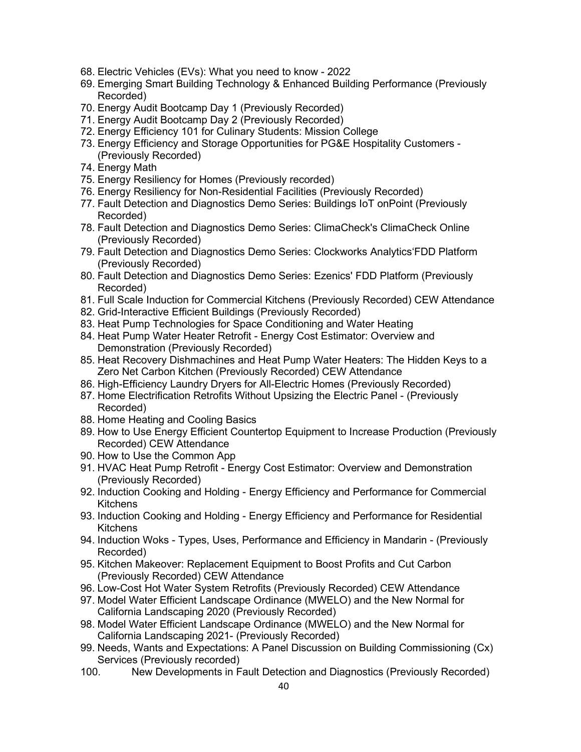- 68. Electric Vehicles (EVs): What you need to know 2022
- 69. Emerging Smart Building Technology & Enhanced Building Performance (Previously Recorded)
- 70. Energy Audit Bootcamp Day 1 (Previously Recorded)
- 71. Energy Audit Bootcamp Day 2 (Previously Recorded)
- 72. Energy Efficiency 101 for Culinary Students: Mission College
- 73. Energy Efficiency and Storage Opportunities for PG&E Hospitality Customers (Previously Recorded)
- 74. Energy Math
- 75. Energy Resiliency for Homes (Previously recorded)
- 76. Energy Resiliency for Non-Residential Facilities (Previously Recorded)
- 77. Fault Detection and Diagnostics Demo Series: Buildings IoT onPoint (Previously Recorded)
- 78. Fault Detection and Diagnostics Demo Series: ClimaCheck's ClimaCheck Online (Previously Recorded)
- 79. Fault Detection and Diagnostics Demo Series: Clockworks Analytics'FDD Platform (Previously Recorded)
- 80. Fault Detection and Diagnostics Demo Series: Ezenics' FDD Platform (Previously Recorded)
- 81. Full Scale Induction for Commercial Kitchens (Previously Recorded) CEW Attendance
- 82. Grid-Interactive Efficient Buildings (Previously Recorded)
- 83. Heat Pump Technologies for Space Conditioning and Water Heating
- 84. Heat Pump Water Heater Retrofit Energy Cost Estimator: Overview and Demonstration (Previously Recorded)
- 85. Heat Recovery Dishmachines and Heat Pump Water Heaters: The Hidden Keys to a Zero Net Carbon Kitchen (Previously Recorded) CEW Attendance
- 86. High-Efficiency Laundry Dryers for All-Electric Homes (Previously Recorded)
- 87. Home Electrification Retrofits Without Upsizing the Electric Panel (Previously Recorded)
- 88. Home Heating and Cooling Basics
- 89. How to Use Energy Efficient Countertop Equipment to Increase Production (Previously Recorded) CEW Attendance
- 90. How to Use the Common App
- 91. HVAC Heat Pump Retrofit Energy Cost Estimator: Overview and Demonstration (Previously Recorded)
- 92. Induction Cooking and Holding Energy Efficiency and Performance for Commercial Kitchens
- 93. Induction Cooking and Holding Energy Efficiency and Performance for Residential **Kitchens**
- 94. Induction Woks Types, Uses, Performance and Efficiency in Mandarin (Previously Recorded)
- 95. Kitchen Makeover: Replacement Equipment to Boost Profits and Cut Carbon (Previously Recorded) CEW Attendance
- 96. Low-Cost Hot Water System Retrofits (Previously Recorded) CEW Attendance
- 97. Model Water Efficient Landscape Ordinance (MWELO) and the New Normal for California Landscaping 2020 (Previously Recorded)
- 98. Model Water Efficient Landscape Ordinance (MWELO) and the New Normal for California Landscaping 2021- (Previously Recorded)
- 99. Needs, Wants and Expectations: A Panel Discussion on Building Commissioning (Cx) Services (Previously recorded)
- 100. New Developments in Fault Detection and Diagnostics (Previously Recorded)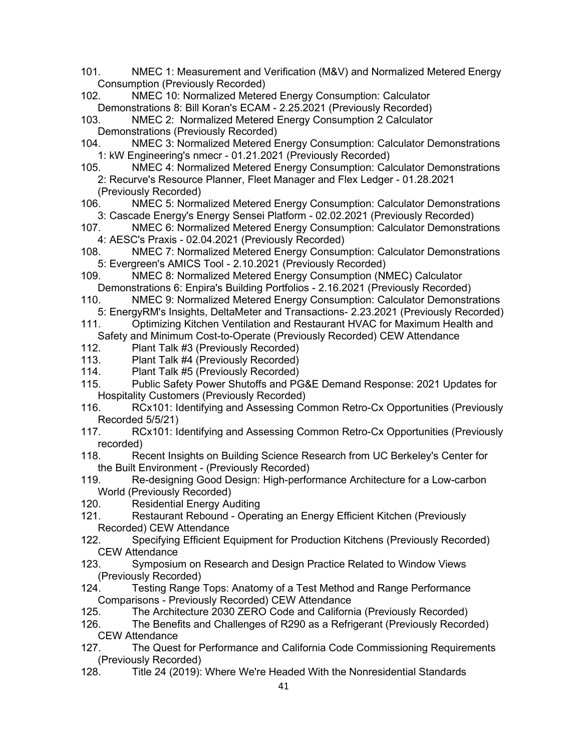- 101. NMEC 1: Measurement and Verification (M&V) and Normalized Metered Energy Consumption (Previously Recorded)
- 102. NMEC 10: Normalized Metered Energy Consumption: Calculator Demonstrations 8: Bill Koran's ECAM - 2.25.2021 (Previously Recorded)
- 103. NMEC 2: Normalized Metered Energy Consumption 2 Calculator Demonstrations (Previously Recorded)
- 104. NMEC 3: Normalized Metered Energy Consumption: Calculator Demonstrations 1: kW Engineering's nmecr - 01.21.2021 (Previously Recorded)
- 105. NMEC 4: Normalized Metered Energy Consumption: Calculator Demonstrations 2: Recurve's Resource Planner, Fleet Manager and Flex Ledger - 01.28.2021 (Previously Recorded)
- 106. NMEC 5: Normalized Metered Energy Consumption: Calculator Demonstrations 3: Cascade Energy's Energy Sensei Platform - 02.02.2021 (Previously Recorded)
- 107. NMEC 6: Normalized Metered Energy Consumption: Calculator Demonstrations 4: AESC's Praxis - 02.04.2021 (Previously Recorded)
- 108. NMEC 7: Normalized Metered Energy Consumption: Calculator Demonstrations 5: Evergreen's AMICS Tool - 2.10.2021 (Previously Recorded)
- 109. NMEC 8: Normalized Metered Energy Consumption (NMEC) Calculator Demonstrations 6: Enpira's Building Portfolios - 2.16.2021 (Previously Recorded)
- 110. NMEC 9: Normalized Metered Energy Consumption: Calculator Demonstrations 5: EnergyRM's Insights, DeltaMeter and Transactions- 2.23.2021 (Previously Recorded)
- 111. Optimizing Kitchen Ventilation and Restaurant HVAC for Maximum Health and Safety and Minimum Cost-to-Operate (Previously Recorded) CEW Attendance
- 112. Plant Talk #3 (Previously Recorded)<br>113. Plant Talk #4 (Previously Recorded)
- Plant Talk #4 (Previously Recorded)
- 114. Plant Talk #5 (Previously Recorded)
- 115. Public Safety Power Shutoffs and PG&E Demand Response: 2021 Updates for Hospitality Customers (Previously Recorded)
- 116. RCx101: Identifying and Assessing Common Retro-Cx Opportunities (Previously Recorded 5/5/21)
- 117. RCx101: Identifying and Assessing Common Retro-Cx Opportunities (Previously recorded)
- 118. Recent Insights on Building Science Research from UC Berkeley's Center for the Built Environment - (Previously Recorded)
- 119. Re-designing Good Design: High-performance Architecture for a Low-carbon World (Previously Recorded)
- 120. Residential Energy Auditing
- 121. Restaurant Rebound Operating an Energy Efficient Kitchen (Previously Recorded) CEW Attendance
- 122. Specifying Efficient Equipment for Production Kitchens (Previously Recorded) CEW Attendance
- 123. Symposium on Research and Design Practice Related to Window Views (Previously Recorded)
- 124. Testing Range Tops: Anatomy of a Test Method and Range Performance Comparisons - Previously Recorded) CEW Attendance
- 125. The Architecture 2030 ZERO Code and California (Previously Recorded)
- 126. The Benefits and Challenges of R290 as a Refrigerant (Previously Recorded) CEW Attendance
- 127. The Quest for Performance and California Code Commissioning Requirements (Previously Recorded)
- 128. Title 24 (2019): Where We're Headed With the Nonresidential Standards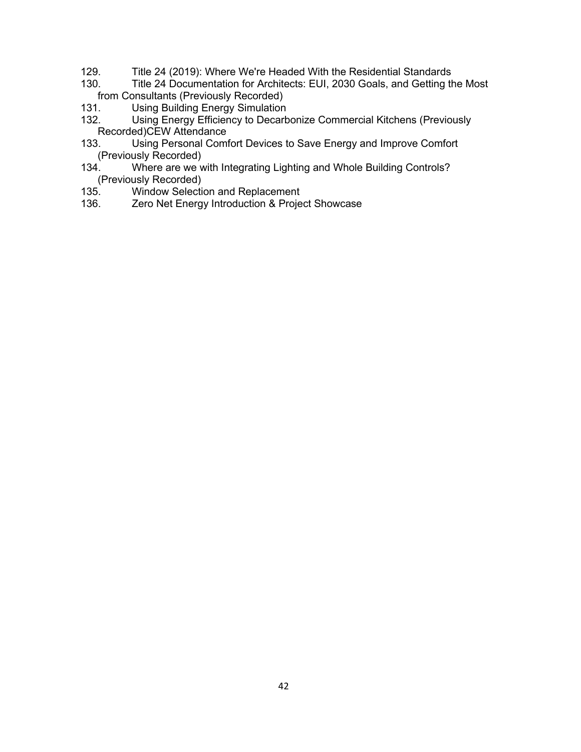- 129. Title 24 (2019): Where We're Headed With the Residential Standards<br>130. Title 24 Documentation for Architects: EUI, 2030 Goals, and Getting th
- Title 24 Documentation for Architects: EUI, 2030 Goals, and Getting the Most from Consultants (Previously Recorded)<br>131. Using Building Energy Simulation
- Using Building Energy Simulation
- 132. Using Energy Efficiency to Decarbonize Commercial Kitchens (Previously Recorded)CEW Attendance
- 133. Using Personal Comfort Devices to Save Energy and Improve Comfort (Previously Recorded)
- 134. Where are we with Integrating Lighting and Whole Building Controls? (Previously Recorded)<br>135. Window Selecti
- 135. Window Selection and Replacement<br>136. Zero Net Energy Introduction & Proje
- Zero Net Energy Introduction & Project Showcase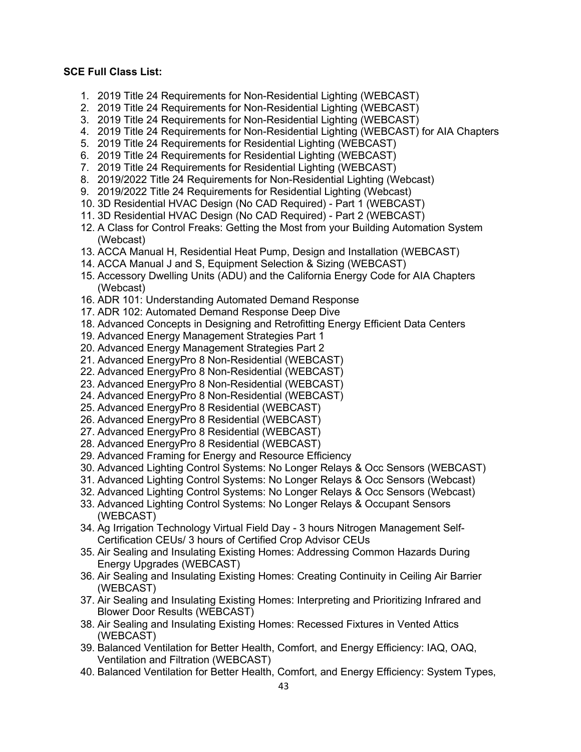#### **SCE Full Class List:**

- 1. 2019 Title 24 Requirements for Non-Residential Lighting (WEBCAST)
- 2. 2019 Title 24 Requirements for Non-Residential Lighting (WEBCAST)
- 3. 2019 Title 24 Requirements for Non-Residential Lighting (WEBCAST)
- 4. 2019 Title 24 Requirements for Non-Residential Lighting (WEBCAST) for AIA Chapters
- 5. 2019 Title 24 Requirements for Residential Lighting (WEBCAST)
- 6. 2019 Title 24 Requirements for Residential Lighting (WEBCAST)
- 7. 2019 Title 24 Requirements for Residential Lighting (WEBCAST)
- 8. 2019/2022 Title 24 Requirements for Non-Residential Lighting (Webcast)
- 9. 2019/2022 Title 24 Requirements for Residential Lighting (Webcast)
- 10. 3D Residential HVAC Design (No CAD Required) Part 1 (WEBCAST)
- 11. 3D Residential HVAC Design (No CAD Required) Part 2 (WEBCAST)
- 12. A Class for Control Freaks: Getting the Most from your Building Automation System (Webcast)
- 13. ACCA Manual H, Residential Heat Pump, Design and Installation (WEBCAST)
- 14. ACCA Manual J and S, Equipment Selection & Sizing (WEBCAST)
- 15. Accessory Dwelling Units (ADU) and the California Energy Code for AIA Chapters (Webcast)
- 16. ADR 101: Understanding Automated Demand Response
- 17. ADR 102: Automated Demand Response Deep Dive
- 18. Advanced Concepts in Designing and Retrofitting Energy Efficient Data Centers
- 19. Advanced Energy Management Strategies Part 1
- 20. Advanced Energy Management Strategies Part 2
- 21. Advanced EnergyPro 8 Non-Residential (WEBCAST)
- 22. Advanced EnergyPro 8 Non-Residential (WEBCAST)
- 23. Advanced EnergyPro 8 Non-Residential (WEBCAST)
- 24. Advanced EnergyPro 8 Non-Residential (WEBCAST)
- 25. Advanced EnergyPro 8 Residential (WEBCAST)
- 26. Advanced EnergyPro 8 Residential (WEBCAST)
- 27. Advanced EnergyPro 8 Residential (WEBCAST)
- 28. Advanced EnergyPro 8 Residential (WEBCAST)
- 29. Advanced Framing for Energy and Resource Efficiency
- 30. Advanced Lighting Control Systems: No Longer Relays & Occ Sensors (WEBCAST)
- 31. Advanced Lighting Control Systems: No Longer Relays & Occ Sensors (Webcast)
- 32. Advanced Lighting Control Systems: No Longer Relays & Occ Sensors (Webcast)
- 33. Advanced Lighting Control Systems: No Longer Relays & Occupant Sensors (WEBCAST)
- 34. Ag Irrigation Technology Virtual Field Day 3 hours Nitrogen Management Self-Certification CEUs/ 3 hours of Certified Crop Advisor CEUs
- 35. Air Sealing and Insulating Existing Homes: Addressing Common Hazards During Energy Upgrades (WEBCAST)
- 36. Air Sealing and Insulating Existing Homes: Creating Continuity in Ceiling Air Barrier (WEBCAST)
- 37. Air Sealing and Insulating Existing Homes: Interpreting and Prioritizing Infrared and Blower Door Results (WEBCAST)
- 38. Air Sealing and Insulating Existing Homes: Recessed Fixtures in Vented Attics (WEBCAST)
- 39. Balanced Ventilation for Better Health, Comfort, and Energy Efficiency: IAQ, OAQ, Ventilation and Filtration (WEBCAST)
- 40. Balanced Ventilation for Better Health, Comfort, and Energy Efficiency: System Types,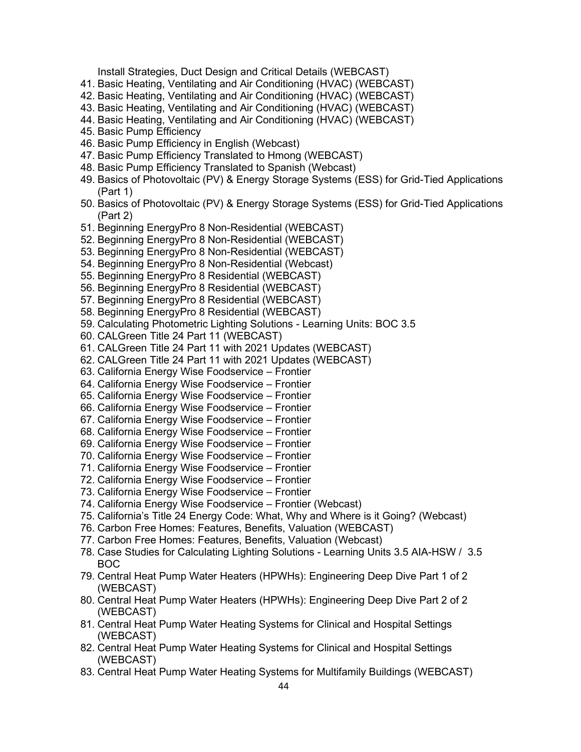Install Strategies, Duct Design and Critical Details (WEBCAST)

- 41. Basic Heating, Ventilating and Air Conditioning (HVAC) (WEBCAST)
- 42. Basic Heating, Ventilating and Air Conditioning (HVAC) (WEBCAST)
- 43. Basic Heating, Ventilating and Air Conditioning (HVAC) (WEBCAST)
- 44. Basic Heating, Ventilating and Air Conditioning (HVAC) (WEBCAST)
- 45. Basic Pump Efficiency
- 46. Basic Pump Efficiency in English (Webcast)
- 47. Basic Pump Efficiency Translated to Hmong (WEBCAST)
- 48. Basic Pump Efficiency Translated to Spanish (Webcast)
- 49. Basics of Photovoltaic (PV) & Energy Storage Systems (ESS) for Grid-Tied Applications (Part 1)
- 50. Basics of Photovoltaic (PV) & Energy Storage Systems (ESS) for Grid-Tied Applications (Part 2)
- 51. Beginning EnergyPro 8 Non-Residential (WEBCAST)
- 52. Beginning EnergyPro 8 Non-Residential (WEBCAST)
- 53. Beginning EnergyPro 8 Non-Residential (WEBCAST)
- 54. Beginning EnergyPro 8 Non-Residential (Webcast)
- 55. Beginning EnergyPro 8 Residential (WEBCAST)
- 56. Beginning EnergyPro 8 Residential (WEBCAST)
- 57. Beginning EnergyPro 8 Residential (WEBCAST)
- 58. Beginning EnergyPro 8 Residential (WEBCAST)
- 59. Calculating Photometric Lighting Solutions Learning Units: BOC 3.5
- 60. CALGreen Title 24 Part 11 (WEBCAST)
- 61. CALGreen Title 24 Part 11 with 2021 Updates (WEBCAST)
- 62. CALGreen Title 24 Part 11 with 2021 Updates (WEBCAST)
- 63. California Energy Wise Foodservice Frontier
- 64. California Energy Wise Foodservice Frontier
- 65. California Energy Wise Foodservice Frontier
- 66. California Energy Wise Foodservice Frontier
- 67. California Energy Wise Foodservice Frontier
- 68. California Energy Wise Foodservice Frontier
- 69. California Energy Wise Foodservice Frontier
- 70. California Energy Wise Foodservice Frontier
- 71. California Energy Wise Foodservice Frontier
- 72. California Energy Wise Foodservice Frontier
- 73. California Energy Wise Foodservice Frontier
- 74. California Energy Wise Foodservice Frontier (Webcast)
- 75. California's Title 24 Energy Code: What, Why and Where is it Going? (Webcast)
- 76. Carbon Free Homes: Features, Benefits, Valuation (WEBCAST)
- 77. Carbon Free Homes: Features, Benefits, Valuation (Webcast)
- 78. Case Studies for Calculating Lighting Solutions Learning Units 3.5 AIA-HSW / 3.5 BOC
- 79. Central Heat Pump Water Heaters (HPWHs): Engineering Deep Dive Part 1 of 2 (WEBCAST)
- 80. Central Heat Pump Water Heaters (HPWHs): Engineering Deep Dive Part 2 of 2 (WEBCAST)
- 81. Central Heat Pump Water Heating Systems for Clinical and Hospital Settings (WEBCAST)
- 82. Central Heat Pump Water Heating Systems for Clinical and Hospital Settings (WEBCAST)
- 83. Central Heat Pump Water Heating Systems for Multifamily Buildings (WEBCAST)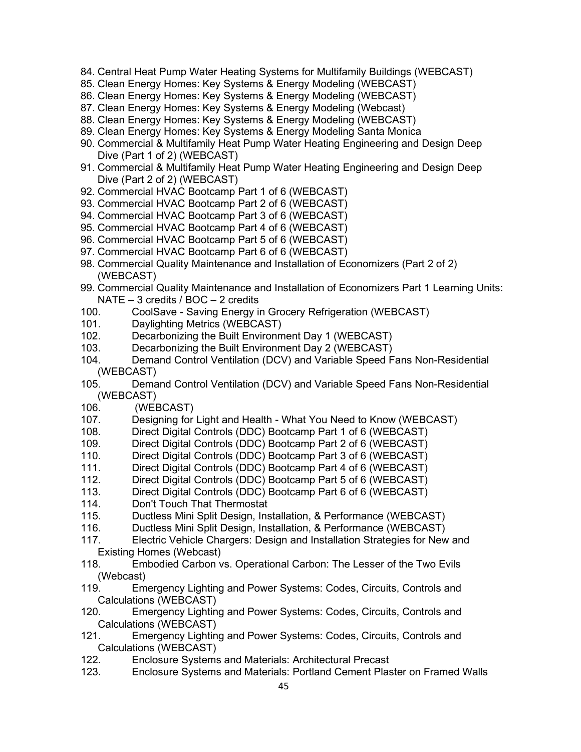- 84. Central Heat Pump Water Heating Systems for Multifamily Buildings (WEBCAST)
- 85. Clean Energy Homes: Key Systems & Energy Modeling (WEBCAST)
- 86. Clean Energy Homes: Key Systems & Energy Modeling (WEBCAST)
- 87. Clean Energy Homes: Key Systems & Energy Modeling (Webcast)
- 88. Clean Energy Homes: Key Systems & Energy Modeling (WEBCAST)
- 89. Clean Energy Homes: Key Systems & Energy Modeling Santa Monica
- 90. Commercial & Multifamily Heat Pump Water Heating Engineering and Design Deep Dive (Part 1 of 2) (WEBCAST)
- 91. Commercial & Multifamily Heat Pump Water Heating Engineering and Design Deep Dive (Part 2 of 2) (WEBCAST)
- 92. Commercial HVAC Bootcamp Part 1 of 6 (WEBCAST)
- 93. Commercial HVAC Bootcamp Part 2 of 6 (WEBCAST)
- 94. Commercial HVAC Bootcamp Part 3 of 6 (WEBCAST)
- 95. Commercial HVAC Bootcamp Part 4 of 6 (WEBCAST)
- 96. Commercial HVAC Bootcamp Part 5 of 6 (WEBCAST)
- 97. Commercial HVAC Bootcamp Part 6 of 6 (WEBCAST)
- 98. Commercial Quality Maintenance and Installation of Economizers (Part 2 of 2) (WEBCAST)
- 99. Commercial Quality Maintenance and Installation of Economizers Part 1 Learning Units: NATE – 3 credits / BOC – 2 credits
- 100. CoolSave Saving Energy in Grocery Refrigeration (WEBCAST)
- 101. Daylighting Metrics (WEBCAST)
- 102. Decarbonizing the Built Environment Day 1 (WEBCAST)
- 103. Decarbonizing the Built Environment Day 2 (WEBCAST)<br>104. Demand Control Ventilation (DCV) and Variable Speed F
- Demand Control Ventilation (DCV) and Variable Speed Fans Non-Residential (WEBCAST)
- 105. Demand Control Ventilation (DCV) and Variable Speed Fans Non-Residential (WEBCAST)
- 106. (WEBCAST)
- 107. Designing for Light and Health What You Need to Know (WEBCAST)
- 108. Direct Digital Controls (DDC) Bootcamp Part 1 of 6 (WEBCAST)
- 109. Direct Digital Controls (DDC) Bootcamp Part 2 of 6 (WEBCAST)
- Direct Digital Controls (DDC) Bootcamp Part 3 of 6 (WEBCAST)
- 111. Direct Digital Controls (DDC) Bootcamp Part 4 of 6 (WEBCAST)
- 112. Direct Digital Controls (DDC) Bootcamp Part 5 of 6 (WEBCAST)
- 113. Direct Digital Controls (DDC) Bootcamp Part 6 of 6 (WEBCAST)
- 114. Don't Touch That Thermostat
- 115. Ductless Mini Split Design, Installation, & Performance (WEBCAST)
- 116. Ductless Mini Split Design, Installation, & Performance (WEBCAST)
- 117. Electric Vehicle Chargers: Design and Installation Strategies for New and Existing Homes (Webcast)
- 118. Embodied Carbon vs. Operational Carbon: The Lesser of the Two Evils (Webcast)
- 119. Emergency Lighting and Power Systems: Codes, Circuits, Controls and Calculations (WEBCAST)
- 120. Emergency Lighting and Power Systems: Codes, Circuits, Controls and Calculations (WEBCAST)
- 121. Emergency Lighting and Power Systems: Codes, Circuits, Controls and Calculations (WEBCAST)
- 122. Enclosure Systems and Materials: Architectural Precast
- 123. Enclosure Systems and Materials: Portland Cement Plaster on Framed Walls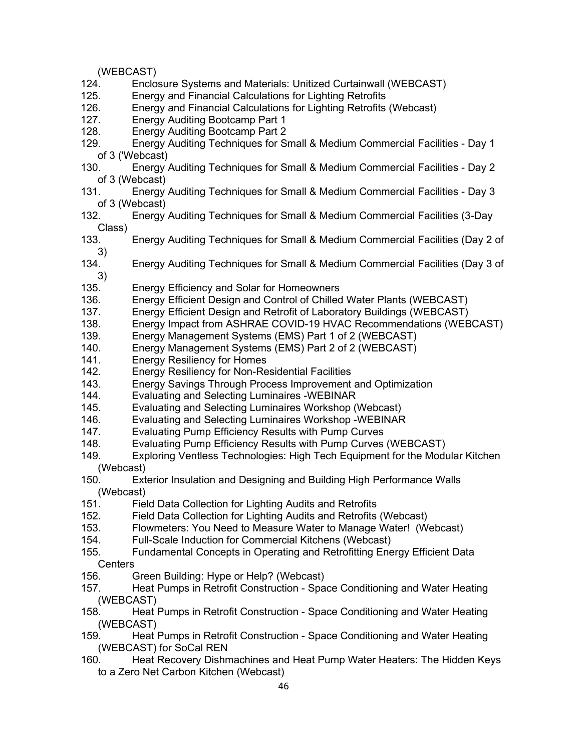- (WEBCAST)<br>124. Enclo Enclosure Systems and Materials: Unitized Curtainwall (WEBCAST)
- 125. Energy and Financial Calculations for Lighting Retrofits
- 126. Energy and Financial Calculations for Lighting Retrofits (Webcast)
- 127. Energy Auditing Bootcamp Part 1
- 128. Energy Auditing Bootcamp Part 2
- 129. Energy Auditing Techniques for Small & Medium Commercial Facilities Day 1 of 3 ('Webcast)
- 130. Energy Auditing Techniques for Small & Medium Commercial Facilities Day 2 of 3 (Webcast)
- 131. Energy Auditing Techniques for Small & Medium Commercial Facilities Day 3 of 3 (Webcast)
- 132. Energy Auditing Techniques for Small & Medium Commercial Facilities (3-Day Class)
- 133. Energy Auditing Techniques for Small & Medium Commercial Facilities (Day 2 of 3)
- 134. Energy Auditing Techniques for Small & Medium Commercial Facilities (Day 3 of 3)
- 135. Energy Efficiency and Solar for Homeowners
- 136. Energy Efficient Design and Control of Chilled Water Plants (WEBCAST)
- 137. Energy Efficient Design and Retrofit of Laboratory Buildings (WEBCAST)
- 138. Energy Impact from ASHRAE COVID-19 HVAC Recommendations (WEBCAST)
- 139. Energy Management Systems (EMS) Part 1 of 2 (WEBCAST)
- 140. Energy Management Systems (EMS) Part 2 of 2 (WEBCAST)<br>141. Energy Resiliency for Homes
- **Energy Resiliency for Homes**
- 142. Energy Resiliency for Non-Residential Facilities
- 143. Energy Savings Through Process Improvement and Optimization
- 144. Evaluating and Selecting Luminaires -WEBINAR
- 145. Evaluating and Selecting Luminaires Workshop (Webcast)
- 146. Evaluating and Selecting Luminaires Workshop -WEBINAR
- 147. Evaluating Pump Efficiency Results with Pump Curves
- 148. Evaluating Pump Efficiency Results with Pump Curves (WEBCAST)
- 149. Exploring Ventless Technologies: High Tech Equipment for the Modular Kitchen (Webcast)
- 150. Exterior Insulation and Designing and Building High Performance Walls (Webcast)
- 151. Field Data Collection for Lighting Audits and Retrofits
- 152. Field Data Collection for Lighting Audits and Retrofits (Webcast)
- 153. Flowmeters: You Need to Measure Water to Manage Water! (Webcast)
- 154. Full-Scale Induction for Commercial Kitchens (Webcast)
- 155. Fundamental Concepts in Operating and Retrofitting Energy Efficient Data **Centers**
- 156. Green Building: Hype or Help? (Webcast)
- 157. Heat Pumps in Retrofit Construction Space Conditioning and Water Heating (WEBCAST)<br>158. Heat I
- 158. Heat Pumps in Retrofit Construction Space Conditioning and Water Heating (WEBCAST)
- 159. Heat Pumps in Retrofit Construction Space Conditioning and Water Heating (WEBCAST) for SoCal REN
- 160. Heat Recovery Dishmachines and Heat Pump Water Heaters: The Hidden Keys to a Zero Net Carbon Kitchen (Webcast)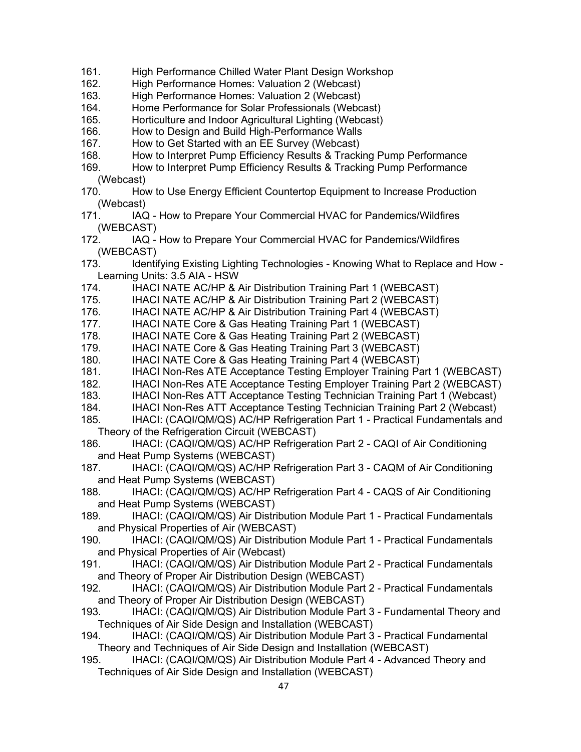- 161. High Performance Chilled Water Plant Design Workshop<br>162. High Performance Homes: Valuation 2 (Webcast)
- High Performance Homes: Valuation 2 (Webcast)
- 163. High Performance Homes: Valuation 2 (Webcast)
- 164. Home Performance for Solar Professionals (Webcast)
- 165. Horticulture and Indoor Agricultural Lighting (Webcast)
- 166. How to Design and Build High-Performance Walls
- 167. How to Get Started with an EE Survey (Webcast)
- 168. How to Interpret Pump Efficiency Results & Tracking Pump Performance
- 169. How to Interpret Pump Efficiency Results & Tracking Pump Performance (Webcast)
- 170. How to Use Energy Efficient Countertop Equipment to Increase Production (Webcast)
- 171. IAQ How to Prepare Your Commercial HVAC for Pandemics/Wildfires (WEBCAST)
- 172. IAQ How to Prepare Your Commercial HVAC for Pandemics/Wildfires (WEBCAST)
- 173. Identifying Existing Lighting Technologies Knowing What to Replace and How Learning Units: 3.5 AIA - HSW
- 174. IHACI NATE AC/HP & Air Distribution Training Part 1 (WEBCAST)
- 175. IHACI NATE AC/HP & Air Distribution Training Part 2 (WEBCAST)
- 176. IHACI NATE AC/HP & Air Distribution Training Part 4 (WEBCAST)
- 177. IHACI NATE Core & Gas Heating Training Part 1 (WEBCAST)
- 178. IHACI NATE Core & Gas Heating Training Part 2 (WEBCAST)
- 179. IHACI NATE Core & Gas Heating Training Part 3 (WEBCAST)<br>180. IHACI NATE Core & Gas Heating Training Part 4 (WEBCAST)
- IHACI NATE Core & Gas Heating Training Part 4 (WEBCAST)
- 181. IHACI Non-Res ATE Acceptance Testing Employer Training Part 1 (WEBCAST)
- 182. IHACI Non-Res ATE Acceptance Testing Employer Training Part 2 (WEBCAST)
- 183. IHACI Non-Res ATT Acceptance Testing Technician Training Part 1 (Webcast)
- 184. IHACI Non-Res ATT Acceptance Testing Technician Training Part 2 (Webcast)
- 185. IHACI: (CAQI/QM/QS) AC/HP Refrigeration Part 1 Practical Fundamentals and Theory of the Refrigeration Circuit (WEBCAST)
- 186. IHACI: (CAQI/QM/QS) AC/HP Refrigeration Part 2 CAQI of Air Conditioning and Heat Pump Systems (WEBCAST)
- 187. IHACI: (CAQI/QM/QS) AC/HP Refrigeration Part 3 CAQM of Air Conditioning and Heat Pump Systems (WEBCAST)
- 188. IHACI: (CAQI/QM/QS) AC/HP Refrigeration Part 4 CAQS of Air Conditioning and Heat Pump Systems (WEBCAST)
- 189. IHACI: (CAQI/QM/QS) Air Distribution Module Part 1 Practical Fundamentals and Physical Properties of Air (WEBCAST)
- 190. IHACI: (CAQI/QM/QS) Air Distribution Module Part 1 Practical Fundamentals and Physical Properties of Air (Webcast)
- 191. IHACI: (CAQI/QM/QS) Air Distribution Module Part 2 Practical Fundamentals and Theory of Proper Air Distribution Design (WEBCAST)
- 192. IHACI: (CAQI/QM/QS) Air Distribution Module Part 2 Practical Fundamentals and Theory of Proper Air Distribution Design (WEBCAST)
- 193. IHACI: (CAQI/QM/QS) Air Distribution Module Part 3 Fundamental Theory and Techniques of Air Side Design and Installation (WEBCAST)
- 194. IHACI: (CAQI/QM/QS) Air Distribution Module Part 3 Practical Fundamental Theory and Techniques of Air Side Design and Installation (WEBCAST)
- 195. IHACI: (CAQI/QM/QS) Air Distribution Module Part 4 Advanced Theory and Techniques of Air Side Design and Installation (WEBCAST)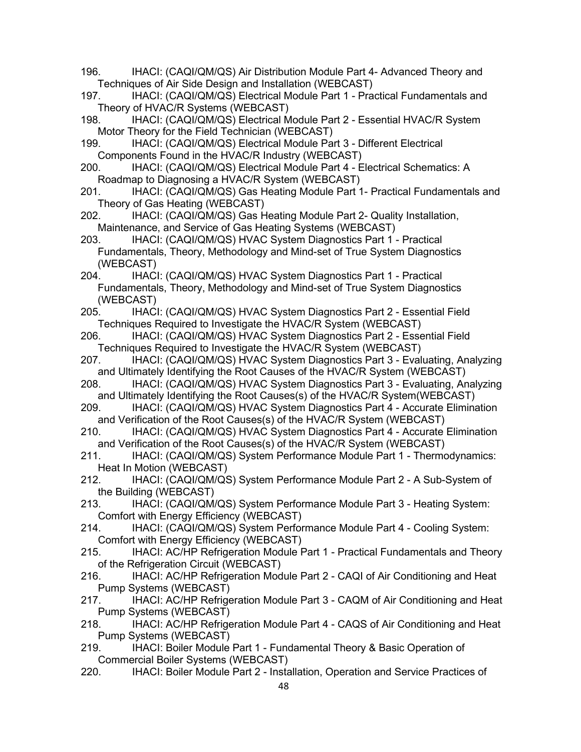- 196. IHACI: (CAQI/QM/QS) Air Distribution Module Part 4- Advanced Theory and Techniques of Air Side Design and Installation (WEBCAST)
- 197. IHACI: (CAQI/QM/QS) Electrical Module Part 1 Practical Fundamentals and Theory of HVAC/R Systems (WEBCAST)
- 198. IHACI: (CAQI/QM/QS) Electrical Module Part 2 Essential HVAC/R System Motor Theory for the Field Technician (WEBCAST)
- 199. IHACI: (CAQI/QM/QS) Electrical Module Part 3 Different Electrical Components Found in the HVAC/R Industry (WEBCAST)
- 200. IHACI: (CAQI/QM/QS) Electrical Module Part 4 Electrical Schematics: A Roadmap to Diagnosing a HVAC/R System (WEBCAST)
- 201. IHACI: (CAQI/QM/QS) Gas Heating Module Part 1- Practical Fundamentals and Theory of Gas Heating (WEBCAST)
- 202. IHACI: (CAQI/QM/QS) Gas Heating Module Part 2- Quality Installation, Maintenance, and Service of Gas Heating Systems (WEBCAST)
- 203. IHACI: (CAQI/QM/QS) HVAC System Diagnostics Part 1 Practical Fundamentals, Theory, Methodology and Mind-set of True System Diagnostics (WEBCAST)
- 204. IHACI: (CAQI/QM/QS) HVAC System Diagnostics Part 1 Practical Fundamentals, Theory, Methodology and Mind-set of True System Diagnostics (WEBCAST)
- 205. IHACI: (CAQI/QM/QS) HVAC System Diagnostics Part 2 Essential Field Techniques Required to Investigate the HVAC/R System (WEBCAST)
- 206. IHACI: (CAQI/QM/QS) HVAC System Diagnostics Part 2 Essential Field Techniques Required to Investigate the HVAC/R System (WEBCAST)
- 207. IHACI: (CAQI/QM/QS) HVAC System Diagnostics Part 3 Evaluating, Analyzing and Ultimately Identifying the Root Causes of the HVAC/R System (WEBCAST)
- 208. IHACI: (CAQI/QM/QS) HVAC System Diagnostics Part 3 Evaluating, Analyzing and Ultimately Identifying the Root Causes(s) of the HVAC/R System(WEBCAST)
- 209. IHACI: (CAQI/QM/QS) HVAC System Diagnostics Part 4 Accurate Elimination and Verification of the Root Causes(s) of the HVAC/R System (WEBCAST)
- 210. IHACI: (CAQI/QM/QS) HVAC System Diagnostics Part 4 Accurate Elimination and Verification of the Root Causes(s) of the HVAC/R System (WEBCAST)
- 211. IHACI: (CAQI/QM/QS) System Performance Module Part 1 Thermodynamics: Heat In Motion (WEBCAST)
- 212. IHACI: (CAQI/QM/QS) System Performance Module Part 2 A Sub-System of the Building (WEBCAST)
- 213. IHACI: (CAQI/QM/QS) System Performance Module Part 3 Heating System: Comfort with Energy Efficiency (WEBCAST)
- 214. IHACI: (CAQI/QM/QS) System Performance Module Part 4 Cooling System: Comfort with Energy Efficiency (WEBCAST)
- 215. IHACI: AC/HP Refrigeration Module Part 1 Practical Fundamentals and Theory of the Refrigeration Circuit (WEBCAST)
- 216. IHACI: AC/HP Refrigeration Module Part 2 CAQI of Air Conditioning and Heat Pump Systems (WEBCAST)
- 217. IHACI: AC/HP Refrigeration Module Part 3 CAQM of Air Conditioning and Heat Pump Systems (WEBCAST)
- 218. IHACI: AC/HP Refrigeration Module Part 4 CAQS of Air Conditioning and Heat Pump Systems (WEBCAST)
- 219. IHACI: Boiler Module Part 1 Fundamental Theory & Basic Operation of Commercial Boiler Systems (WEBCAST)
- 220. IHACI: Boiler Module Part 2 Installation, Operation and Service Practices of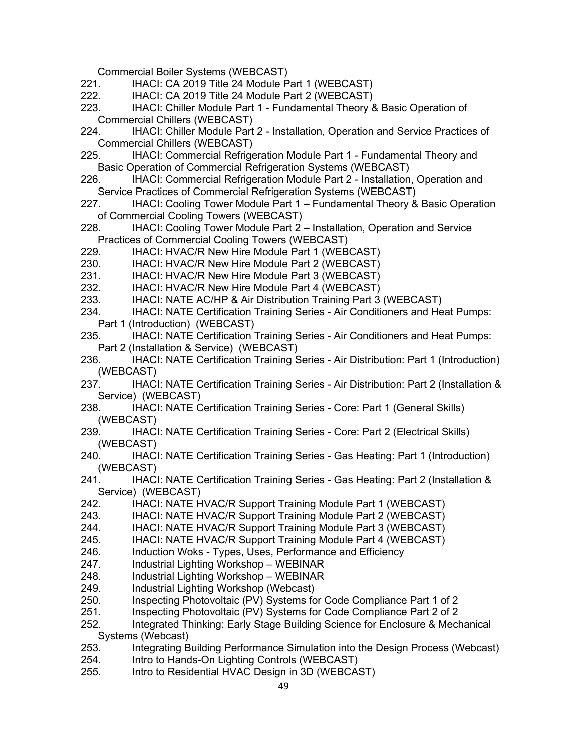Commercial Boiler Systems (WEBCAST)

- 221. IHACI: CA 2019 Title 24 Module Part 1 (WEBCAST)
- 222. IHACI: CA 2019 Title 24 Module Part 2 (WEBCAST)
- 223. IHACI: Chiller Module Part 1 Fundamental Theory & Basic Operation of Commercial Chillers (WEBCAST)
- 224. IHACI: Chiller Module Part 2 Installation, Operation and Service Practices of Commercial Chillers (WEBCAST)
- 225. IHACI: Commercial Refrigeration Module Part 1 Fundamental Theory and Basic Operation of Commercial Refrigeration Systems (WEBCAST)
- 226. IHACI: Commercial Refrigeration Module Part 2 Installation, Operation and Service Practices of Commercial Refrigeration Systems (WEBCAST)
- 227. IHACI: Cooling Tower Module Part 1 Fundamental Theory & Basic Operation of Commercial Cooling Towers (WEBCAST)
- 228. IHACI: Cooling Tower Module Part 2 Installation, Operation and Service Practices of Commercial Cooling Towers (WEBCAST)
- 229. IHACI: HVAC/R New Hire Module Part 1 (WEBCAST)
- 230. IHACI: HVAC/R New Hire Module Part 2 (WEBCAST)
- 231. IHACI: HVAC/R New Hire Module Part 3 (WEBCAST)
- 232. IHACI: HVAC/R New Hire Module Part 4 (WEBCAST)
- 233. IHACI: NATE AC/HP & Air Distribution Training Part 3 (WEBCAST)
- 234. IHACI: NATE Certification Training Series Air Conditioners and Heat Pumps: Part 1 (Introduction) (WEBCAST)
- 235. IHACI: NATE Certification Training Series Air Conditioners and Heat Pumps: Part 2 (Installation & Service) (WEBCAST)<br>236. IHACI: NATE Certification Training S
- 236. IHACI: NATE Certification Training Series Air Distribution: Part 1 (Introduction) (WEBCAST)
- 237. IHACI: NATE Certification Training Series Air Distribution: Part 2 (Installation & Service) (WEBCAST)
- 238. IHACI: NATE Certification Training Series Core: Part 1 (General Skills) (WEBCAST)
- 239. IHACI: NATE Certification Training Series Core: Part 2 (Electrical Skills) (WEBCAST)
- 240. IHACI: NATE Certification Training Series Gas Heating: Part 1 (Introduction) (WEBCAST)
- 241. IHACI: NATE Certification Training Series Gas Heating: Part 2 (Installation & Service) (WEBCAST)
- 242. IHACI: NATE HVAC/R Support Training Module Part 1 (WEBCAST)
- 243. IHACI: NATE HVAC/R Support Training Module Part 2 (WEBCAST)<br>244. IHACI: NATE HVAC/R Support Training Module Part 3 (WEBCAST)
- IHACI: NATE HVAC/R Support Training Module Part 3 (WEBCAST)
- 245. IHACI: NATE HVAC/R Support Training Module Part 4 (WEBCAST)
- 246. Induction Woks Types, Uses, Performance and Efficiency
- 247. Industrial Lighting Workshop WEBINAR
- 248. Industrial Lighting Workshop WEBINAR
- 249. Industrial Lighting Workshop (Webcast)
- 250. Inspecting Photovoltaic (PV) Systems for Code Compliance Part 1 of 2
- 251. Inspecting Photovoltaic (PV) Systems for Code Compliance Part 2 of 2
- 252. Integrated Thinking: Early Stage Building Science for Enclosure & Mechanical Systems (Webcast)
- 253. Integrating Building Performance Simulation into the Design Process (Webcast)
- 254. Intro to Hands-On Lighting Controls (WEBCAST)
- 255. Intro to Residential HVAC Design in 3D (WEBCAST)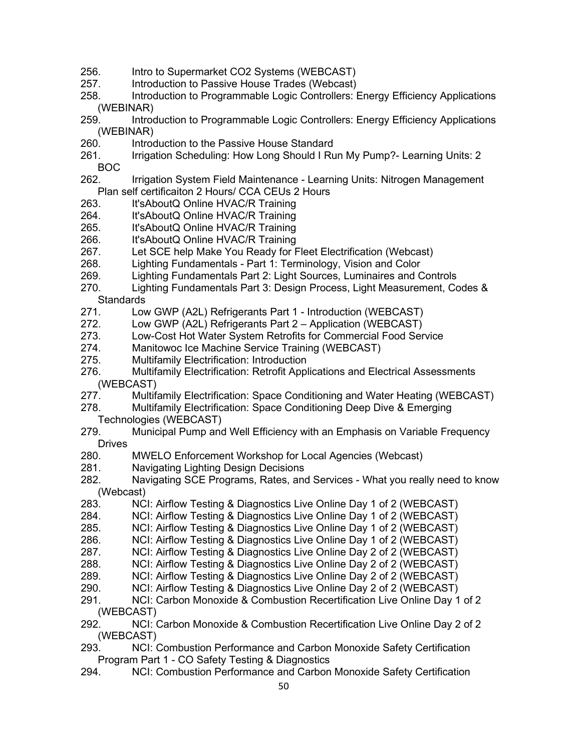- 256. Intro to Supermarket CO2 Systems (WEBCAST)
- 257. Introduction to Passive House Trades (Webcast)
- 258. Introduction to Programmable Logic Controllers: Energy Efficiency Applications (WEBINAR)
- 259. Introduction to Programmable Logic Controllers: Energy Efficiency Applications (WEBINAR)
- 260. Introduction to the Passive House Standard
- 261. Irrigation Scheduling: How Long Should I Run My Pump?- Learning Units: 2 BOC
- 262. Irrigation System Field Maintenance Learning Units: Nitrogen Management Plan self certificaiton 2 Hours/ CCA CEUs 2 Hours
- 263. It'sAboutQ Online HVAC/R Training
- 264. It'sAboutQ Online HVAC/R Training
- 265. It'sAboutQ Online HVAC/R Training
- 266. It'sAboutQ Online HVAC/R Training
- 267. Let SCE help Make You Ready for Fleet Electrification (Webcast)
- 268. Lighting Fundamentals Part 1: Terminology, Vision and Color
- 269. Lighting Fundamentals Part 2: Light Sources, Luminaires and Controls
- 270. Lighting Fundamentals Part 3: Design Process, Light Measurement, Codes & **Standards**
- 271. Low GWP (A2L) Refrigerants Part 1 Introduction (WEBCAST)
- 272. Low GWP (A2L) Refrigerants Part 2 Application (WEBCAST)
- 273. Low-Cost Hot Water System Retrofits for Commercial Food Service
- 274. Manitowoc Ice Machine Service Training (WEBCAST)<br>275. Multifamily Electrification: Introduction
- Multifamily Electrification: Introduction
- 276. Multifamily Electrification: Retrofit Applications and Electrical Assessments (WEBCAST)
- 277. Multifamily Electrification: Space Conditioning and Water Heating (WEBCAST)
- 278. Multifamily Electrification: Space Conditioning Deep Dive & Emerging Technologies (WEBCAST)
- 279. Municipal Pump and Well Efficiency with an Emphasis on Variable Frequency Drives<br>280.
- MWELO Enforcement Workshop for Local Agencies (Webcast)
- 281. Navigating Lighting Design Decisions
- 282. Navigating SCE Programs, Rates, and Services What you really need to know (Webcast)
- 283. NCI: Airflow Testing & Diagnostics Live Online Day 1 of 2 (WEBCAST)
- 284. NCI: Airflow Testing & Diagnostics Live Online Day 1 of 2 (WEBCAST)<br>285. NCI: Airflow Testing & Diagnostics Live Online Day 1 of 2 (WEBCAST)
- NCI: Airflow Testing & Diagnostics Live Online Day 1 of 2 (WEBCAST)
- 286. NCI: Airflow Testing & Diagnostics Live Online Day 1 of 2 (WEBCAST)
- 287. NCI: Airflow Testing & Diagnostics Live Online Day 2 of 2 (WEBCAST)
- 288. NCI: Airflow Testing & Diagnostics Live Online Day 2 of 2 (WEBCAST)
- 289. NCI: Airflow Testing & Diagnostics Live Online Day 2 of 2 (WEBCAST)
- 290. NCI: Airflow Testing & Diagnostics Live Online Day 2 of 2 (WEBCAST)
- 291. NCI: Carbon Monoxide & Combustion Recertification Live Online Day 1 of 2 (WEBCAST)
- 292. NCI: Carbon Monoxide & Combustion Recertification Live Online Day 2 of 2 (WEBCAST)
- 293. NCI: Combustion Performance and Carbon Monoxide Safety Certification Program Part 1 - CO Safety Testing & Diagnostics
- 294. NCI: Combustion Performance and Carbon Monoxide Safety Certification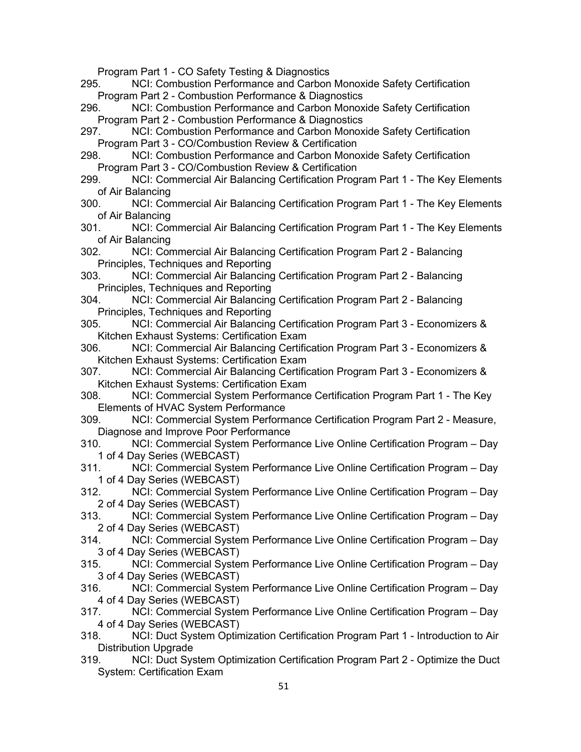Program Part 1 - CO Safety Testing & Diagnostics

- 295. NCI: Combustion Performance and Carbon Monoxide Safety Certification Program Part 2 - Combustion Performance & Diagnostics
- 296. NCI: Combustion Performance and Carbon Monoxide Safety Certification Program Part 2 - Combustion Performance & Diagnostics
- 297. NCI: Combustion Performance and Carbon Monoxide Safety Certification Program Part 3 - CO/Combustion Review & Certification
- 298. NCI: Combustion Performance and Carbon Monoxide Safety Certification Program Part 3 - CO/Combustion Review & Certification
- 299. NCI: Commercial Air Balancing Certification Program Part 1 The Key Elements of Air Balancing
- 300. NCI: Commercial Air Balancing Certification Program Part 1 The Key Elements of Air Balancing
- 301. NCI: Commercial Air Balancing Certification Program Part 1 The Key Elements of Air Balancing
- 302. NCI: Commercial Air Balancing Certification Program Part 2 Balancing Principles, Techniques and Reporting
- 303. NCI: Commercial Air Balancing Certification Program Part 2 Balancing Principles, Techniques and Reporting
- 304. NCI: Commercial Air Balancing Certification Program Part 2 Balancing Principles, Techniques and Reporting
- 305. NCI: Commercial Air Balancing Certification Program Part 3 Economizers & Kitchen Exhaust Systems: Certification Exam
- 306. NCI: Commercial Air Balancing Certification Program Part 3 Economizers & Kitchen Exhaust Systems: Certification Exam
- 307. NCI: Commercial Air Balancing Certification Program Part 3 Economizers & Kitchen Exhaust Systems: Certification Exam
- 308. NCI: Commercial System Performance Certification Program Part 1 The Key Elements of HVAC System Performance
- 309. NCI: Commercial System Performance Certification Program Part 2 Measure, Diagnose and Improve Poor Performance
- 310. NCI: Commercial System Performance Live Online Certification Program Day 1 of 4 Day Series (WEBCAST)
- 311. NCI: Commercial System Performance Live Online Certification Program Day 1 of 4 Day Series (WEBCAST)
- 312. NCI: Commercial System Performance Live Online Certification Program Day 2 of 4 Day Series (WEBCAST)
- 313. NCI: Commercial System Performance Live Online Certification Program Day 2 of 4 Day Series (WEBCAST)
- 314. NCI: Commercial System Performance Live Online Certification Program Day 3 of 4 Day Series (WEBCAST)
- 315. NCI: Commercial System Performance Live Online Certification Program Day 3 of 4 Day Series (WEBCAST)
- 316. NCI: Commercial System Performance Live Online Certification Program Day 4 of 4 Day Series (WEBCAST)
- 317. NCI: Commercial System Performance Live Online Certification Program Day 4 of 4 Day Series (WEBCAST)
- 318. NCI: Duct System Optimization Certification Program Part 1 Introduction to Air Distribution Upgrade
- 319. NCI: Duct System Optimization Certification Program Part 2 Optimize the Duct System: Certification Exam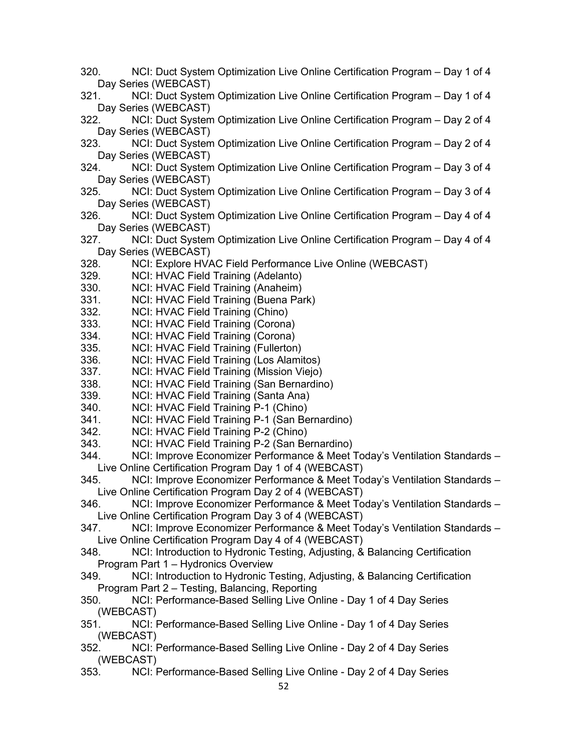| NCI: Duct System Optimization Live Online Certification Program – Day 1 of 4<br>320. |
|--------------------------------------------------------------------------------------|
| Day Series (WEBCAST)                                                                 |
| NCI: Duct System Optimization Live Online Certification Program - Day 1 of 4<br>321. |
| Day Series (WEBCAST)                                                                 |
| NCI: Duct System Optimization Live Online Certification Program - Day 2 of 4<br>322. |
| Day Series (WEBCAST)                                                                 |
| NCI: Duct System Optimization Live Online Certification Program - Day 2 of 4<br>323. |
| Day Series (WEBCAST)                                                                 |
| NCI: Duct System Optimization Live Online Certification Program - Day 3 of 4<br>324. |
| Day Series (WEBCAST)                                                                 |
| NCI: Duct System Optimization Live Online Certification Program - Day 3 of 4<br>325. |
| Day Series (WEBCAST)                                                                 |
| 326. NCI: Duct System Optimization Live Online Certification Program - Day 4 of 4    |
| Day Series (WEBCAST)                                                                 |
| NCI: Duct System Optimization Live Online Certification Program - Day 4 of 4<br>327. |
| Day Series (WEBCAST)                                                                 |
| 328.<br>NCI: Explore HVAC Field Performance Live Online (WEBCAST)                    |
| 329.<br>NCI: HVAC Field Training (Adelanto)                                          |
| 330.<br>NCI: HVAC Field Training (Anaheim)                                           |
| 331.<br>NCI: HVAC Field Training (Buena Park)                                        |
| 332.<br>NCI: HVAC Field Training (Chino)                                             |
| 333.<br>NCI: HVAC Field Training (Corona)                                            |
| 334.<br>NCI: HVAC Field Training (Corona)                                            |
| 335.<br>NCI: HVAC Field Training (Fullerton)                                         |
| 336.<br>NCI: HVAC Field Training (Los Alamitos)                                      |
| 337.<br>NCI: HVAC Field Training (Mission Viejo)                                     |
| 338.<br>NCI: HVAC Field Training (San Bernardino)                                    |
| 339.<br>NCI: HVAC Field Training (Santa Ana)                                         |
| 340.<br>NCI: HVAC Field Training P-1 (Chino)                                         |
| 341.<br>NCI: HVAC Field Training P-1 (San Bernardino)                                |
| NCI: HVAC Field Training P-2 (Chino)<br>342.                                         |
| 343.<br>NCI: HVAC Field Training P-2 (San Bernardino)                                |
| NCI: Improve Economizer Performance & Meet Today's Ventilation Standards -<br>344.   |
| Live Online Certification Program Day 1 of 4 (WEBCAST)                               |
| NCI: Improve Economizer Performance & Meet Today's Ventilation Standards -<br>345.   |
| Live Online Certification Program Day 2 of 4 (WEBCAST)                               |
| NCI: Improve Economizer Performance & Meet Today's Ventilation Standards -<br>346.   |
| Live Online Certification Program Day 3 of 4 (WEBCAST)                               |
| NCI: Improve Economizer Performance & Meet Today's Ventilation Standards -<br>347.   |
| Live Online Certification Program Day 4 of 4 (WEBCAST)                               |
| NCI: Introduction to Hydronic Testing, Adjusting, & Balancing Certification<br>348.  |
| Program Part 1 - Hydronics Overview                                                  |
| NCI: Introduction to Hydronic Testing, Adjusting, & Balancing Certification<br>349.  |
| Program Part 2 - Testing, Balancing, Reporting                                       |
| NCI: Performance-Based Selling Live Online - Day 1 of 4 Day Series<br>350.           |
| (WEBCAST)                                                                            |
| NCI: Performance-Based Selling Live Online - Day 1 of 4 Day Series<br>351.           |
| (WEBCAST)                                                                            |
| 352.<br>NCI: Performance-Based Selling Live Online - Day 2 of 4 Day Series           |
| (WEBCAST)                                                                            |
| NCI: Performance-Based Selling Live Online - Day 2 of 4 Day Series<br>353.           |
| 52                                                                                   |
|                                                                                      |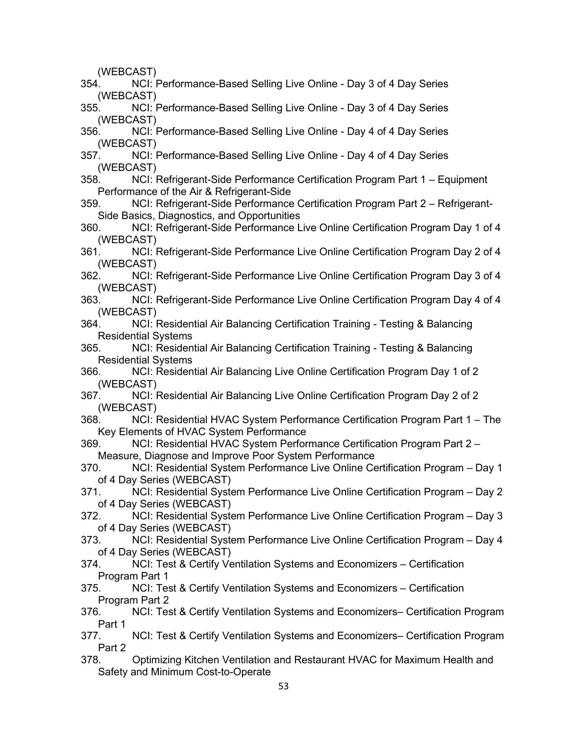(WEBCAST)

- 354. NCI: Performance-Based Selling Live Online Day 3 of 4 Day Series (WEBCAST)
- 355. NCI: Performance-Based Selling Live Online Day 3 of 4 Day Series (WEBCAST)
- 356. NCI: Performance-Based Selling Live Online Day 4 of 4 Day Series (WEBCAST)
- 357. NCI: Performance-Based Selling Live Online Day 4 of 4 Day Series (WEBCAST)
- 358. NCI: Refrigerant-Side Performance Certification Program Part 1 Equipment Performance of the Air & Refrigerant-Side
- 359. NCI: Refrigerant-Side Performance Certification Program Part 2 Refrigerant-Side Basics, Diagnostics, and Opportunities
- 360. NCI: Refrigerant-Side Performance Live Online Certification Program Day 1 of 4 (WEBCAST)
- 361. NCI: Refrigerant-Side Performance Live Online Certification Program Day 2 of 4 (WEBCAST)
- 362. NCI: Refrigerant-Side Performance Live Online Certification Program Day 3 of 4 (WEBCAST)
- 363. NCI: Refrigerant-Side Performance Live Online Certification Program Day 4 of 4 (WEBCAST)
- 364. NCI: Residential Air Balancing Certification Training Testing & Balancing Residential Systems
- 365. NCI: Residential Air Balancing Certification Training Testing & Balancing Residential Systems
- 366. NCI: Residential Air Balancing Live Online Certification Program Day 1 of 2 (WEBCAST)
- 367. NCI: Residential Air Balancing Live Online Certification Program Day 2 of 2 (WEBCAST)
- 368. NCI: Residential HVAC System Performance Certification Program Part 1 The Key Elements of HVAC System Performance
- 369. NCI: Residential HVAC System Performance Certification Program Part 2 Measure, Diagnose and Improve Poor System Performance
- 370. NCI: Residential System Performance Live Online Certification Program Day 1 of 4 Day Series (WEBCAST)
- 371. NCI: Residential System Performance Live Online Certification Program Day 2 of 4 Day Series (WEBCAST)
- 372. NCI: Residential System Performance Live Online Certification Program Day 3 of 4 Day Series (WEBCAST)
- 373. NCI: Residential System Performance Live Online Certification Program Day 4 of 4 Day Series (WEBCAST)
- 374. NCI: Test & Certify Ventilation Systems and Economizers Certification Program Part 1
- 375. NCI: Test & Certify Ventilation Systems and Economizers Certification Program Part 2
- 376. NCI: Test & Certify Ventilation Systems and Economizers– Certification Program Part 1
- 377. NCI: Test & Certify Ventilation Systems and Economizers– Certification Program Part 2
- 378. Optimizing Kitchen Ventilation and Restaurant HVAC for Maximum Health and Safety and Minimum Cost-to-Operate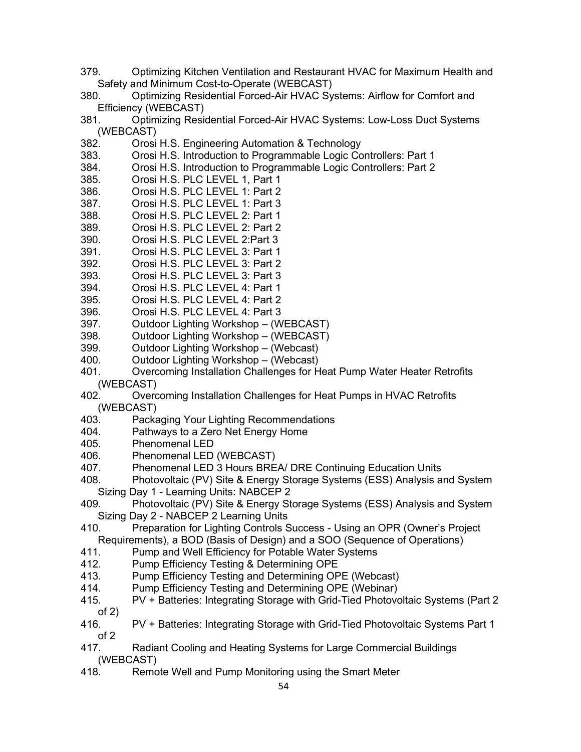- 379. Optimizing Kitchen Ventilation and Restaurant HVAC for Maximum Health and Safety and Minimum Cost-to-Operate (WEBCAST)
- 380. Optimizing Residential Forced-Air HVAC Systems: Airflow for Comfort and Efficiency (WEBCAST)
- 381. Optimizing Residential Forced-Air HVAC Systems: Low-Loss Duct Systems (WEBCAST)
- 382. Orosi H.S. Engineering Automation & Technology
- 383. Orosi H.S. Introduction to Programmable Logic Controllers: Part 1
- 384. Orosi H.S. Introduction to Programmable Logic Controllers: Part 2
- 385. Orosi H.S. PLC LEVEL 1, Part 1
- 386. Orosi H.S. PLC LEVEL 1: Part 2
- 387. Orosi H.S. PLC LEVEL 1: Part 3
- 388. Orosi H.S. PLC LEVEL 2: Part 1
- 389. Orosi H.S. PLC LEVEL 2: Part 2
- 390. Orosi H.S. PLC LEVEL 2:Part 3
- 391. Orosi H.S. PLC LEVEL 3: Part 1
- 392. Orosi H.S. PLC LEVEL 3: Part 2
- 393. Orosi H.S. PLC LEVEL 3: Part 3
- 394. Orosi H.S. PLC LEVEL 4: Part 1
- 395. Orosi H.S. PLC LEVEL 4: Part 2
- 396. Orosi H.S. PLC LEVEL 4: Part 3
- 397. Outdoor Lighting Workshop (WEBCAST)
- 398. Outdoor Lighting Workshop (WEBCAST)
- 399. Outdoor Lighting Workshop (Webcast)
- Outdoor Lighting Workshop (Webcast)
- 401. Overcoming Installation Challenges for Heat Pump Water Heater Retrofits (WEBCAST)
- 402. Overcoming Installation Challenges for Heat Pumps in HVAC Retrofits (WEBCAST)
- 403. Packaging Your Lighting Recommendations
- 404. Pathways to a Zero Net Energy Home
- 405. Phenomenal LED
- 406. Phenomenal LED (WEBCAST)
- 407. Phenomenal LED 3 Hours BREA/ DRE Continuing Education Units
- 408. Photovoltaic (PV) Site & Energy Storage Systems (ESS) Analysis and System Sizing Day 1 - Learning Units: NABCEP 2
- 409. Photovoltaic (PV) Site & Energy Storage Systems (ESS) Analysis and System Sizing Day 2 - NABCEP 2 Learning Units<br>410. Preparation for Lighting Controls S
- Preparation for Lighting Controls Success Using an OPR (Owner's Project Requirements), a BOD (Basis of Design) and a SOO (Sequence of Operations)
- 411. Pump and Well Efficiency for Potable Water Systems
- 412. Pump Efficiency Testing & Determining OPE
- 413. Pump Efficiency Testing and Determining OPE (Webcast)
- 414. Pump Efficiency Testing and Determining OPE (Webinar)
- 415. PV + Batteries: Integrating Storage with Grid-Tied Photovoltaic Systems (Part 2 of 2)
- 416. PV + Batteries: Integrating Storage with Grid-Tied Photovoltaic Systems Part 1 of 2
- 417. Radiant Cooling and Heating Systems for Large Commercial Buildings (WEBCAST)
- 418. Remote Well and Pump Monitoring using the Smart Meter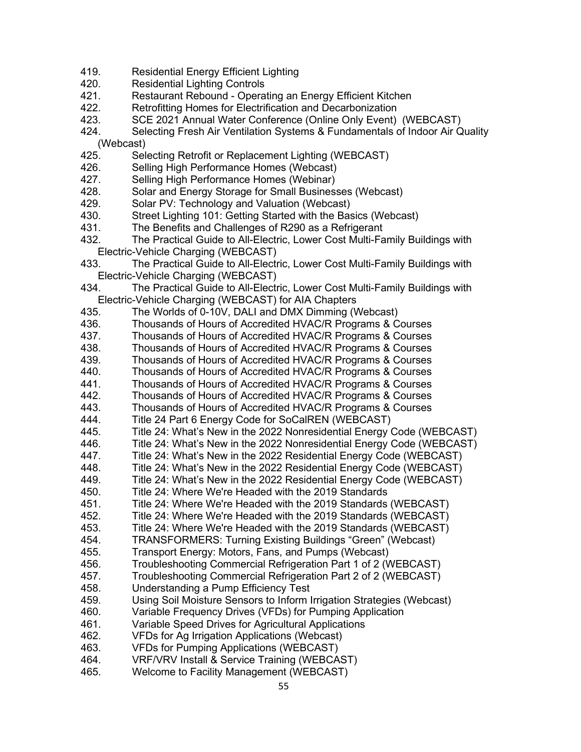- 419. Residential Energy Efficient Lighting<br>420. Residential Lighting Controls
- Residential Lighting Controls
- 421. Restaurant Rebound Operating an Energy Efficient Kitchen
- 422. Retrofitting Homes for Electrification and Decarbonization
- 423. SCE 2021 Annual Water Conference (Online Only Event) (WEBCAST)
- 424. Selecting Fresh Air Ventilation Systems & Fundamentals of Indoor Air Quality (Webcast)
- 425. Selecting Retrofit or Replacement Lighting (WEBCAST)
- 426. Selling High Performance Homes (Webcast)
- 427. Selling High Performance Homes (Webinar)
- 428. Solar and Energy Storage for Small Businesses (Webcast)
- 429. Solar PV: Technology and Valuation (Webcast)
- 430. Street Lighting 101: Getting Started with the Basics (Webcast)
- 431. The Benefits and Challenges of R290 as a Refrigerant
- 432. The Practical Guide to All-Electric, Lower Cost Multi-Family Buildings with Electric-Vehicle Charging (WEBCAST)
- 433. The Practical Guide to All-Electric, Lower Cost Multi-Family Buildings with Electric-Vehicle Charging (WEBCAST)
- 434. The Practical Guide to All-Electric, Lower Cost Multi-Family Buildings with Electric-Vehicle Charging (WEBCAST) for AIA Chapters
- 435. The Worlds of 0-10V, DALI and DMX Dimming (Webcast)
- 436. Thousands of Hours of Accredited HVAC/R Programs & Courses
- 437. Thousands of Hours of Accredited HVAC/R Programs & Courses
- 438. Thousands of Hours of Accredited HVAC/R Programs & Courses<br>439. Thousands of Hours of Accredited HVAC/R Programs & Courses
- Thousands of Hours of Accredited HVAC/R Programs & Courses
- 440. Thousands of Hours of Accredited HVAC/R Programs & Courses
- 441. Thousands of Hours of Accredited HVAC/R Programs & Courses
- 442. Thousands of Hours of Accredited HVAC/R Programs & Courses
- 443. Thousands of Hours of Accredited HVAC/R Programs & Courses
- 444. Title 24 Part 6 Energy Code for SoCalREN (WEBCAST)
- 445. Title 24: What's New in the 2022 Nonresidential Energy Code (WEBCAST)
- 446. Title 24: What's New in the 2022 Nonresidential Energy Code (WEBCAST)<br>447. Title 24: What's New in the 2022 Residential Energy Code (WEBCAST)
- Title 24: What's New in the 2022 Residential Energy Code (WEBCAST)
- 448. Title 24: What's New in the 2022 Residential Energy Code (WEBCAST)
- 449. Title 24: What's New in the 2022 Residential Energy Code (WEBCAST)
- 450. Title 24: Where We're Headed with the 2019 Standards
- 451. Title 24: Where We're Headed with the 2019 Standards (WEBCAST)
- 452. Title 24: Where We're Headed with the 2019 Standards (WEBCAST)<br>453. Title 24: Where We're Headed with the 2019 Standards (WEBCAST)
- Title 24: Where We're Headed with the 2019 Standards (WEBCAST)
- 454. TRANSFORMERS: Turning Existing Buildings "Green" (Webcast)
- 455. Transport Energy: Motors, Fans, and Pumps (Webcast)
- 456. Troubleshooting Commercial Refrigeration Part 1 of 2 (WEBCAST)
- 457. Troubleshooting Commercial Refrigeration Part 2 of 2 (WEBCAST)
- 458. Understanding a Pump Efficiency Test
- 459. Using Soil Moisture Sensors to Inform Irrigation Strategies (Webcast)
- 460. Variable Frequency Drives (VFDs) for Pumping Application
- 461. Variable Speed Drives for Agricultural Applications
- 462. VFDs for Ag Irrigation Applications (Webcast)
- 463. VFDs for Pumping Applications (WEBCAST)
- 464. VRF/VRV Install & Service Training (WEBCAST)
- 465. Welcome to Facility Management (WEBCAST)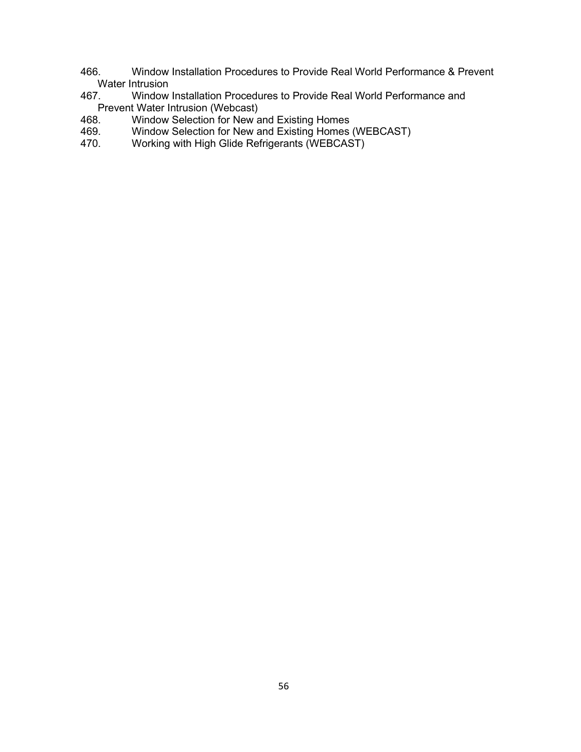- 466. Window Installation Procedures to Provide Real World Performance & Prevent Water Intrusion
- 467. Window Installation Procedures to Provide Real World Performance and Prevent Water Intrusion (Webcast)<br>468. Window Selection for New a
- 468. Window Selection for New and Existing Homes<br>469. Window Selection for New and Existing Homes
- 469. Window Selection for New and Existing Homes (WEBCAST)<br>470. Working with High Glide Refrigerants (WEBCAST)
- Working with High Glide Refrigerants (WEBCAST)